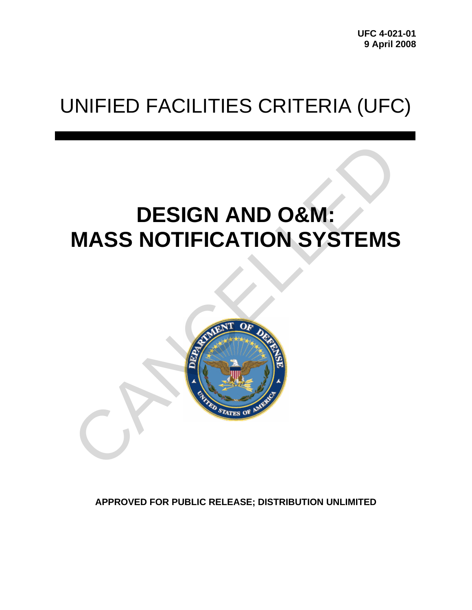**UFC 4-021-01 9 April 2008** 

# UNIFIED FACILITIES CRITERIA (UFC)

# **DESIGN AND O&M: MASS NOTIFICATION SYSTEMS**



**APPROVED FOR PUBLIC RELEASE; DISTRIBUTION UNLIMITED**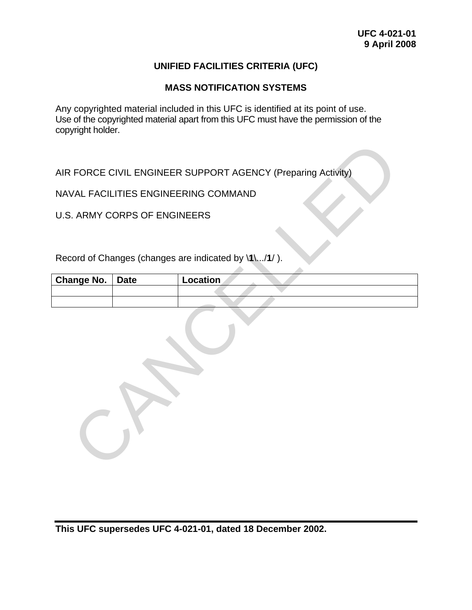#### **UNIFIED FACILITIES CRITERIA (UFC)**

#### **MASS NOTIFICATION SYSTEMS**

Any copyrighted material included in this UFC is identified at its point of use. Use of the copyrighted material apart from this UFC must have the permission of the copyright holder.

|                   |                                     | AIR FORCE CIVIL ENGINEER SUPPORT AGENCY (Preparing Activity) |
|-------------------|-------------------------------------|--------------------------------------------------------------|
|                   |                                     | NAVAL FACILITIES ENGINEERING COMMAND                         |
|                   | <b>U.S. ARMY CORPS OF ENGINEERS</b> |                                                              |
|                   |                                     |                                                              |
|                   |                                     | Record of Changes (changes are indicated by \1\/1/).         |
| <b>Change No.</b> | <b>Date</b>                         | Location                                                     |
|                   |                                     |                                                              |
|                   |                                     |                                                              |

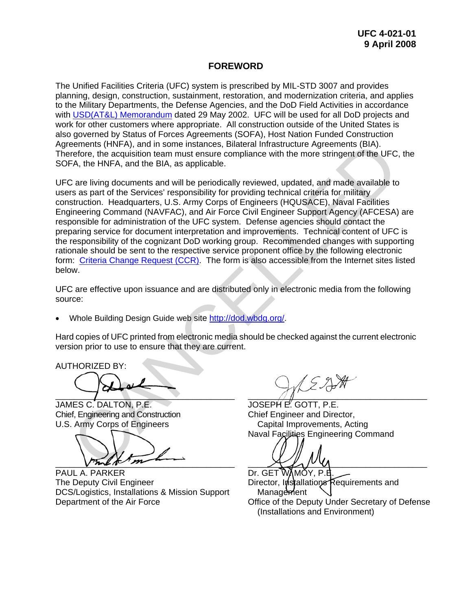#### **FOREWORD**

The Unified Facilities Criteria (UFC) system is prescribed by MIL-STD 3007 and provides planning, design, construction, sustainment, restoration, and modernization criteria, and applies to the Military Departments, the Defense Agencies, and the DoD Field Activities in accordance with [USD\(AT&L\) Memorandum](http://www.wbdg.org/pdfs/ufc_implementation.pdf) dated 29 May 2002. UFC will be used for all DoD projects and work for other customers where appropriate. All construction outside of the United States is also governed by Status of Forces Agreements (SOFA), Host Nation Funded Construction Agreements (HNFA), and in some instances, Bilateral Infrastructure Agreements (BIA). Therefore, the acquisition team must ensure compliance with the more stringent of the UFC, the SOFA, the HNFA, and the BIA, as applicable.

UFC are living documents and will be periodically reviewed, updated, and made available to users as part of the Services' responsibility for providing technical criteria for military construction. Headquarters, U.S. Army Corps of Engineers (HQUSACE), Naval Facilities Engineering Command (NAVFAC), and Air Force Civil Engineer Support Agency (AFCESA) are responsible for administration of the UFC system. Defense agencies should contact the preparing service for document interpretation and improvements. Technical content of UFC is the responsibility of the cognizant DoD working group. Recommended changes with supporting rationale should be sent to the respective service proponent office by the following electronic form: Criteria Change Request (CCR). The form is also accessible from the Internet sites listed below. erements (HNFA), and in some instances, Bilateral Infrastructure Agreements (BIA).<br>Therefore, the acquisition team must ensure compliance with the more stringent of the UFC,<br>FA, the HNFA, and the BIA, as applicable.<br>Care l

UFC are effective upon issuance and are distributed only in electronic media from the following source:

• Whole Building Design Guide web site http://dod.wbdg.org/.

Hard copies of UFC printed from electronic media should be checked against the current electronic version prior to use to ensure that they are current.

AUTHORIZED BY:

 $\overline{\phantom{a}}$ 

JAMES C. DALTON, P.E. Chief, Engineering and Construction U.S. Army Corps of Engineers

 $\sqrt{n}$ 

PAUL A. PARKER The Deputy Civil Engineer DCS/Logistics, Installations & Mission Support Department of the Air Force

 $\bigwedge$   $\bigwedge$   $\bigwedge$   $\bigwedge$   $\bigwedge$   $\bigwedge$   $\bigwedge$   $\bigwedge$   $\bigwedge$   $\bigwedge$   $\bigwedge$   $\bigwedge$   $\bigwedge$   $\bigwedge$   $\bigwedge$   $\bigwedge$   $\bigwedge$   $\bigwedge$   $\bigwedge$   $\bigwedge$   $\bigwedge$   $\bigwedge$   $\bigwedge$   $\bigwedge$   $\bigwedge$   $\bigwedge$   $\bigwedge$   $\bigwedge$   $\bigwedge$   $\bigwedge$   $\bigwedge$   $\bigw$ 

JOSEPH E. GOTT, P.E. Chief Engineer and Director, Capital Improvements, Acting Naval Facilities Engineering Command

 $\chi$ 

Dr. GET WAMOY, P.E. Director, Installations Requirements and Management Office of the Deputy Under Secretary of Defense (Installations and Environment)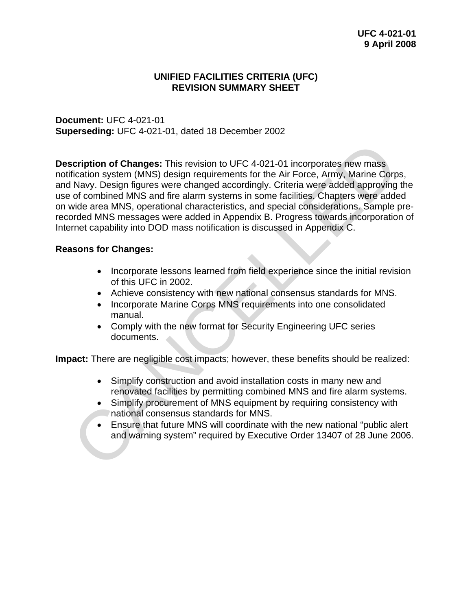#### **UNIFIED FACILITIES CRITERIA (UFC) REVISION SUMMARY SHEET**

**Document:** UFC 4-021-01 **Superseding:** UFC 4-021-01, dated 18 December 2002

**Description of Changes:** This revision to UFC 4-021-01 incorporates new mass notification system (MNS) design requirements for the Air Force, Army, Marine Corps, and Navy. Design figures were changed accordingly. Criteria were added approving the use of combined MNS and fire alarm systems in some facilities. Chapters were added on wide area MNS, operational characteristics, and special considerations. Sample prerecorded MNS messages were added in Appendix B. Progress towards incorporation of Internet capability into DOD mass notification is discussed in Appendix C. **Scription of Changes:** This revision to UFC 4-021-01 incorporates new mass<br>
filication system (MNS) design requirements for the Air Force, Army, Marine Corp<br>
Navy. Design figures were changed accordingly. Criteria were ad

#### **Reasons for Changes:**

- Incorporate lessons learned from field experience since the initial revision of this UFC in 2002.
- Achieve consistency with new national consensus standards for MNS.
- Incorporate Marine Corps MNS requirements into one consolidated manual.
- Comply with the new format for Security Engineering UFC series documents.

**Impact:** There are negligible cost impacts; however, these benefits should be realized:

- Simplify construction and avoid installation costs in many new and renovated facilities by permitting combined MNS and fire alarm systems.
- Simplify procurement of MNS equipment by requiring consistency with national consensus standards for MNS.
- Ensure that future MNS will coordinate with the new national "public alert and warning system" required by Executive Order 13407 of 28 June 2006.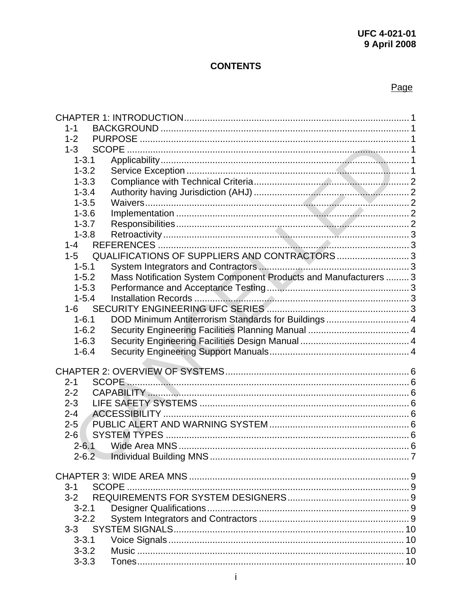# **CONTENTS**

# Page

| 1-1       |                                                                  |  |
|-----------|------------------------------------------------------------------|--|
| $1 - 2$   |                                                                  |  |
| $1-3$     |                                                                  |  |
| $1 - 3.1$ |                                                                  |  |
| $1 - 3.2$ |                                                                  |  |
| $1 - 3.3$ |                                                                  |  |
| $1 - 3.4$ |                                                                  |  |
| $1 - 3.5$ |                                                                  |  |
| $1 - 3.6$ |                                                                  |  |
| $1 - 3.7$ |                                                                  |  |
| $1 - 3.8$ |                                                                  |  |
| $1 - 4$   |                                                                  |  |
| $1 - 5$   | QUALIFICATIONS OF SUPPLIERS AND CONTRACTORS3                     |  |
| $1 - 5.1$ |                                                                  |  |
| $1 - 5.2$ | Mass Notification System Component Products and Manufacturers  3 |  |
| $1 - 5.3$ |                                                                  |  |
| $1 - 5.4$ |                                                                  |  |
|           |                                                                  |  |
| $1 - 6.1$ | DOD Minimum Antiterrorism Standards for Buildings 4              |  |
| $1 - 6.2$ |                                                                  |  |
| $1 - 6.3$ |                                                                  |  |
| $1 - 6.4$ |                                                                  |  |
|           |                                                                  |  |
|           |                                                                  |  |
| $2 - 1$   |                                                                  |  |
| $2 - 2$   |                                                                  |  |
| $2 - 3$   |                                                                  |  |
| $2 - 4$   |                                                                  |  |
| $2 - 5$   |                                                                  |  |
| $2 - 6$   |                                                                  |  |
| $2 - 6.1$ |                                                                  |  |
| $2 - 6.2$ |                                                                  |  |
|           |                                                                  |  |
|           |                                                                  |  |
| $3 - 1$   |                                                                  |  |
|           |                                                                  |  |
| $3 - 2.1$ |                                                                  |  |
| $3 - 2.2$ |                                                                  |  |
| $3 - 3$   |                                                                  |  |
| $3 - 3.1$ |                                                                  |  |
| $3 - 3.2$ |                                                                  |  |
| $3 - 3.3$ |                                                                  |  |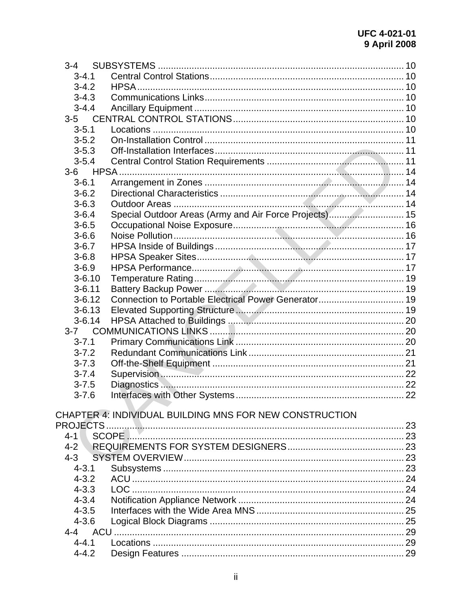| $3-4$      |                                                         |  |
|------------|---------------------------------------------------------|--|
| $3 - 4.1$  |                                                         |  |
| $3 - 4.2$  |                                                         |  |
| $3 - 4.3$  |                                                         |  |
| $3 - 4.4$  |                                                         |  |
| $3-5$      |                                                         |  |
| $3 - 5.1$  |                                                         |  |
| $3 - 5.2$  |                                                         |  |
| $3 - 5.3$  |                                                         |  |
| $3 - 5.4$  |                                                         |  |
| $3-6$      |                                                         |  |
| $3 - 6.1$  |                                                         |  |
| $3 - 6.2$  |                                                         |  |
| $3 - 6.3$  |                                                         |  |
| $3 - 6.4$  | Special Outdoor Areas (Army and Air Force Projects) 15  |  |
| $3 - 6.5$  |                                                         |  |
| $3 - 6.6$  |                                                         |  |
| $3 - 6.7$  |                                                         |  |
| $3 - 6.8$  |                                                         |  |
| $3 - 6.9$  |                                                         |  |
| $3 - 6.10$ |                                                         |  |
| $3 - 6.11$ |                                                         |  |
| $3 - 6.12$ |                                                         |  |
| $3 - 6.13$ |                                                         |  |
| $3 - 6.14$ |                                                         |  |
| $3 - 7$    |                                                         |  |
| $3 - 7.1$  |                                                         |  |
| $3 - 7.2$  |                                                         |  |
| $3 - 7.3$  |                                                         |  |
| $3 - 7.4$  |                                                         |  |
| $3 - 7.5$  |                                                         |  |
| $3 - 7.6$  |                                                         |  |
|            |                                                         |  |
|            | CHAPTER 4: INDIVIDUAL BUILDING MNS FOR NEW CONSTRUCTION |  |
|            |                                                         |  |
| $4 - 1$    |                                                         |  |
| $4 - 2$    |                                                         |  |
| $4 - 3$    |                                                         |  |
| $4 - 3.1$  |                                                         |  |
| $4 - 3.2$  |                                                         |  |
| $4 - 3.3$  |                                                         |  |
| $4 - 3.4$  |                                                         |  |
| $4 - 3.5$  |                                                         |  |
| $4 - 3.6$  |                                                         |  |
|            |                                                         |  |
| $4 - 4.1$  |                                                         |  |
| $4 - 4.2$  |                                                         |  |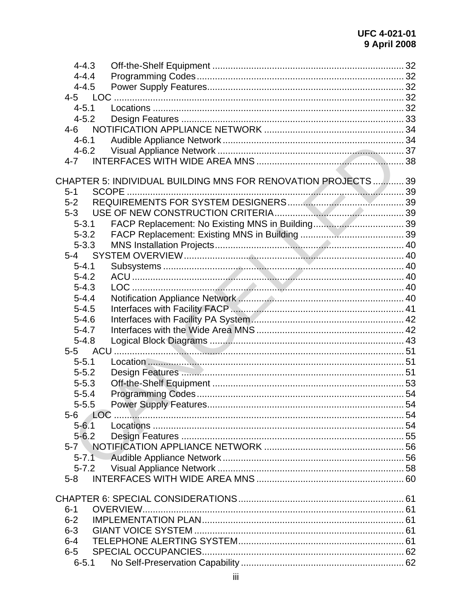| $4 - 4.3$ |                                                                |  |
|-----------|----------------------------------------------------------------|--|
| $4 - 4.4$ |                                                                |  |
| $4 - 4.5$ |                                                                |  |
|           |                                                                |  |
| $4 - 5.1$ |                                                                |  |
| $4 - 5.2$ |                                                                |  |
|           |                                                                |  |
| $4 - 6.1$ |                                                                |  |
| $4 - 6.2$ |                                                                |  |
| 4-7       |                                                                |  |
|           | CHAPTER 5: INDIVIDUAL BUILDING MNS FOR RENOVATION PROJECTS  39 |  |
| $5 - 1$   |                                                                |  |
| $5 - 2$   |                                                                |  |
| $5-3$     |                                                                |  |
| $5 - 3.1$ |                                                                |  |
| $5 - 3.2$ |                                                                |  |
| $5 - 3.3$ |                                                                |  |
|           |                                                                |  |
| $5 - 4.1$ |                                                                |  |
| $5 - 4.2$ |                                                                |  |
| $5 - 4.3$ |                                                                |  |
| $5 - 4.4$ |                                                                |  |
| $5 - 4.5$ |                                                                |  |
| $5 - 4.6$ |                                                                |  |
| $5 - 4.7$ |                                                                |  |
| $5 - 4.8$ |                                                                |  |
|           |                                                                |  |
| $5 - 5.1$ |                                                                |  |
| $5 - 5.2$ |                                                                |  |
| $5 - 5.3$ |                                                                |  |
| $5 - 5.4$ |                                                                |  |
| $5 - 5.5$ |                                                                |  |
| 5-6       |                                                                |  |
| $5 - 6.1$ |                                                                |  |
| $5 - 6.2$ |                                                                |  |
|           |                                                                |  |
| $5 - 7.1$ |                                                                |  |
|           |                                                                |  |
| $5-8$     |                                                                |  |
|           |                                                                |  |
| $6 - 1$   | <b>OVERVIEW</b>                                                |  |
| $6 - 2$   |                                                                |  |
| $6 - 3$   |                                                                |  |
| $6 - 4$   |                                                                |  |
| $6-5$     |                                                                |  |
| $6 - 5.1$ |                                                                |  |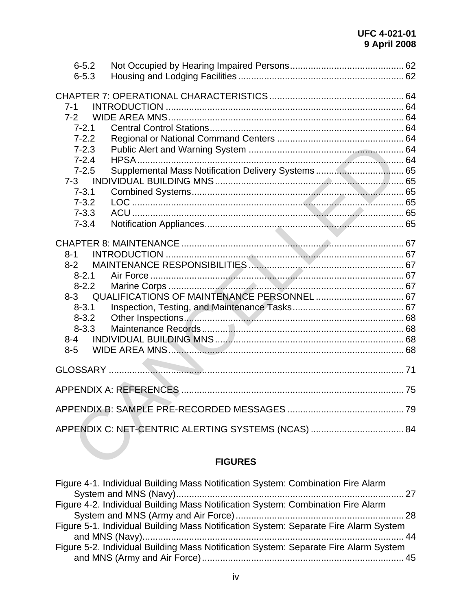| $6 - 5.2$<br>$6 - 5.3$                                                                                                                           |                |  |
|--------------------------------------------------------------------------------------------------------------------------------------------------|----------------|--|
| $7 - 1$<br>$7-2$<br>$7 - 2.1$<br>$7 - 2.2$<br>$7 - 2.3$<br>$7 - 2.4$<br>$7 - 2.5$<br>$7 - 3$<br>$7 - 3.1$<br>$7 - 3.2$<br>$7 - 3.3$<br>$7 - 3.4$ |                |  |
|                                                                                                                                                  |                |  |
| $8 - 1$                                                                                                                                          |                |  |
| $8 - 2$                                                                                                                                          |                |  |
| $8 - 2.1$                                                                                                                                        |                |  |
| $8 - 2.2$                                                                                                                                        |                |  |
| $8 - 3$                                                                                                                                          |                |  |
| $8 - 3.1$                                                                                                                                        |                |  |
| $8 - 3.2$                                                                                                                                        |                |  |
| $8 - 3.3$                                                                                                                                        |                |  |
| $8 - 4$                                                                                                                                          |                |  |
| $8 - 5$                                                                                                                                          |                |  |
|                                                                                                                                                  |                |  |
|                                                                                                                                                  |                |  |
|                                                                                                                                                  |                |  |
|                                                                                                                                                  |                |  |
|                                                                                                                                                  |                |  |
|                                                                                                                                                  | <b>FIGURES</b> |  |

# **FIGURES**

| Figure 4-1. Individual Building Mass Notification System: Combination Fire Alarm     |  |
|--------------------------------------------------------------------------------------|--|
|                                                                                      |  |
| Figure 4-2. Individual Building Mass Notification System: Combination Fire Alarm     |  |
|                                                                                      |  |
| Figure 5-1. Individual Building Mass Notification System: Separate Fire Alarm System |  |
|                                                                                      |  |
| Figure 5-2. Individual Building Mass Notification System: Separate Fire Alarm System |  |
|                                                                                      |  |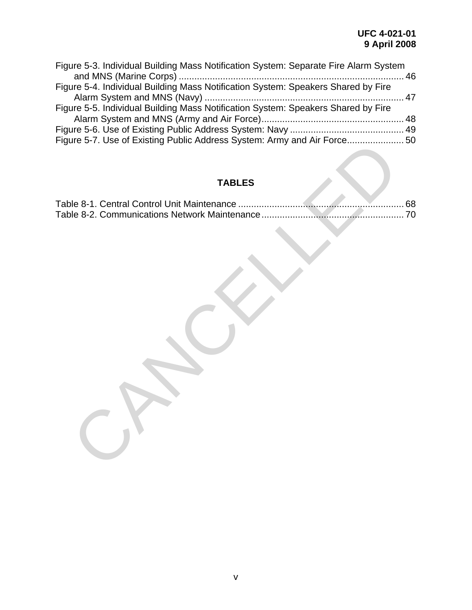| Figure 5-3. Individual Building Mass Notification System: Separate Fire Alarm System |  |
|--------------------------------------------------------------------------------------|--|
|                                                                                      |  |
| Figure 5-4. Individual Building Mass Notification System: Speakers Shared by Fire    |  |
|                                                                                      |  |
| Figure 5-5. Individual Building Mass Notification System: Speakers Shared by Fire    |  |
|                                                                                      |  |
|                                                                                      |  |
| Figure 5-7. Use of Existing Public Address System: Army and Air Force 50             |  |

# **TABLES**

| Figure 5-7. Use of Existing Public Address System: Army and Air Force                                    |
|----------------------------------------------------------------------------------------------------------|
| <b>TABLES</b>                                                                                            |
| 68<br>Table 8-1. Central Control Unit Maintenance<br>Table 8-2. Communications Network Maintenance<br>70 |
|                                                                                                          |
|                                                                                                          |
|                                                                                                          |
|                                                                                                          |
|                                                                                                          |
|                                                                                                          |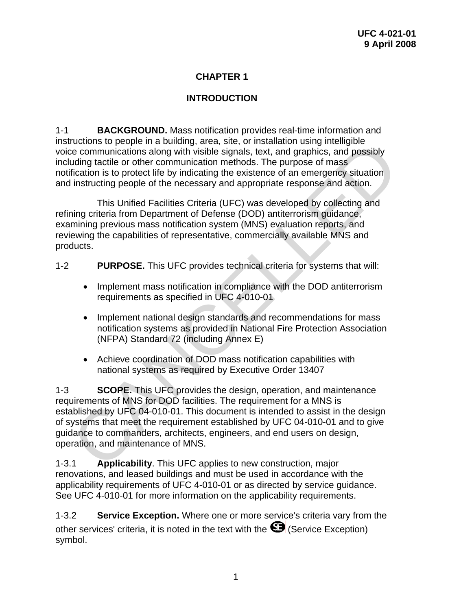### **CHAPTER 1**

## **INTRODUCTION**

<span id="page-9-0"></span>1-1 **BACKGROUND.** Mass notification provides real-time information and instructions to people in a building, area, site, or installation using intelligible voice communications along with visible signals, text, and graphics, and possibly including tactile or other communication methods. The purpose of mass notification is to protect life by indicating the existence of an emergency situation and instructing people of the necessary and appropriate response and action.

 This Unified Facilities Criteria (UFC) was developed by collecting and refining criteria from Department of Defense (DOD) antiterrorism guidance, examining previous mass notification system (MNS) evaluation reports, and reviewing the capabilities of representative, commercially available MNS and products.

- 1-2 **PURPOSE.** This UFC provides technical criteria for systems that will:
	- Implement mass notification in compliance with the DOD antiterrorism requirements as specified in UFC 4-010-01
	- Implement national design standards and recommendations for mass notification systems as provided in National Fire Protection Association (NFPA) Standard 72 (including Annex E)
	- Achieve coordination of DOD mass notification capabilities with national systems as required by Executive Order 13407

1-3 **SCOPE.** This UFC provides the design, operation, and maintenance requirements of MNS for DOD facilities. The requirement for a MNS is established by UFC 04-010-01. This document is intended to assist in the design of systems that meet the requirement established by UFC 04-010-01 and to give guidance to commanders, architects, engineers, and end users on design, operation, and maintenance of MNS. ructions to people in a butulang, area, site, or installation using intelligible<br>the communications along with visible signals, text, and graphics, and possibly<br>uding tactile or other communication methods. The purpose of

1-3.1 **Applicability**. This UFC applies to new construction, major renovations, and leased buildings and must be used in accordance with the applicability requirements of UFC 4-010-01 or as directed by service guidance. See UFC 4-010-01 for more information on the applicability requirements.

1-3.2 **Service Exception.** Where one or more service's criteria vary from the other services' criteria, it is noted in the text with the  $\mathbf \odot$  (Service Exception) symbol.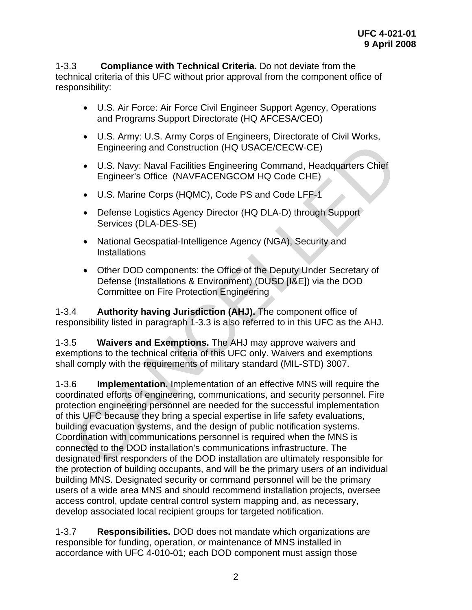<span id="page-10-0"></span>1-3.3 **Compliance with Technical Criteria.** Do not deviate from the technical criteria of this UFC without prior approval from the component office of responsibility:

- U.S. Air Force: Air Force Civil Engineer Support Agency, Operations and Programs Support Directorate (HQ AFCESA/CEO)
- U.S. Army: U.S. Army Corps of Engineers, Directorate of Civil Works, Engineering and Construction (HQ USACE/CECW-CE)
- U.S. Navy: Naval Facilities Engineering Command, Headquarters Chief Engineer's Office (NAVFACENGCOM HQ Code CHE)
- U.S. Marine Corps (HQMC), Code PS and Code LFF-1
- Defense Logistics Agency Director (HQ DLA-D) through Support Services (DLA-DES-SE)
- National Geospatial-Intelligence Agency (NGA), Security and **Installations**
- Other DOD components: the Office of the Deputy Under Secretary of Defense (Installations & Environment) (DUSD [I&E]) via the DOD Committee on Fire Protection Engineering

1-3.4 **Authority having Jurisdiction (AHJ).** The component office of responsibility listed in paragraph 1-3.3 is also referred to in this UFC as the AHJ.

1-3.5 **Waivers and Exemptions.** The AHJ may approve waivers and exemptions to the technical criteria of this UFC only. Waivers and exemptions shall comply with the requirements of military standard (MIL-STD) 3007.

1-3.6 **Implementation.** Implementation of an effective MNS will require the coordinated efforts of engineering, communications, and security personnel. Fire protection engineering personnel are needed for the successful implementation of this UFC because they bring a special expertise in life safety evaluations, building evacuation systems, and the design of public notification systems. Coordination with communications personnel is required when the MNS is connected to the DOD installation's communications infrastructure. The designated first responders of the DOD installation are ultimately responsible for the protection of building occupants, and will be the primary users of an individual building MNS. Designated security or command personnel will be the primary users of a wide area MNS and should recommend installation projects, oversee access control, update central control system mapping and, as necessary, develop associated local recipient groups for targeted notification. Engineering and Construction (HQ USACE/CECW-CE)<br>
U.S. Navy: Naval Facilities Engineering Command, Headquarters Chief<br>
Engineer's Office (NAVFACENGCOM HQ Code CHE)<br>
• U.S. Marine Corps (HQMC), Code PS and Code CHE)<br>
• U.S.

1-3.7 **Responsibilities.** DOD does not mandate which organizations are responsible for funding, operation, or maintenance of MNS installed in accordance with UFC 4-010-01; each DOD component must assign those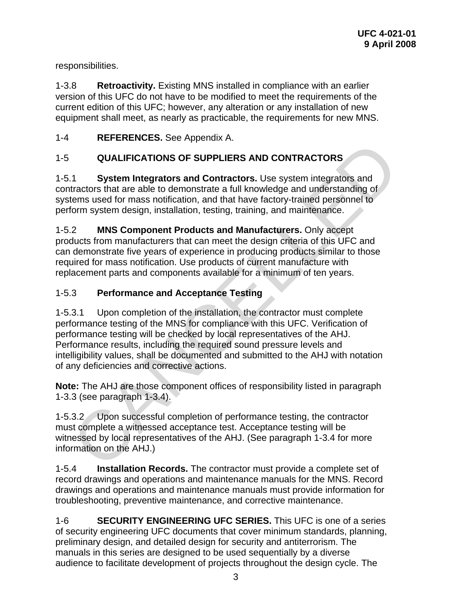<span id="page-11-0"></span>responsibilities.

1-3.8 **Retroactivity.** Existing MNS installed in compliance with an earlier version of this UFC do not have to be modified to meet the requirements of the current edition of this UFC; however, any alteration or any installation of new equipment shall meet, as nearly as practicable, the requirements for new MNS.

1-4 **REFERENCES.** See Appendix A.

# 1-5 **QUALIFICATIONS OF SUPPLIERS AND CONTRACTORS**

1-5.1 **System Integrators and Contractors.** Use system integrators and contractors that are able to demonstrate a full knowledge and understanding of systems used for mass notification, and that have factory-trained personnel to perform system design, installation, testing, training, and maintenance.

1-5.2 **MNS Component Products and Manufacturers.** Only accept products from manufacturers that can meet the design criteria of this UFC and can demonstrate five years of experience in producing products similar to those required for mass notification. Use products of current manufacture with replacement parts and components available for a minimum of ten years.

#### 1-5.3 **Performance and Acceptance Testing**

1-5.3.1 Upon completion of the installation, the contractor must complete performance testing of the MNS for compliance with this UFC. Verification of performance testing will be checked by local representatives of the AHJ. Performance results, including the required sound pressure levels and intelligibility values, shall be documented and submitted to the AHJ with notation of any deficiencies and corrective actions. The Hall System Interaction of System Interactors. Use system integrators and<br>
System Integrators and Contractors. Use system integrators and<br>
aftractors that are able to demonstrate a full knowledge and understanding of<br>

**Note:** The AHJ are those component offices of responsibility listed in paragraph 1-3.3 (see paragraph 1-3.4).

1-5.3.2 Upon successful completion of performance testing, the contractor must complete a witnessed acceptance test. Acceptance testing will be witnessed by local representatives of the AHJ. (See paragraph 1-3.4 for more information on the AHJ.)

1-5.4 **Installation Records.** The contractor must provide a complete set of record drawings and operations and maintenance manuals for the MNS. Record drawings and operations and maintenance manuals must provide information for troubleshooting, preventive maintenance, and corrective maintenance.

1-6 **SECURITY ENGINEERING UFC SERIES.** This UFC is one of a series of security engineering UFC documents that cover minimum standards, planning, preliminary design, and detailed design for security and antiterrorism. The manuals in this series are designed to be used sequentially by a diverse audience to facilitate development of projects throughout the design cycle. The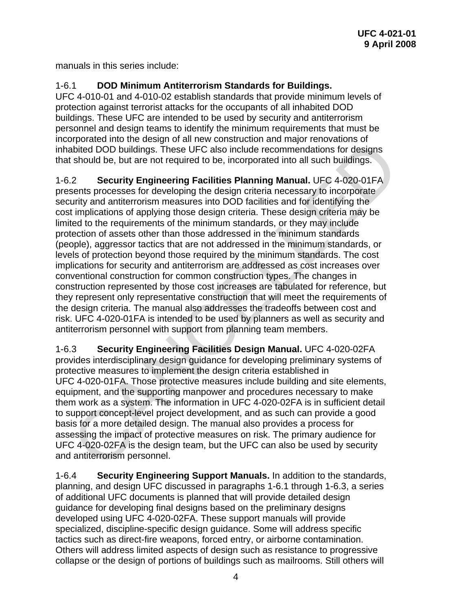<span id="page-12-0"></span>manuals in this series include:

## 1-6.1 **DOD Minimum Antiterrorism Standards for Buildings.**

UFC 4-010-01 and 4-010-02 establish standards that provide minimum levels of protection against terrorist attacks for the occupants of all inhabited DOD buildings. These UFC are intended to be used by security and antiterrorism personnel and design teams to identify the minimum requirements that must be incorporated into the design of all new construction and major renovations of inhabited DOD buildings. These UFC also include recommendations for designs that should be, but are not required to be, incorporated into all such buildings.

1-6.2 **Security Engineering Facilities Planning Manual.** UFC 4-020-01FA presents processes for developing the design criteria necessary to incorporate security and antiterrorism measures into DOD facilities and for identifying the cost implications of applying those design criteria. These design criteria may be limited to the requirements of the minimum standards, or they may include protection of assets other than those addressed in the minimum standards (people), aggressor tactics that are not addressed in the minimum standards, or levels of protection beyond those required by the minimum standards. The cost implications for security and antiterrorism are addressed as cost increases over conventional construction for common construction types. The changes in construction represented by those cost increases are tabulated for reference, but they represent only representative construction that will meet the requirements of the design criteria. The manual also addresses the tradeoffs between cost and risk. UFC 4-020-01FA is intended to be used by planners as well as security and antiterrorism personnel with support from planning team members. sphate into the design of a mine construction and integral to the section and the section and the section and the section and the section of the section of the section of the section of the section of the section of the se

1-6.3 **Security Engineering Facilities Design Manual.** UFC 4-020-02FA provides interdisciplinary design guidance for developing preliminary systems of protective measures to implement the design criteria established in UFC 4-020-01FA. Those protective measures include building and site elements, equipment, and the supporting manpower and procedures necessary to make them work as a system. The information in UFC 4-020-02FA is in sufficient detail to support concept-level project development, and as such can provide a good basis for a more detailed design. The manual also provides a process for assessing the impact of protective measures on risk. The primary audience for UFC 4-020-02FA is the design team, but the UFC can also be used by security and antiterrorism personnel.

1-6.4 **Security Engineering Support Manuals.** In addition to the standards, planning, and design UFC discussed in paragraphs 1-6.1 through 1-6.3, a series of additional UFC documents is planned that will provide detailed design guidance for developing final designs based on the preliminary designs developed using UFC 4-020-02FA. These support manuals will provide specialized, discipline-specific design guidance. Some will address specific tactics such as direct-fire weapons, forced entry, or airborne contamination. Others will address limited aspects of design such as resistance to progressive collapse or the design of portions of buildings such as mailrooms. Still others will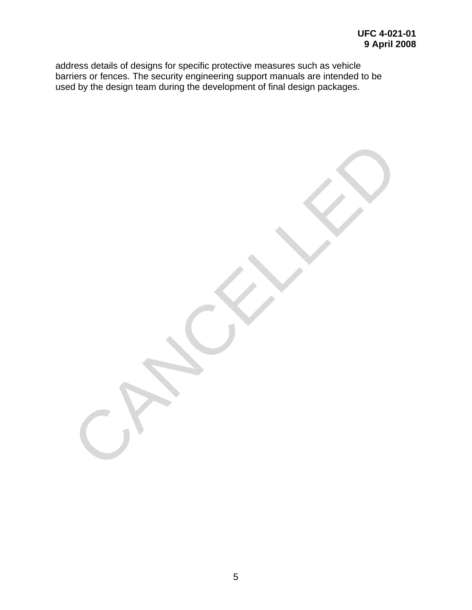address details of designs for specific protective measures such as vehicle barriers or fences. The security engineering support manuals are intended to be used by the design team during the development of final design packages.

CANCELLED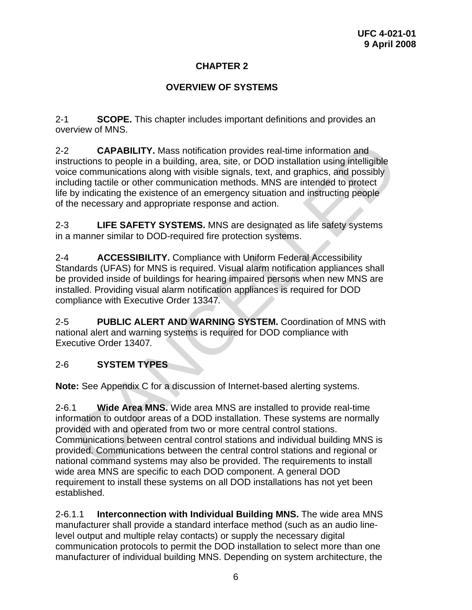## **CHAPTER 2**

## **OVERVIEW OF SYSTEMS**

<span id="page-14-0"></span>2-1 **SCOPE.** This chapter includes important definitions and provides an overview of MNS.

2-2 **CAPABILITY.** Mass notification provides real-time information and instructions to people in a building, area, site, or DOD installation using intelligible voice communications along with visible signals, text, and graphics, and possibly including tactile or other communication methods. MNS are intended to protect life by indicating the existence of an emergency situation and instructing people of the necessary and appropriate response and action.

2-3 **LIFE SAFETY SYSTEMS.** MNS are designated as life safety systems in a manner similar to DOD-required fire protection systems.

2-4 **ACCESSIBILITY.** Compliance with Uniform Federal Accessibility Standards (UFAS) for MNS is required. Visual alarm notification appliances shall be provided inside of buildings for hearing impaired persons when new MNS are installed. Providing visual alarm notification appliances is required for DOD compliance with Executive Order 13347*.*

2-5 **PUBLIC ALERT AND WARNING SYSTEM.** Coordination of MNS with national alert and warning systems is required for DOD compliance with Executive Order 13407*.*

#### 2-6 **SYSTEM TYPES**

**Note:** See Appendix C for a discussion of Internet-based alerting systems.

2-6.1 **Wide Area MNS.** Wide area MNS are installed to provide real-time information to outdoor areas of a DOD installation. These systems are normally provided with and operated from two or more central control stations. Communications between central control stations and individual building MNS is provided. Communications between the central control stations and regional or national command systems may also be provided. The requirements to install wide area MNS are specific to each DOD component. A general DOD requirement to install these systems on all DOD installations has not yet been established. CAPABILITY. Mass notification provides real-time information and<br>proticions to people in a building, area, site, or DDD installation using intelligible<br>pre-communications along with visible signals, text, and graphics, and

2-6.1.1 **Interconnection with Individual Building MNS.** The wide area MNS manufacturer shall provide a standard interface method (such as an audio linelevel output and multiple relay contacts) or supply the necessary digital communication protocols to permit the DOD installation to select more than one manufacturer of individual building MNS. Depending on system architecture, the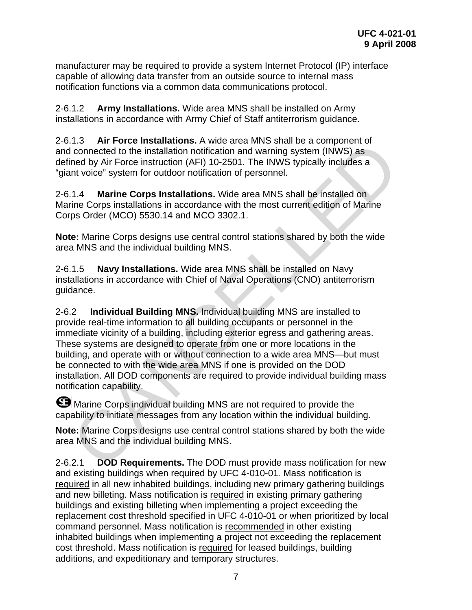<span id="page-15-0"></span>manufacturer may be required to provide a system Internet Protocol (IP) interface capable of allowing data transfer from an outside source to internal mass notification functions via a common data communications protocol.

2-6.1.2 **Army Installations.** Wide area MNS shall be installed on Army installations in accordance with Army Chief of Staff antiterrorism guidance.

2-6.1.3 **Air Force Installations.** A wide area MNS shall be a component of and connected to the installation notification and warning system (INWS) as defined by Air Force instruction (AFI) 10-2501*.* The INWS typically includes a "giant voice" system for outdoor notification of personnel.

2-6.1.4 **Marine Corps Installations.** Wide area MNS shall be installed on Marine Corps installations in accordance with the most current edition of Marine Corps Order (MCO) 5530.14 and MCO 3302.1.

**Note:** Marine Corps designs use central control stations shared by both the wide area MNS and the individual building MNS.

2-6.1.5 **Navy Installations.** Wide area MNS shall be installed on Navy installations in accordance with Chief of Naval Operations (CNO) antiterrorism guidance.

2-6.2 **Individual Building MNS.** Individual building MNS are installed to provide real-time information to all building occupants or personnel in the immediate vicinity of a building, including exterior egress and gathering areas. These systems are designed to operate from one or more locations in the building, and operate with or without connection to a wide area MNS—but must be connected to with the wide area MNS if one is provided on the DOD installation. All DOD components are required to provide individual building mass notification capability. T.1.3 Air Frore instantanons. A wine area win's shari be a component or<br>clonnected to the installation notification and warning system (INWS) as<br>increased by Air Force instruction (AFI) 10-2501. The INWS typically includes

**B** Marine Corps individual building MNS are not required to provide the capability to initiate messages from any location within the individual building.

**Note:** Marine Corps designs use central control stations shared by both the wide area MNS and the individual building MNS.

2-6.2.1 **DOD Requirements.** The DOD must provide mass notification for new and existing buildings when required by UFC 4-010-01*.* Mass notification is required in all new inhabited buildings, including new primary gathering buildings and new billeting. Mass notification is required in existing primary gathering buildings and existing billeting when implementing a project exceeding the replacement cost threshold specified in UFC 4-010-01 or when prioritized by local command personnel. Mass notification is recommended in other existing inhabited buildings when implementing a project not exceeding the replacement cost threshold. Mass notification is required for leased buildings, building additions, and expeditionary and temporary structures.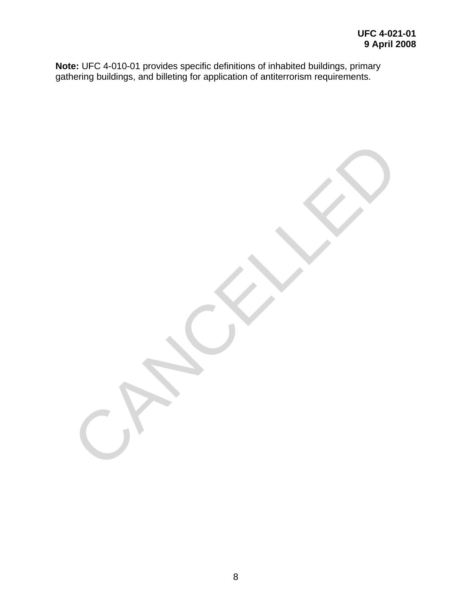**Note:** UFC 4-010-01 provides specific definitions of inhabited buildings, primary gathering buildings, and billeting for application of antiterrorism requirements.

CANCELLED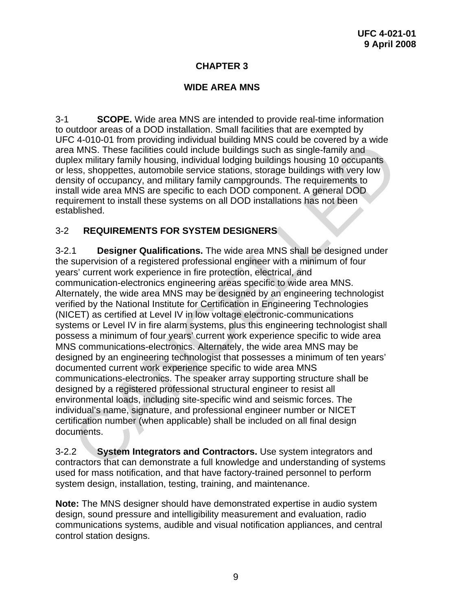#### **CHAPTER 3**

#### **WIDE AREA MNS**

<span id="page-17-0"></span>3-1 **SCOPE.** Wide area MNS are intended to provide real-time information to outdoor areas of a DOD installation. Small facilities that are exempted by UFC 4-010-01 from providing individual building MNS could be covered by a wide area MNS. These facilities could include buildings such as single-family and duplex military family housing, individual lodging buildings housing 10 occupants or less, shoppettes, automobile service stations, storage buildings with very low density of occupancy, and military family campgrounds. The requirements to install wide area MNS are specific to each DOD component. A general DOD requirement to install these systems on all DOD installations has not been established.

#### 3-2 **REQUIREMENTS FOR SYSTEM DESIGNERS**

3-2.1 **Designer Qualifications.** The wide area MNS shall be designed under the supervision of a registered professional engineer with a minimum of four years' current work experience in fire protection, electrical, and communication-electronics engineering areas specific to wide area MNS. Alternately, the wide area MNS may be designed by an engineering technologist verified by the National Institute for Certification in Engineering Technologies (NICET) as certified at Level IV in low voltage electronic-communications systems or Level IV in fire alarm systems, plus this engineering technologist shall possess a minimum of four years' current work experience specific to wide area MNS communications-electronics. Alternately, the wide area MNS may be designed by an engineering technologist that possesses a minimum of ten years' documented current work experience specific to wide area MNS communications-electronics. The speaker array supporting structure shall be designed by a registered professional structural engineer to resist all environmental loads, including site-specific wind and seismic forces. The individual's name, signature, and professional engineer number or NICET certification number (when applicable) shall be included on all final design documents. C 4-010-01 Indiploming intellevatar buting then but the coure of the course of the and MNS. These facilities could include buildings such as single-family and<br>lead MNS. These facilities could include buildings housing to d

3-2.2 **System Integrators and Contractors.** Use system integrators and contractors that can demonstrate a full knowledge and understanding of systems used for mass notification, and that have factory-trained personnel to perform system design, installation, testing, training, and maintenance.

**Note:** The MNS designer should have demonstrated expertise in audio system design, sound pressure and intelligibility measurement and evaluation, radio communications systems, audible and visual notification appliances, and central control station designs.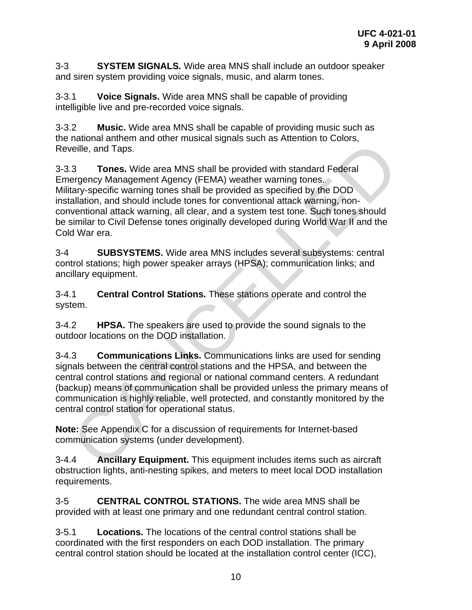<span id="page-18-0"></span>3-3 **SYSTEM SIGNALS.** Wide area MNS shall include an outdoor speaker and siren system providing voice signals, music, and alarm tones.

3-3.1 **Voice Signals.** Wide area MNS shall be capable of providing intelligible live and pre-recorded voice signals.

3-3.2 **Music.** Wide area MNS shall be capable of providing music such as the national anthem and other musical signals such as Attention to Colors, Reveille, and Taps.

3-3.3 **Tones.** Wide area MNS shall be provided with standard Federal Emergency Management Agency (FEMA) weather warning tones. Military-specific warning tones shall be provided as specified by the DOD installation, and should include tones for conventional attack warning, nonconventional attack warning, all clear, and a system test tone. Such tones should be similar to Civil Defense tones originally developed during World War II and the Cold War era. mation and the principle and System and the provided with standard Federal<br>relies, and Taps.<br>Tones. Wide area MNS shall be provided with standard Federal<br>ergency Management Agency (FEMA) weather warning tones.<br>talkition, a

3-4 **SUBSYSTEMS.** Wide area MNS includes several subsystems: central control stations; high power speaker arrays (HPSA); communication links; and ancillary equipment.

3-4.1 **Central Control Stations.** These stations operate and control the system.

3-4.2 **HPSA.** The speakers are used to provide the sound signals to the outdoor locations on the DOD installation.

3-4.3 **Communications Links.** Communications links are used for sending signals between the central control stations and the HPSA, and between the central control stations and regional or national command centers. A redundant (backup) means of communication shall be provided unless the primary means of communication is highly reliable, well protected, and constantly monitored by the central control station for operational status.

**Note:** See Appendix C for a discussion of requirements for Internet-based communication systems (under development).

3-4.4 **Ancillary Equipment.** This equipment includes items such as aircraft obstruction lights, anti-nesting spikes, and meters to meet local DOD installation requirements.

3-5 **CENTRAL CONTROL STATIONS.** The wide area MNS shall be provided with at least one primary and one redundant central control station.

3-5.1 **Locations.** The locations of the central control stations shall be coordinated with the first responders on each DOD installation. The primary central control station should be located at the installation control center (ICC),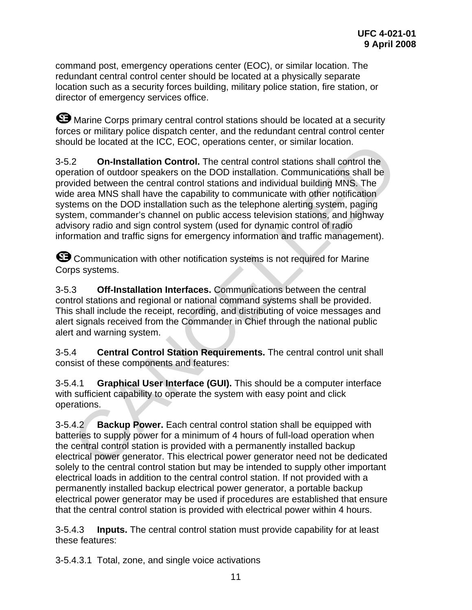<span id="page-19-0"></span>command post, emergency operations center (EOC), or similar location. The redundant central control center should be located at a physically separate location such as a security forces building, military police station, fire station, or director of emergency services office.

**S** Marine Corps primary central control stations should be located at a security forces or military police dispatch center, and the redundant central control center should be located at the ICC, EOC, operations center, or similar location.

3-5.2 **On-Installation Control.** The central control stations shall control the operation of outdoor speakers on the DOD installation. Communications shall be provided between the central control stations and individual building MNS. The wide area MNS shall have the capability to communicate with other notification systems on the DOD installation such as the telephone alerting system, paging system, commander's channel on public access television stations, and highway advisory radio and sign control system (used for dynamic control of radio information and traffic signs for emergency information and traffic management). Contracted at the ICC, EOC, operations center, or similar location.<br>
2.2 On-Installation Control. The central control stations shall be<br>
price are a MNS shall have the central control stations and individual building MNS.

**G** Communication with other notification systems is not required for Marine Corps systems.

3-5.3 **Off-Installation Interfaces.** Communications between the central control stations and regional or national command systems shall be provided. This shall include the receipt, recording, and distributing of voice messages and alert signals received from the Commander in Chief through the national public alert and warning system.

3-5.4 **Central Control Station Requirements.** The central control unit shall consist of these components and features:

3-5.4.1 **Graphical User Interface (GUI).** This should be a computer interface with sufficient capability to operate the system with easy point and click operations.

3-5.4.2 **Backup Power.** Each central control station shall be equipped with batteries to supply power for a minimum of 4 hours of full-load operation when the central control station is provided with a permanently installed backup electrical power generator. This electrical power generator need not be dedicated solely to the central control station but may be intended to supply other important electrical loads in addition to the central control station. If not provided with a permanently installed backup electrical power generator, a portable backup electrical power generator may be used if procedures are established that ensure that the central control station is provided with electrical power within 4 hours.

3-5.4.3 **Inputs.** The central control station must provide capability for at least these features:

3-5.4.3.1 Total, zone, and single voice activations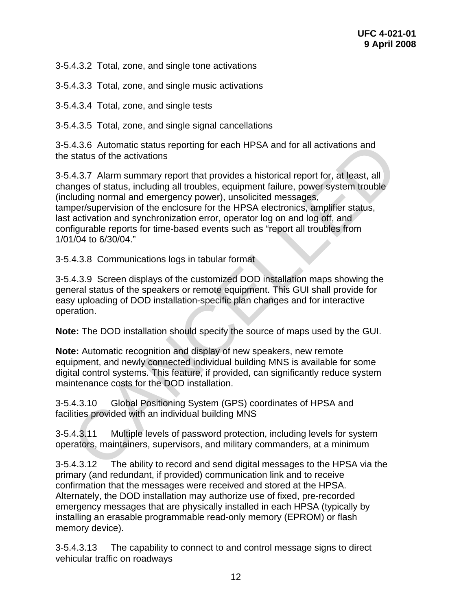3-5.4.3.2 Total, zone, and single tone activations

3-5.4.3.3 Total, zone, and single music activations

3-5.4.3.4 Total, zone, and single tests

3-5.4.3.5 Total, zone, and single signal cancellations

3-5.4.3.6 Automatic status reporting for each HPSA and for all activations and the status of the activations

3-5.4.3.7 Alarm summary report that provides a historical report for, at least, all changes of status, including all troubles, equipment failure, power system trouble (including normal and emergency power), unsolicited messages, tamper/supervision of the enclosure for the HPSA electronics, amplifier status, last activation and synchronization error, operator log on and log off, and configurable reports for time-based events such as "report all troubles from 1/01/04 to 6/30/04." 4.3.6 Automatic status reporting for each HPSA and for all activations and<br>status of the activations<br>and status of the activations<br>and status of the activations<br>angles of status, including all troubles, equipment failure,

3-5.4.3.8 Communications logs in tabular format

3-5.4.3.9 Screen displays of the customized DOD installation maps showing the general status of the speakers or remote equipment. This GUI shall provide for easy uploading of DOD installation-specific plan changes and for interactive operation.

**Note:** The DOD installation should specify the source of maps used by the GUI.

**Note:** Automatic recognition and display of new speakers, new remote equipment, and newly connected individual building MNS is available for some digital control systems. This feature, if provided, can significantly reduce system maintenance costs for the DOD installation.

3-5.4.3.10 Global Positioning System (GPS) coordinates of HPSA and facilities provided with an individual building MNS

3-5.4.3.11 Multiple levels of password protection, including levels for system operators, maintainers, supervisors, and military commanders, at a minimum

3-5.4.3.12 The ability to record and send digital messages to the HPSA via the primary (and redundant, if provided) communication link and to receive confirmation that the messages were received and stored at the HPSA. Alternately, the DOD installation may authorize use of fixed, pre-recorded emergency messages that are physically installed in each HPSA (typically by installing an erasable programmable read-only memory (EPROM) or flash memory device).

3-5.4.3.13 The capability to connect to and control message signs to direct vehicular traffic on roadways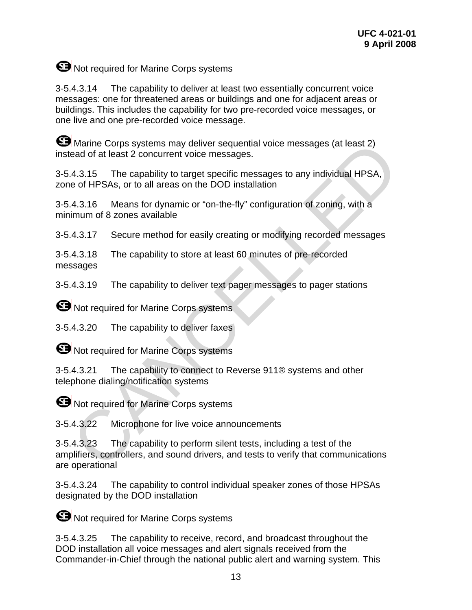## **ED** Not required for Marine Corps systems

3-5.4.3.14 The capability to deliver at least two essentially concurrent voice messages: one for threatened areas or buildings and one for adjacent areas or buildings. This includes the capability for two pre-recorded voice messages, or one live and one pre-recorded voice message.

**B** Marine Corps systems may deliver sequential voice messages (at least 2) instead of at least 2 concurrent voice messages.

3-5.4.3.15 The capability to target specific messages to any individual HPSA, zone of HPSAs, or to all areas on the DOD installation

3-5.4.3.16 Means for dynamic or "on-the-fly" configuration of zoning, with a minimum of 8 zones available

3-5.4.3.17 Secure method for easily creating or modifying recorded messages

3-5.4.3.18 The capability to store at least 60 minutes of pre-recorded messages

3-5.4.3.19 The capability to deliver text pager messages to pager stations

**S** Not required for Marine Corps systems

3-5.4.3.20 The capability to deliver faxes

**B** Not required for Marine Corps systems

3-5.4.3.21 The capability to connect to Reverse 911® systems and other telephone dialing/notification systems

**ED** Not required for Marine Corps systems

3-5.4.3.22 Microphone for live voice announcements

3-5.4.3.23 The capability to perform silent tests, including a test of the amplifiers, controllers, and sound drivers, and tests to verify that communications are operational Marine Corps systems may deliver sequential voice messages (at least 2)<br>ead of at least 2 concurrent voice messages.<br>4.3.15 The capability to target specific messages to any individual HPSA,<br>e of HPSAs, or to all areas on

3-5.4.3.24 The capability to control individual speaker zones of those HPSAs designated by the DOD installation

**S** Not required for Marine Corps systems

3-5.4.3.25 The capability to receive, record, and broadcast throughout the DOD installation all voice messages and alert signals received from the Commander-in-Chief through the national public alert and warning system. This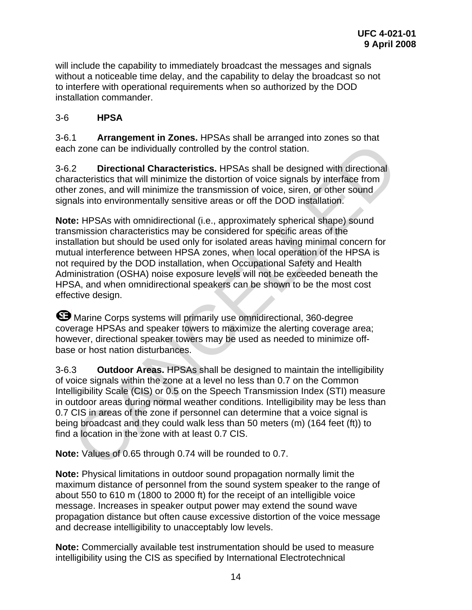<span id="page-22-0"></span>will include the capability to immediately broadcast the messages and signals without a noticeable time delay, and the capability to delay the broadcast so not to interfere with operational requirements when so authorized by the DOD installation commander.

#### 3-6 **HPSA**

3-6.1 **Arrangement in Zones.** HPSAs shall be arranged into zones so that each zone can be individually controlled by the control station.

3-6.2 **Directional Characteristics.** HPSAs shall be designed with directional characteristics that will minimize the distortion of voice signals by interface from other zones, and will minimize the transmission of voice, siren, or other sound signals into environmentally sensitive areas or off the DOD installation.

**Note:** HPSAs with omnidirectional (i.e., approximately spherical shape) sound transmission characteristics may be considered for specific areas of the installation but should be used only for isolated areas having minimal concern for mutual interference between HPSA zones, when local operation of the HPSA is not required by the DOD installation, when Occupational Safety and Health Administration (OSHA) noise exposure levels will not be exceeded beneath the HPSA, and when omnidirectional speakers can be shown to be the most cost effective design. The manipum control in the solution of the solution of the solution of the solution of the control station.<br>
A zone can be individually controlled by the control station.<br>
2. Directional Characteristics HPSAs shall be desi

**G** Marine Corps systems will primarily use omnidirectional, 360-degree coverage HPSAs and speaker towers to maximize the alerting coverage area; however, directional speaker towers may be used as needed to minimize offbase or host nation disturbances.

3-6.3 **Outdoor Areas.** HPSAs shall be designed to maintain the intelligibility of voice signals within the zone at a level no less than 0.7 on the Common Intelligibility Scale (CIS) or 0.5 on the Speech Transmission Index (STI) measure in outdoor areas during normal weather conditions. Intelligibility may be less than 0.7 CIS in areas of the zone if personnel can determine that a voice signal is being broadcast and they could walk less than 50 meters (m) (164 feet (ft)) to find a location in the zone with at least 0.7 CIS.

**Note:** Values of 0.65 through 0.74 will be rounded to 0.7.

**Note:** Physical limitations in outdoor sound propagation normally limit the maximum distance of personnel from the sound system speaker to the range of about 550 to 610 m (1800 to 2000 ft) for the receipt of an intelligible voice message. Increases in speaker output power may extend the sound wave propagation distance but often cause excessive distortion of the voice message and decrease intelligibility to unacceptably low levels.

**Note:** Commercially available test instrumentation should be used to measure intelligibility using the CIS as specified by International Electrotechnical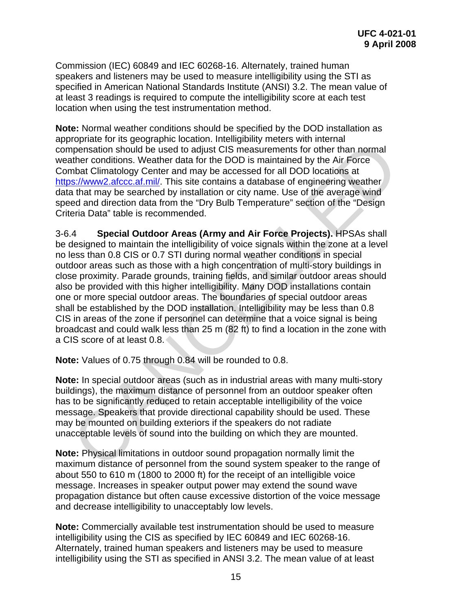<span id="page-23-0"></span>Commission (IEC) 60849 and IEC 60268-16. Alternately, trained human speakers and listeners may be used to measure intelligibility using the STI as specified in American National Standards Institute (ANSI) 3.2. The mean value of at least 3 readings is required to compute the intelligibility score at each test location when using the test instrumentation method.

**Note:** Normal weather conditions should be specified by the DOD installation as appropriate for its geographic location. Intelligibility meters with internal compensation should be used to adjust CIS measurements for other than normal weather conditions. Weather data for the DOD is maintained by the Air Force Combat Climatology Center and may be accessed for all DOD locations at https://www2.afccc.af.mil/. This site contains a database of engineering weather data that may be searched by installation or city name. Use of the average wind speed and direction data from the "Dry Bulb Temperature" section of the "Design Criteria Data" table is recommended.

3-6.4 **Special Outdoor Areas (Army and Air Force Projects).** HPSAs shall be designed to maintain the intelligibility of voice signals within the zone at a level no less than 0.8 CIS or 0.7 STI during normal weather conditions in special outdoor areas such as those with a high concentration of multi-story buildings in close proximity. Parade grounds, training fields, and similar outdoor areas should also be provided with this higher intelligibility. Many DOD installations contain one or more special outdoor areas. The boundaries of special outdoor areas shall be established by the DOD installation. Intelligibility may be less than 0.8 CIS in areas of the zone if personnel can determine that a voice signal is being broadcast and could walk less than 25 m (82 ft) to find a location in the zone with a CIS score of at least 0.8. nopmation should be used of a data for the DOD is mathemation of the preservation should be used to adjust CIS measurements for other than normal<br>there conditions. Weather data for the DOD is minitalred by the Air Force<br>th

**Note:** Values of 0.75 through 0.84 will be rounded to 0.8.

**Note:** In special outdoor areas (such as in industrial areas with many multi-story buildings), the maximum distance of personnel from an outdoor speaker often has to be significantly reduced to retain acceptable intelligibility of the voice message. Speakers that provide directional capability should be used. These may be mounted on building exteriors if the speakers do not radiate unacceptable levels of sound into the building on which they are mounted.

**Note:** Physical limitations in outdoor sound propagation normally limit the maximum distance of personnel from the sound system speaker to the range of about 550 to 610 m (1800 to 2000 ft) for the receipt of an intelligible voice message. Increases in speaker output power may extend the sound wave propagation distance but often cause excessive distortion of the voice message and decrease intelligibility to unacceptably low levels.

**Note:** Commercially available test instrumentation should be used to measure intelligibility using the CIS as specified by IEC 60849 and IEC 60268-16. Alternately, trained human speakers and listeners may be used to measure intelligibility using the STI as specified in ANSI 3.2. The mean value of at least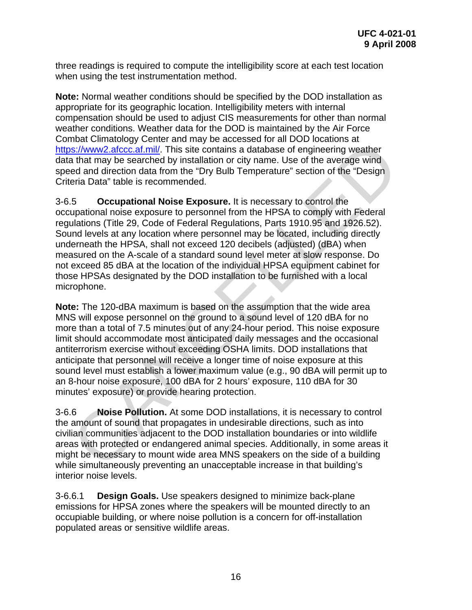<span id="page-24-0"></span>three readings is required to compute the intelligibility score at each test location when using the test instrumentation method.

**Note:** Normal weather conditions should be specified by the DOD installation as appropriate for its geographic location. Intelligibility meters with internal compensation should be used to adjust CIS measurements for other than normal weather conditions. Weather data for the DOD is maintained by the Air Force Combat Climatology Center and may be accessed for all DOD locations at https://www2.afccc.af.mil/. This site contains a database of engineering weather data that may be searched by installation or city name. Use of the average wind speed and direction data from the "Dry Bulb Temperature" section of the "Design Criteria Data" table is recommended.

3-6.5 **Occupational Noise Exposure.** It is necessary to control the occupational noise exposure to personnel from the HPSA to comply with Federal regulations (Title 29, Code of Federal Regulations, Parts 1910.95 and 1926.52). Sound levels at any location where personnel may be located, including directly underneath the HPSA, shall not exceed 120 decibels (adjusted) (dBA) when measured on the A-scale of a standard sound level meter at slow response. Do not exceed 85 dBA at the location of the individual HPSA equipment cabinet for those HPSAs designated by the DOD installation to be furnished with a local microphone. niae coincided by the actual may be accessed to the book of the book of the same than the same of the same of the same of the same of the same at that may be searched by installation or city name. Use of the average wind<br>e

**Note:** The 120-dBA maximum is based on the assumption that the wide area MNS will expose personnel on the ground to a sound level of 120 dBA for no more than a total of 7.5 minutes out of any 24-hour period. This noise exposure limit should accommodate most anticipated daily messages and the occasional antiterrorism exercise without exceeding OSHA limits. DOD installations that anticipate that personnel will receive a longer time of noise exposure at this sound level must establish a lower maximum value (e.g., 90 dBA will permit up to an 8-hour noise exposure, 100 dBA for 2 hours' exposure, 110 dBA for 30 minutes' exposure) or provide hearing protection.

3-6.6 **Noise Pollution.** At some DOD installations, it is necessary to control the amount of sound that propagates in undesirable directions, such as into civilian communities adjacent to the DOD installation boundaries or into wildlife areas with protected or endangered animal species. Additionally, in some areas it might be necessary to mount wide area MNS speakers on the side of a building while simultaneously preventing an unacceptable increase in that building's interior noise levels.

3-6.6.1 **Design Goals.** Use speakers designed to minimize back-plane emissions for HPSA zones where the speakers will be mounted directly to an occupiable building, or where noise pollution is a concern for off-installation populated areas or sensitive wildlife areas.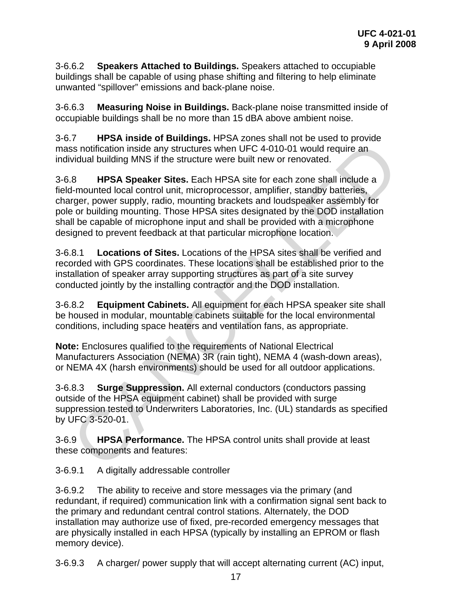<span id="page-25-0"></span>3-6.6.2 **Speakers Attached to Buildings.** Speakers attached to occupiable buildings shall be capable of using phase shifting and filtering to help eliminate unwanted "spillover" emissions and back-plane noise.

3-6.6.3 **Measuring Noise in Buildings.** Back-plane noise transmitted inside of occupiable buildings shall be no more than 15 dBA above ambient noise.

3-6.7 **HPSA inside of Buildings.** HPSA zones shall not be used to provide mass notification inside any structures when UFC 4-010-01 would require an individual building MNS if the structure were built new or renovated.

3-6.8 **HPSA Speaker Sites.** Each HPSA site for each zone shall include a field-mounted local control unit, microprocessor, amplifier, standby batteries, charger, power supply, radio, mounting brackets and loudspeaker assembly for pole or building mounting. Those HPSA sites designated by the DOD installation shall be capable of microphone input and shall be provided with a microphone designed to prevent feedback at that particular microphone location. For the Varian Section Institute Control of the HPSA state and the state of process and include and the state of the structure were built new or renovated.<br>
Section inside any structures when UFC 4-010-01 would require and

3-6.8.1 **Locations of Sites.** Locations of the HPSA sites shall be verified and recorded with GPS coordinates. These locations shall be established prior to the installation of speaker array supporting structures as part of a site survey conducted jointly by the installing contractor and the DOD installation.

3-6.8.2 **Equipment Cabinets.** All equipment for each HPSA speaker site shall be housed in modular, mountable cabinets suitable for the local environmental conditions, including space heaters and ventilation fans, as appropriate.

**Note:** Enclosures qualified to the requirements of National Electrical Manufacturers Association (NEMA) 3R (rain tight), NEMA 4 (wash-down areas), or NEMA 4X (harsh environments) should be used for all outdoor applications.

3-6.8.3 **Surge Suppression.** All external conductors (conductors passing outside of the HPSA equipment cabinet) shall be provided with surge suppression tested to Underwriters Laboratories, Inc. (UL) standards as specified by UFC 3-520-01.

3-6.9 **HPSA Performance.** The HPSA control units shall provide at least these components and features:

3-6.9.1 A digitally addressable controller

3-6.9.2 The ability to receive and store messages via the primary (and redundant, if required) communication link with a confirmation signal sent back to the primary and redundant central control stations. Alternately, the DOD installation may authorize use of fixed, pre-recorded emergency messages that are physically installed in each HPSA (typically by installing an EPROM or flash memory device).

3-6.9.3 A charger/ power supply that will accept alternating current (AC) input,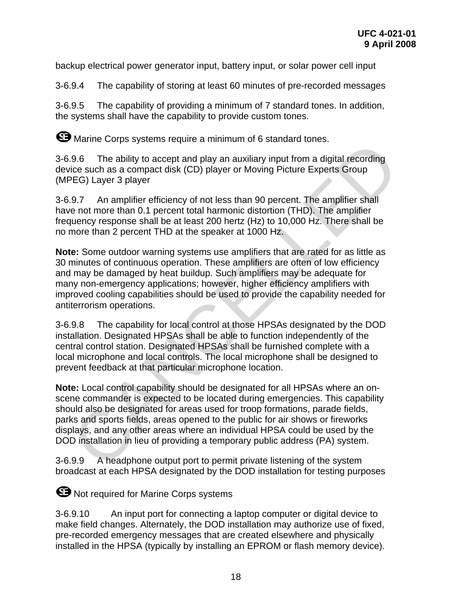backup electrical power generator input, battery input, or solar power cell input

3-6.9.4 The capability of storing at least 60 minutes of pre-recorded messages

3-6.9.5 The capability of providing a minimum of 7 standard tones. In addition, the systems shall have the capability to provide custom tones.

**ED** Marine Corps systems require a minimum of 6 standard tones.

3-6.9.6 The ability to accept and play an auxiliary input from a digital recording device such as a compact disk (CD) player or Moving Picture Experts Group (MPEG) Layer 3 player

3-6.9.7 An amplifier efficiency of not less than 90 percent. The amplifier shall have not more than 0.1 percent total harmonic distortion (THD). The amplifier frequency response shall be at least 200 hertz (Hz) to 10,000 Hz. There shall be no more than 2 percent THD at the speaker at 1000 Hz.

**Note:** Some outdoor warning systems use amplifiers that are rated for as little as 30 minutes of continuous operation. These amplifiers are often of low efficiency and may be damaged by heat buildup. Such amplifiers may be adequate for many non-emergency applications; however, higher efficiency amplifiers with improved cooling capabilities should be used to provide the capability needed for antiterrorism operations. The billty to accept and play an auxiliary input from a digital recording<br>
.9.6 The ability to accept and play an auxiliary input from a digital recording<br>
orice such as a compact disk (CD) player or Moving Picture Experts

3-6.9.8 The capability for local control at those HPSAs designated by the DOD installation. Designated HPSAs shall be able to function independently of the central control station. Designated HPSAs shall be furnished complete with a local microphone and local controls. The local microphone shall be designed to prevent feedback at that particular microphone location.

**Note:** Local control capability should be designated for all HPSAs where an onscene commander is expected to be located during emergencies. This capability should also be designated for areas used for troop formations, parade fields, parks and sports fields, areas opened to the public for air shows or fireworks displays, and any other areas where an individual HPSA could be used by the DOD installation in lieu of providing a temporary public address (PA) system.

3-6.9.9 A headphone output port to permit private listening of the system broadcast at each HPSA designated by the DOD installation for testing purposes

**B** Not required for Marine Corps systems

3-6.9.10 An input port for connecting a laptop computer or digital device to make field changes. Alternately, the DOD installation may authorize use of fixed, pre-recorded emergency messages that are created elsewhere and physically installed in the HPSA (typically by installing an EPROM or flash memory device).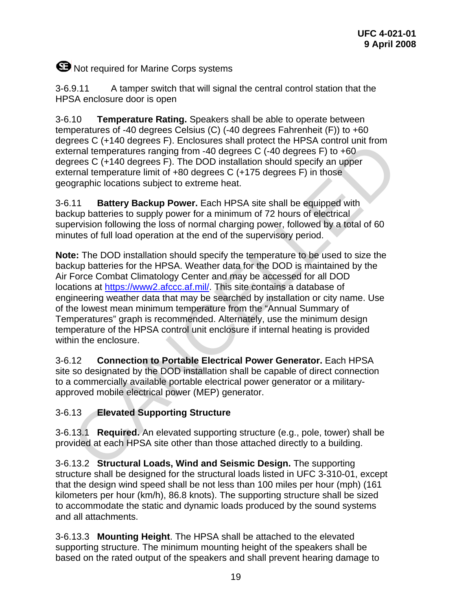# <span id="page-27-0"></span>**ED** Not required for Marine Corps systems

3-6.9.11 A tamper switch that will signal the central control station that the HPSA enclosure door is open

3-6.10 **Temperature Rating.** Speakers shall be able to operate between temperatures of -40 degrees Celsius (C) (-40 degrees Fahrenheit (F)) to +60 degrees C (+140 degrees F). Enclosures shall protect the HPSA control unit from external temperatures ranging from -40 degrees C (-40 degrees F) to +60 degrees C (+140 degrees F). The DOD installation should specify an upper external temperature limit of +80 degrees C (+175 degrees F) in those geographic locations subject to extreme heat.

3-6.11 **Battery Backup Power.** Each HPSA site shall be equipped with backup batteries to supply power for a minimum of 72 hours of electrical supervision following the loss of normal charging power, followed by a total of 60 minutes of full load operation at the end of the supervisory period.

**Note:** The DOD installation should specify the temperature to be used to size the backup batteries for the HPSA. Weather data for the DOD is maintained by the Air Force Combat Climatology Center and may be accessed for all DOD locations at https://www2.afccc.af.mil/. This site contains a database of engineering weather data that may be searched by installation or city name. Use of the lowest mean minimum temperature from the "Annual Summary of Temperatures" graph is recommended. Alternately, use the minimum design temperature of the HPSA control unit enclosure if internal heating is provided within the enclosure. Free C. (+140 degrees P.). Enclosives shall protoct the HPSA control unit from<br>termal temperatures ranging from -40 degrees C (-40 degrees F) to +60<br>rens C (+140 degrees F). The DOD installation should specify an upper<br>ren

3-6.12 **Connection to Portable Electrical Power Generator.** Each HPSA site so designated by the DOD installation shall be capable of direct connection to a commercially available portable electrical power generator or a militaryapproved mobile electrical power (MEP) generator.

#### 3-6.13 **Elevated Supporting Structure**

3-6.13.1 **Required.** An elevated supporting structure (e.g., pole, tower) shall be provided at each HPSA site other than those attached directly to a building.

3-6.13.2 **Structural Loads, Wind and Seismic Design.** The supporting structure shall be designed for the structural loads listed in UFC 3-310-01, except that the design wind speed shall be not less than 100 miles per hour (mph) (161 kilometers per hour (km/h), 86.8 knots). The supporting structure shall be sized to accommodate the static and dynamic loads produced by the sound systems and all attachments.

3-6.13.3 **Mounting Height**. The HPSA shall be attached to the elevated supporting structure. The minimum mounting height of the speakers shall be based on the rated output of the speakers and shall prevent hearing damage to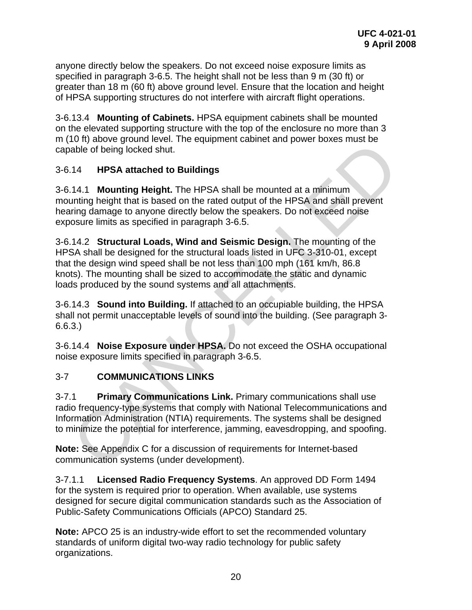<span id="page-28-0"></span>anyone directly below the speakers. Do not exceed noise exposure limits as specified in paragraph 3-6.5. The height shall not be less than 9 m (30 ft) or greater than 18 m (60 ft) above ground level. Ensure that the location and height of HPSA supporting structures do not interfere with aircraft flight operations.

3-6.13.4 **Mounting of Cabinets.** HPSA equipment cabinets shall be mounted on the elevated supporting structure with the top of the enclosure no more than 3 m (10 ft) above ground level. The equipment cabinet and power boxes must be capable of being locked shut.

#### 3-6.14 **HPSA attached to Buildings**

3-6.14.1 **Mounting Height.** The HPSA shall be mounted at a minimum mounting height that is based on the rated output of the HPSA and shall prevent hearing damage to anyone directly below the speakers. Do not exceed noise exposure limits as specified in paragraph 3-6.5.

3-6.14.2 **Structural Loads, Wind and Seismic Design.** The mounting of the HPSA shall be designed for the structural loads listed in UFC 3-310-01, except that the design wind speed shall be not less than 100 mph (161 km/h, 86.8 knots). The mounting shall be sized to accommodate the static and dynamic loads produced by the sound systems and all attachments. To the acceptance of the equipment cannet and power boxes sinust be<br>able of being locked shut.<br>
14 **HPSA attached to Buildings**<br>
14.1 **Mounting Height.** The HPSA shall be mounted at a minimum<br>
nunting height that is based

3-6.14.3 **Sound into Building.** If attached to an occupiable building, the HPSA shall not permit unacceptable levels of sound into the building. (See paragraph 3- 6.6.3.)

3-6.14.4 **Noise Exposure under HPSA.** Do not exceed the OSHA occupational noise exposure limits specified in paragraph 3-6.5.

#### 3-7 **COMMUNICATIONS LINKS**

3-7.1 **Primary Communications Link.** Primary communications shall use radio frequency-type systems that comply with National Telecommunications and Information Administration (NTIA) requirements. The systems shall be designed to minimize the potential for interference, jamming, eavesdropping, and spoofing.

**Note:** See Appendix C for a discussion of requirements for Internet-based communication systems (under development).

3-7.1.1 **Licensed Radio Frequency Systems**. An approved DD Form 1494 for the system is required prior to operation. When available, use systems designed for secure digital communication standards such as the Association of Public-Safety Communications Officials (APCO) Standard 25.

**Note:** APCO 25 is an industry-wide effort to set the recommended voluntary standards of uniform digital two-way radio technology for public safety organizations.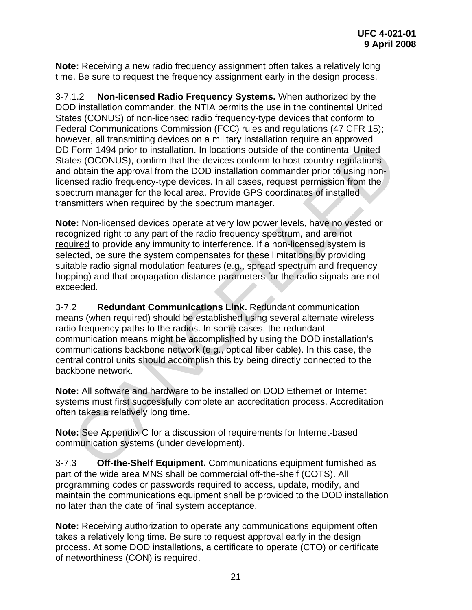<span id="page-29-0"></span>**Note:** Receiving a new radio frequency assignment often takes a relatively long time. Be sure to request the frequency assignment early in the design process.

3-7.1.2 **Non-licensed Radio Frequency Systems.** When authorized by the DOD installation commander, the NTIA permits the use in the continental United States (CONUS) of non-licensed radio frequency-type devices that conform to Federal Communications Commission (FCC) rules and regulations (47 CFR 15); however, all transmitting devices on a military installation require an approved DD Form 1494 prior to installation. In locations outside of the continental United States (OCONUS), confirm that the devices conform to host-country regulations and obtain the approval from the DOD installation commander prior to using nonlicensed radio frequency-type devices. In all cases, request permission from the spectrum manager for the local area. Provide GPS coordinates of installed transmitters when required by the spectrum manager.

**Note:** Non-licensed devices operate at very low power levels, have no vested or recognized right to any part of the radio frequency spectrum, and are not required to provide any immunity to interference. If a non-licensed system is selected, be sure the system compensates for these limitations by providing suitable radio signal modulation features (e.g., spread spectrum and frequency hopping) and that propagation distance parameters for the radio signals are not exceeded. ever, an unanimum grewoes or a nimitary instantanor require an applioner and the COCNUS), confirm that the devises conform to host-country regulation detection of the continental United to dochilate the COCNUS), confirm th

3-7.2 **Redundant Communications Link.** Redundant communication means (when required) should be established using several alternate wireless radio frequency paths to the radios. In some cases, the redundant communication means might be accomplished by using the DOD installation's communications backbone network (e.g., optical fiber cable). In this case, the central control units should accomplish this by being directly connected to the backbone network.

**Note:** All software and hardware to be installed on DOD Ethernet or Internet systems must first successfully complete an accreditation process. Accreditation often takes a relatively long time.

**Note:** See Appendix C for a discussion of requirements for Internet-based communication systems (under development).

3-7.3 **Off-the-Shelf Equipment.** Communications equipment furnished as part of the wide area MNS shall be commercial off-the-shelf (COTS). All programming codes or passwords required to access, update, modify, and maintain the communications equipment shall be provided to the DOD installation no later than the date of final system acceptance.

**Note:** Receiving authorization to operate any communications equipment often takes a relatively long time. Be sure to request approval early in the design process. At some DOD installations, a certificate to operate (CTO) or certificate of networthiness (CON) is required.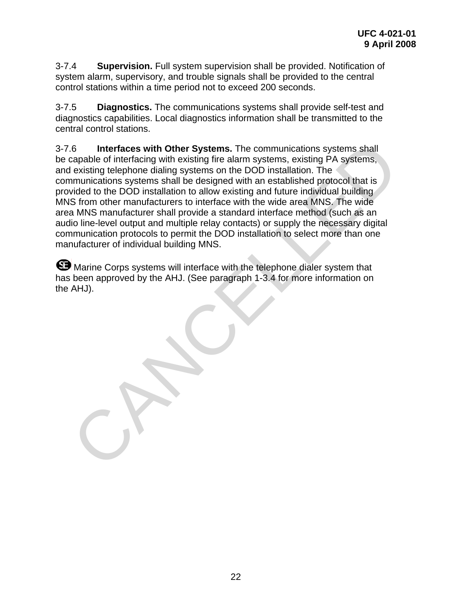<span id="page-30-0"></span>3-7.4 **Supervision.** Full system supervision shall be provided. Notification of system alarm, supervisory, and trouble signals shall be provided to the central control stations within a time period not to exceed 200 seconds.

3-7.5 **Diagnostics.** The communications systems shall provide self-test and diagnostics capabilities. Local diagnostics information shall be transmitted to the central control stations.

3-7.6 **Interfaces with Other Systems.** The communications systems shall be capable of interfacing with existing fire alarm systems, existing PA systems, and existing telephone dialing systems on the DOD installation. The communications systems shall be designed with an established protocol that is provided to the DOD installation to allow existing and future individual building MNS from other manufacturers to interface with the wide area MNS. The wide area MNS manufacturer shall provide a standard interface method (such as an audio line-level output and multiple relay contacts) or supply the necessary digital communication protocols to permit the DOD installation to select more than one manufacturer of individual building MNS. .6 Interfaces with Other Systems. The communications systems shall of interfacing with existing file alarm systems casting PA systems, capacity existing PA systems calculation. The lexisting PA systems shall be designed wi

**S** Marine Corps systems will interface with the telephone dialer system that has been approved by the AHJ. (See paragraph 1-3.4 for more information on the AHJ).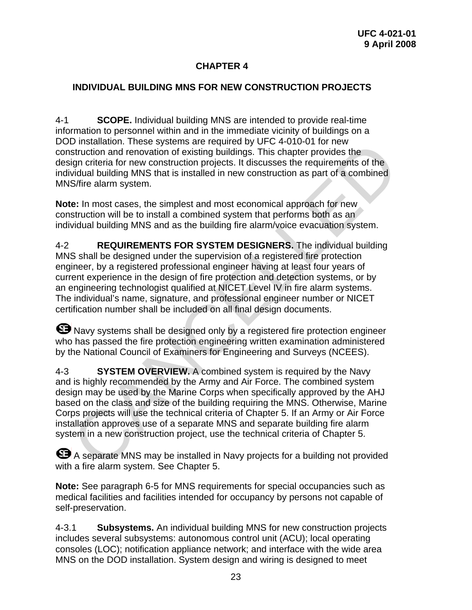#### **CHAPTER 4**

#### <span id="page-31-0"></span>**INDIVIDUAL BUILDING MNS FOR NEW CONSTRUCTION PROJECTS**

4-1 **SCOPE.** Individual building MNS are intended to provide real-time information to personnel within and in the immediate vicinity of buildings on a DOD installation. These systems are required by UFC 4-010-01 for new construction and renovation of existing buildings. This chapter provides the design criteria for new construction projects. It discusses the requirements of the individual building MNS that is installed in new construction as part of a combined MNS/fire alarm system.

**Note:** In most cases, the simplest and most economical approach for new construction will be to install a combined system that performs both as an individual building MNS and as the building fire alarm/voice evacuation system.

4-2 **REQUIREMENTS FOR SYSTEM DESIGNERS.** The individual building MNS shall be designed under the supervision of a registered fire protection engineer, by a registered professional engineer having at least four years of current experience in the design of fire protection and detection systems, or by an engineering technologist qualified at NICET Level IV in fire alarm systems. The individual's name, signature, and professional engineer number or NICET certification number shall be included on all final design documents. D installation. These systems are required by UFC 4-UTU-UT for new<br>
distruction and renovation of existing buildings. This chapter provides the<br>
sign criteria for new construction projects. It discusses the requirements of

**G** Navy systems shall be designed only by a registered fire protection engineer who has passed the fire protection engineering written examination administered by the National Council of Examiners for Engineering and Surveys (NCEES).

4-3 **SYSTEM OVERVIEW.** A combined system is required by the Navy and is highly recommended by the Army and Air Force. The combined system design may be used by the Marine Corps when specifically approved by the AHJ based on the class and size of the building requiring the MNS. Otherwise, Marine Corps projects will use the technical criteria of Chapter 5. If an Army or Air Force installation approves use of a separate MNS and separate building fire alarm system in a new construction project, use the technical criteria of Chapter 5.

 A separate MNS may be installed in Navy projects for a building not provided with a fire alarm system. See Chapter 5.

**Note:** See paragraph 6-5 for MNS requirements for special occupancies such as medical facilities and facilities intended for occupancy by persons not capable of self-preservation.

4-3.1 **Subsystems.** An individual building MNS for new construction projects includes several subsystems: autonomous control unit (ACU); local operating consoles (LOC); notification appliance network; and interface with the wide area MNS on the DOD installation. System design and wiring is designed to meet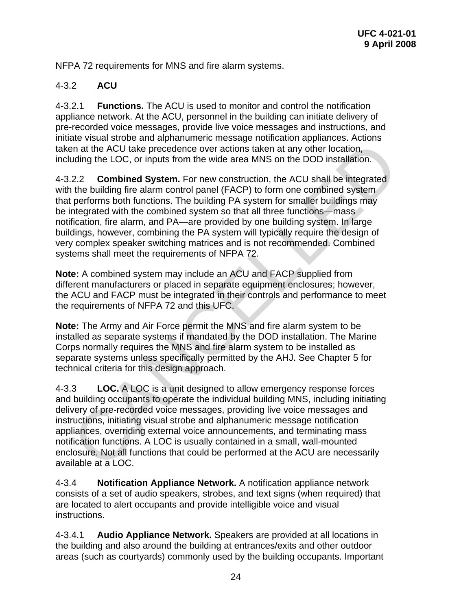<span id="page-32-0"></span>NFPA 72 requirements for MNS and fire alarm systems.

#### 4-3.2 **ACU**

4-3.2.1 **Functions.** The ACU is used to monitor and control the notification appliance network. At the ACU, personnel in the building can initiate delivery of pre-recorded voice messages, provide live voice messages and instructions, and initiate visual strobe and alphanumeric message notification appliances. Actions taken at the ACU take precedence over actions taken at any other location, including the LOC, or inputs from the wide area MNS on the DOD installation.

4-3.2.2 **Combined System.** For new construction, the ACU shall be integrated with the building fire alarm control panel (FACP) to form one combined system that performs both functions. The building PA system for smaller buildings may be integrated with the combined system so that all three functions—mass notification, fire alarm, and PA—are provided by one building system. In large buildings, however, combining the PA system will typically require the design of very complex speaker switching matrices and is not recommended. Combined systems shall meet the requirements of NFPA 72*.* and what the ACU and experimentation involving the ACU same of the ACU take precedence over actions taken at any other location, uding the LOC, or inputs from the wide area MNS on the DOD installation.<br>
2.2 **Combined Syste** 

**Note:** A combined system may include an ACU and FACP supplied from different manufacturers or placed in separate equipment enclosures; however, the ACU and FACP must be integrated in their controls and performance to meet the requirements of NFPA 72 and this UFC.

**Note:** The Army and Air Force permit the MNS and fire alarm system to be installed as separate systems if mandated by the DOD installation. The Marine Corps normally requires the MNS and fire alarm system to be installed as separate systems unless specifically permitted by the AHJ. See Chapter 5 for technical criteria for this design approach.

4-3.3 **LOC.** A LOC is a unit designed to allow emergency response forces and building occupants to operate the individual building MNS, including initiating delivery of pre-recorded voice messages, providing live voice messages and instructions, initiating visual strobe and alphanumeric message notification appliances, overriding external voice announcements, and terminating mass notification functions. A LOC is usually contained in a small, wall-mounted enclosure. Not all functions that could be performed at the ACU are necessarily available at a LOC.

4-3.4 **Notification Appliance Network.** A notification appliance network consists of a set of audio speakers, strobes, and text signs (when required) that are located to alert occupants and provide intelligible voice and visual instructions.

4-3.4.1 **Audio Appliance Network.** Speakers are provided at all locations in the building and also around the building at entrances/exits and other outdoor areas (such as courtyards) commonly used by the building occupants. Important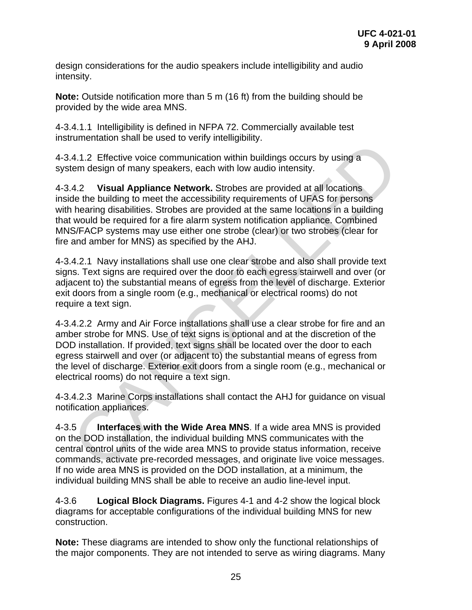<span id="page-33-0"></span>design considerations for the audio speakers include intelligibility and audio intensity.

**Note:** Outside notification more than 5 m (16 ft) from the building should be provided by the wide area MNS.

4-3.4.1.1 Intelligibility is defined in NFPA 72. Commercially available test instrumentation shall be used to verify intelligibility.

4-3.4.1.2 Effective voice communication within buildings occurs by using a system design of many speakers, each with low audio intensity.

4-3.4.2 **Visual Appliance Network.** Strobes are provided at all locations inside the building to meet the accessibility requirements of UFAS for persons with hearing disabilities. Strobes are provided at the same locations in a building that would be required for a fire alarm system notification appliance. Combined MNS/FACP systems may use either one strobe (clear) or two strobes (clear for fire and amber for MNS) as specified by the AHJ.

4-3.4.2.1 Navy installations shall use one clear strobe and also shall provide text signs. Text signs are required over the door to each egress stairwell and over (or adjacent to) the substantial means of egress from the level of discharge. Exterior exit doors from a single room (e.g., mechanical or electrical rooms) do not require a text sign.

4-3.4.2.2 Army and Air Force installations shall use a clear strobe for fire and an amber strobe for MNS. Use of text signs is optional and at the discretion of the DOD installation. If provided, text signs shall be located over the door to each egress stairwell and over (or adjacent to) the substantial means of egress from the level of discharge. Exterior exit doors from a single room (e.g., mechanical or electrical rooms) do not require a text sign. A.1.2. Effective voice communication within buildings occurs by using a<br>4.1.2. Effective voice communication within buildings occurs by using a<br>4.1.2. **Visual Appliance Network.** Strobes are provided at all locations<br>de th

4-3.4.2.3 Marine Corps installations shall contact the AHJ for guidance on visual notification appliances.

4-3.5 **Interfaces with the Wide Area MNS**. If a wide area MNS is provided on the DOD installation, the individual building MNS communicates with the central control units of the wide area MNS to provide status information, receive commands, activate pre-recorded messages, and originate live voice messages. If no wide area MNS is provided on the DOD installation, at a minimum, the individual building MNS shall be able to receive an audio line-level input.

4-3.6 **Logical Block Diagrams.** Figures 4-1 and 4-2 show the logical block diagrams for acceptable configurations of the individual building MNS for new construction.

**Note:** These diagrams are intended to show only the functional relationships of the major components. They are not intended to serve as wiring diagrams. Many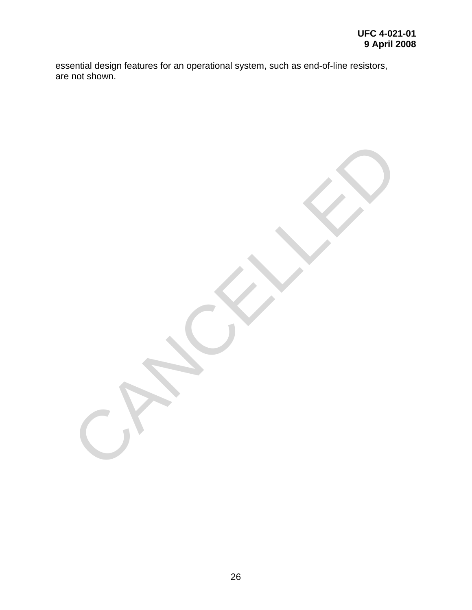essential design features for an operational system, such as end-of-line resistors, are not shown.

CANCELLED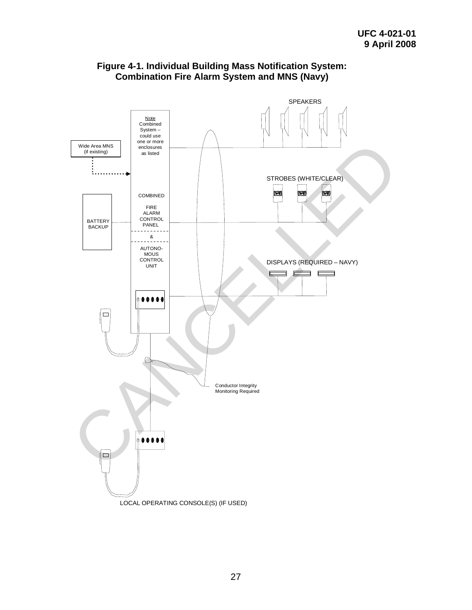<span id="page-35-0"></span>

#### **Figure 4-1. Individual Building Mass Notification System: Combination Fire Alarm System and MNS (Navy)**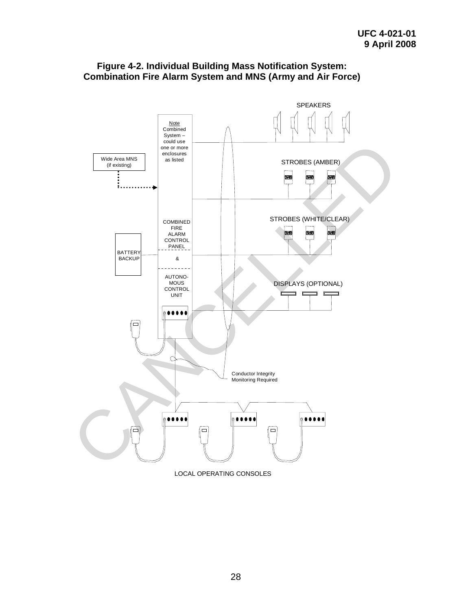

## **Figure 4-2. Individual Building Mass Notification System: Combination Fire Alarm System and MNS (Army and Air Force)**

LOCAL OPERATING CONSOLES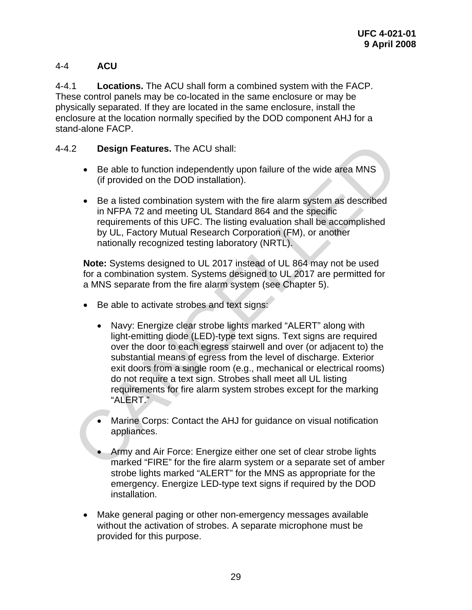# 4-4 **ACU**

4-4.1 **Locations.** The ACU shall form a combined system with the FACP. These control panels may be co-located in the same enclosure or may be physically separated. If they are located in the same enclosure, install the enclosure at the location normally specified by the DOD component AHJ for a stand-alone FACP.

## 4-4.2 **Design Features.** The ACU shall:

- Be able to function independently upon failure of the wide area MNS (if provided on the DOD installation).
- Be a listed combination system with the fire alarm system as described in NFPA 72 and meeting UL Standard 864 and the specific requirements of this UFC. The listing evaluation shall be accomplished by UL, Factory Mutual Research Corporation (FM), or another nationally recognized testing laboratory (NRTL).

**Note:** Systems designed to UL 2017 instead of UL 864 may not be used for a combination system. Systems designed to UL 2017 are permitted for a MNS separate from the fire alarm system (see Chapter 5).

- Be able to activate strobes and text signs:
- Navy: Energize clear strobe lights marked "ALERT" along with light-emitting diode (LED)-type text signs. Text signs are required over the door to each egress stairwell and over (or adjacent to) the substantial means of egress from the level of discharge. Exterior exit doors from a single room (e.g., mechanical or electrical rooms) do not require a text sign. Strobes shall meet all UL listing requirements for fire alarm system strobes except for the marking "ALERT." 9.2 Design Features. The ACU shall:<br>
• Be able to function independently upon failure of the wide area MNS<br>
(if provided on the DOD installation).<br>
• Be a listed combination system with the fire alarm system as described<br>
	- Marine Corps: Contact the AHJ for guidance on visual notification appliances.
	- Army and Air Force: Energize either one set of clear strobe lights marked "FIRE" for the fire alarm system or a separate set of amber strobe lights marked "ALERT" for the MNS as appropriate for the emergency. Energize LED-type text signs if required by the DOD installation.
	- Make general paging or other non-emergency messages available without the activation of strobes. A separate microphone must be provided for this purpose.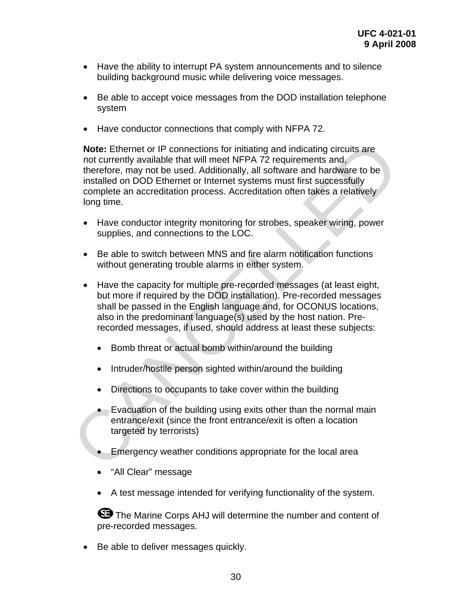- Have the ability to interrupt PA system announcements and to silence building background music while delivering voice messages.
- Be able to accept voice messages from the DOD installation telephone system
- Have conductor connections that comply with NFPA 72.

**Note:** Ethernet or IP connections for initiating and indicating circuits are not currently available that will meet NFPA 72 requirements and, therefore, may not be used. Additionally, all software and hardware to be installed on DOD Ethernet or Internet systems must first successfully complete an accreditation process. Accreditation often takes a relatively long time. Note: Ethernet or IP connections for initiating and indicating circuits are<br>not currently available that will meet NFPA 72 requirements and,<br>therefore, may not be used. Additionally, all software and hardware to be<br>instal

- Have conductor integrity monitoring for strobes, speaker wiring, power supplies, and connections to the LOC.
- Be able to switch between MNS and fire alarm notification functions without generating trouble alarms in either system.
- Have the capacity for multiple pre-recorded messages (at least eight, but more if required by the DOD installation). Pre-recorded messages shall be passed in the English language and, for OCONUS locations, also in the predominant language(s) used by the host nation. Prerecorded messages, if used, should address at least these subjects:
	- Bomb threat or actual bomb within/around the building
	- Intruder/hostile person sighted within/around the building
	- Directions to occupants to take cover within the building
	- Evacuation of the building using exits other than the normal main entrance/exit (since the front entrance/exit is often a location targeted by terrorists)
	- Emergency weather conditions appropriate for the local area
	- "All Clear" message
	- A test message intended for verifying functionality of the system.

**E** The Marine Corps AHJ will determine the number and content of pre-recorded messages.

• Be able to deliver messages quickly.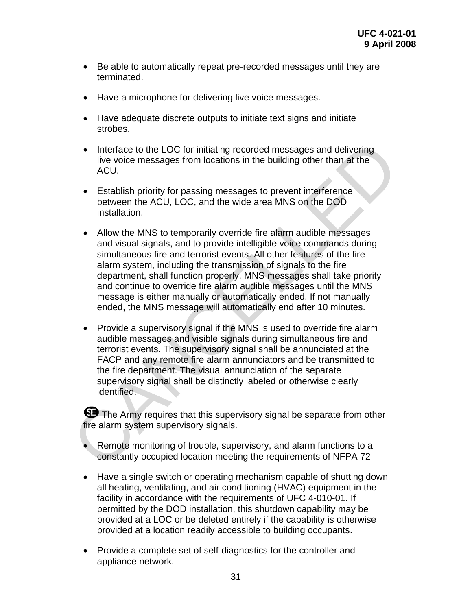- Be able to automatically repeat pre-recorded messages until they are terminated.
- Have a microphone for delivering live voice messages.
- Have adequate discrete outputs to initiate text signs and initiate strobes.
- Interface to the LOC for initiating recorded messages and delivering live voice messages from locations in the building other than at the ACU.
- Establish priority for passing messages to prevent interference between the ACU, LOC, and the wide area MNS on the DOD installation.
- Allow the MNS to temporarily override fire alarm audible messages and visual signals, and to provide intelligible voice commands during simultaneous fire and terrorist events. All other features of the fire alarm system, including the transmission of signals to the fire department, shall function properly. MNS messages shall take priority and continue to override fire alarm audible messages until the MNS message is either manually or automatically ended. If not manually ended, the MNS message will automatically end after 10 minutes. • Interface to the LOC for initiating recorded messages and delivering<br>
live voice messages from locations in the building other than at the<br>
excution and the VCU.<br>
Establish priority for passing messages to prevent inter
	- Provide a supervisory signal if the MNS is used to override fire alarm audible messages and visible signals during simultaneous fire and terrorist events. The supervisory signal shall be annunciated at the FACP and any remote fire alarm annunciators and be transmitted to the fire department. The visual annunciation of the separate supervisory signal shall be distinctly labeled or otherwise clearly identified.

**S** The Army requires that this supervisory signal be separate from other fire alarm system supervisory signals.

- Remote monitoring of trouble, supervisory, and alarm functions to a constantly occupied location meeting the requirements of NFPA 72
- Have a single switch or operating mechanism capable of shutting down all heating, ventilating, and air conditioning (HVAC) equipment in the facility in accordance with the requirements of UFC 4-010-01. If permitted by the DOD installation, this shutdown capability may be provided at a LOC or be deleted entirely if the capability is otherwise provided at a location readily accessible to building occupants.
- Provide a complete set of self-diagnostics for the controller and appliance network.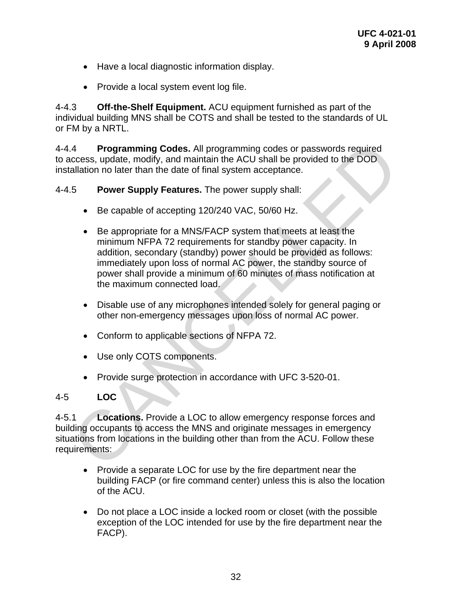- Have a local diagnostic information display.
- Provide a local system event log file.

4-4.3 **Off-the-Shelf Equipment.** ACU equipment furnished as part of the individual building MNS shall be COTS and shall be tested to the standards of UL or FM by a NRTL.

4-4.4 **Programming Codes.** All programming codes or passwords required to access, update, modify, and maintain the ACU shall be provided to the DOD installation no later than the date of final system acceptance.

#### 4-4.5 **Power Supply Features.** The power supply shall:

- Be capable of accepting 120/240 VAC, 50/60 Hz.
- Be appropriate for a MNS/FACP system that meets at least the minimum NFPA 72 requirements for standby power capacity. In addition, secondary (standby) power should be provided as follows: immediately upon loss of normal AC power, the standby source of power shall provide a minimum of 60 minutes of mass notification at the maximum connected load. 4 **Programming Codes.** All programming codes or passwords required<br>
cacess, update, modify, and maintain the ACU shall be provided to the DOD<br>
stallation no later than the date of final system acceptance.<br> **Power Supply** 
	- Disable use of any microphones intended solely for general paging or other non-emergency messages upon loss of normal AC power.
	- Conform to applicable sections of NFPA 72.
	- Use only COTS components.
	- Provide surge protection in accordance with UFC 3-520-01.

## 4-5 **LOC**

4-5.1 **Locations.** Provide a LOC to allow emergency response forces and building occupants to access the MNS and originate messages in emergency situations from locations in the building other than from the ACU. Follow these requirements:

- Provide a separate LOC for use by the fire department near the building FACP (or fire command center) unless this is also the location of the ACU.
- Do not place a LOC inside a locked room or closet (with the possible exception of the LOC intended for use by the fire department near the FACP).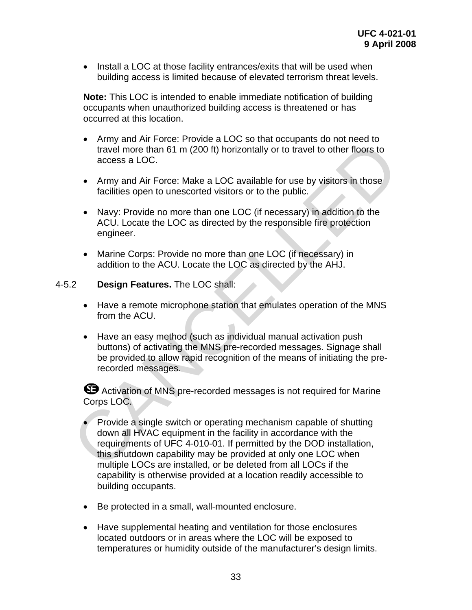• Install a LOC at those facility entrances/exits that will be used when building access is limited because of elevated terrorism threat levels.

**Note:** This LOC is intended to enable immediate notification of building occupants when unauthorized building access is threatened or has occurred at this location.

- Army and Air Force: Provide a LOC so that occupants do not need to travel more than 61 m (200 ft) horizontally or to travel to other floors to access a LOC.
- Army and Air Force: Make a LOC available for use by visitors in those facilities open to unescorted visitors or to the public.
- Navy: Provide no more than one LOC (if necessary) in addition to the ACU. Locate the LOC as directed by the responsible fire protection engineer.
- Marine Corps: Provide no more than one LOC (if necessary) in addition to the ACU. Locate the LOC as directed by the AHJ.

#### 4-5.2 **Design Features.** The LOC shall:

- Have a remote microphone station that emulates operation of the MNS from the ACU.
- Have an easy method (such as individual manual activation push buttons) of activating the MNS pre-recorded messages. Signage shall be provided to allow rapid recognition of the means of initiating the prerecorded messages.

**B** Activation of MNS pre-recorded messages is not required for Marine Corps LOC.

- Provide a single switch or operating mechanism capable of shutting down all HVAC equipment in the facility in accordance with the requirements of UFC 4-010-01. If permitted by the DOD installation, this shutdown capability may be provided at only one LOC when multiple LOCs are installed, or be deleted from all LOCs if the capability is otherwise provided at a location readily accessible to building occupants. • Hiny and Air Force. Trowde a LOC surate occupation to the treat of the transists of access a LOC.<br>
• Army and Air Force: Make a LOC available for use by visitors in those<br>
facilities open to unescorted visitors or to th
	- Be protected in a small, wall-mounted enclosure.
	- Have supplemental heating and ventilation for those enclosures located outdoors or in areas where the LOC will be exposed to temperatures or humidity outside of the manufacturer's design limits.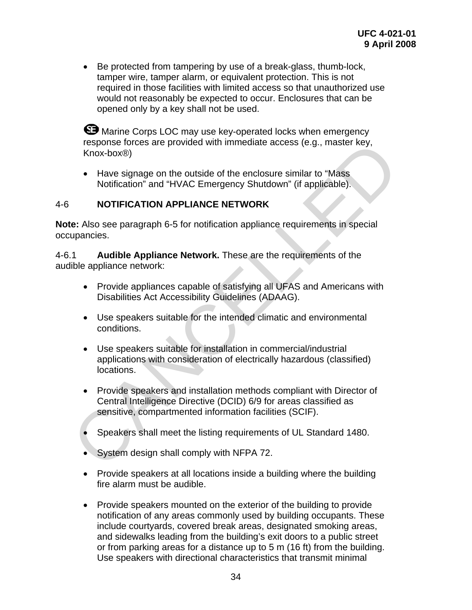• Be protected from tampering by use of a break-glass, thumb-lock, tamper wire, tamper alarm, or equivalent protection. This is not required in those facilities with limited access so that unauthorized use would not reasonably be expected to occur. Enclosures that can be opened only by a key shall not be used.

**G** Marine Corps LOC may use key-operated locks when emergency response forces are provided with immediate access (e.g., master key, Knox-box®)

• Have signage on the outside of the enclosure similar to "Mass Notification" and "HVAC Emergency Shutdown" (if applicable).

## 4-6 **NOTIFICATION APPLIANCE NETWORK**

**Note:** Also see paragraph 6-5 for notification appliance requirements in special occupancies.

4-6.1 **Audible Appliance Network.** These are the requirements of the audible appliance network:

- Provide appliances capable of satisfying all UFAS and Americans with Disabilities Act Accessibility Guidelines (ADAAG).
- Use speakers suitable for the intended climatic and environmental conditions.
- Use speakers suitable for installation in commercial/industrial applications with consideration of electrically hazardous (classified) locations.
- Provide speakers and installation methods compliant with Director of Central Intelligence Directive (DCID) 6/9 for areas classified as sensitive, compartmented information facilities (SCIF). response forces are provided with immediate access (e.g., master key,<br>
Knox-box®)<br>
• Have signage on the outside of the enclosure similar to "Mass<br>
Notification" and "HVAC Emergency Shutdown" (if applicable).<br>
• NOTIFICATI
	- Speakers shall meet the listing requirements of UL Standard 1480.
	- System design shall comply with NFPA 72.
	- Provide speakers at all locations inside a building where the building fire alarm must be audible.
	- Provide speakers mounted on the exterior of the building to provide notification of any areas commonly used by building occupants. These include courtyards, covered break areas, designated smoking areas, and sidewalks leading from the building's exit doors to a public street or from parking areas for a distance up to 5 m (16 ft) from the building. Use speakers with directional characteristics that transmit minimal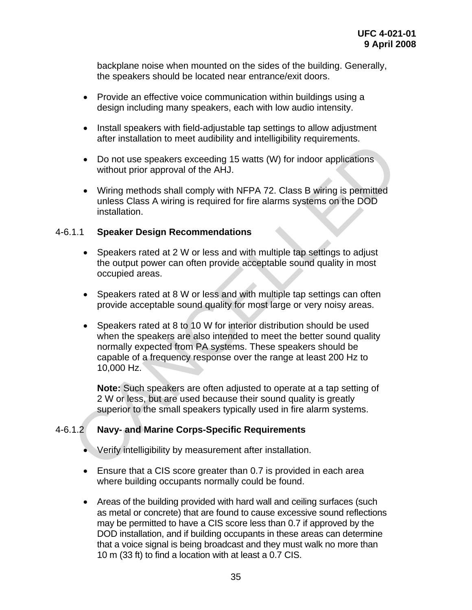backplane noise when mounted on the sides of the building. Generally, the speakers should be located near entrance/exit doors.

- Provide an effective voice communication within buildings using a design including many speakers, each with low audio intensity.
- Install speakers with field-adjustable tap settings to allow adjustment after installation to meet audibility and intelligibility requirements.
- Do not use speakers exceeding 15 watts (W) for indoor applications without prior approval of the AHJ.
- Wiring methods shall comply with NFPA 72. Class B wiring is permitted unless Class A wiring is required for fire alarms systems on the DOD installation.

## 4-6.1.1 **Speaker Design Recommendations**

- Speakers rated at 2 W or less and with multiple tap settings to adjust the output power can often provide acceptable sound quality in most occupied areas.
- Speakers rated at 8 W or less and with multiple tap settings can often provide acceptable sound quality for most large or very noisy areas.
- Speakers rated at 8 to 10 W for interior distribution should be used when the speakers are also intended to meet the better sound quality normally expected from PA systems. These speakers should be capable of a frequency response over the range at least 200 Hz to 10,000 Hz. and the metallacteristics are advantaged in South Canadian and the seading of the particle without prior approval of the AHJ.<br>
Wiring methods shall comply with NFPA 72. Class B wiring is permitted<br>
unless Class A wiring is

**Note:** Such speakers are often adjusted to operate at a tap setting of 2 W or less, but are used because their sound quality is greatly superior to the small speakers typically used in fire alarm systems.

## 4-6.1.2 **Navy- and Marine Corps-Specific Requirements**

- Verify intelligibility by measurement after installation.
- Ensure that a CIS score greater than 0.7 is provided in each area where building occupants normally could be found.
- Areas of the building provided with hard wall and ceiling surfaces (such as metal or concrete) that are found to cause excessive sound reflections may be permitted to have a CIS score less than 0.7 if approved by the DOD installation, and if building occupants in these areas can determine that a voice signal is being broadcast and they must walk no more than 10 m (33 ft) to find a location with at least a 0.7 CIS.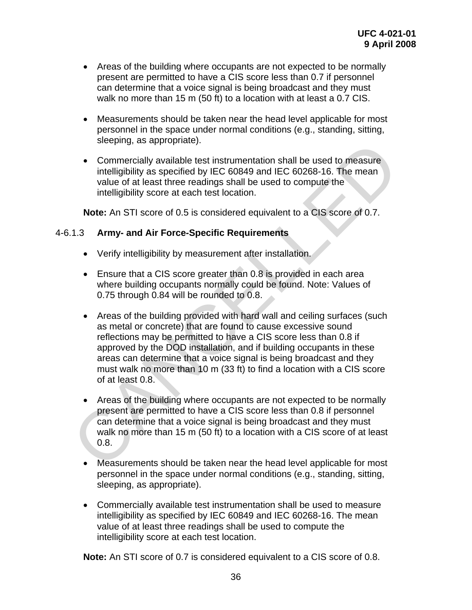- Areas of the building where occupants are not expected to be normally present are permitted to have a CIS score less than 0.7 if personnel can determine that a voice signal is being broadcast and they must walk no more than 15 m (50 ft) to a location with at least a 0.7 CIS.
- Measurements should be taken near the head level applicable for most personnel in the space under normal conditions (e.g., standing, sitting, sleeping, as appropriate).
- Commercially available test instrumentation shall be used to measure intelligibility as specified by IEC 60849 and IEC 60268-16. The mean value of at least three readings shall be used to compute the intelligibility score at each test location.

**Note:** An STI score of 0.5 is considered equivalent to a CIS score of 0.7.

## 4-6.1.3 **Army- and Air Force-Specific Requirements**

- Verify intelligibility by measurement after installation.
- Ensure that a CIS score greater than 0.8 is provided in each area where building occupants normally could be found. Note: Values of 0.75 through 0.84 will be rounded to 0.8.
- Areas of the building provided with hard wall and ceiling surfaces (such as metal or concrete) that are found to cause excessive sound reflections may be permitted to have a CIS score less than 0.8 if approved by the DOD installation, and if building occupants in these areas can determine that a voice signal is being broadcast and they must walk no more than 10 m (33 ft) to find a location with a CIS score of at least 0.8. seeping, as appropriate).<br>
Commercially available test instrumentation shall be used to measure<br>
intelligibility as specified by IEC 60849 and IEC 60268-16. The mean<br>
value of at least three readings shall be used to compu
	- Areas of the building where occupants are not expected to be normally present are permitted to have a CIS score less than 0.8 if personnel can determine that a voice signal is being broadcast and they must walk no more than 15 m (50 ft) to a location with a CIS score of at least 0.8.
	- Measurements should be taken near the head level applicable for most personnel in the space under normal conditions (e.g., standing, sitting, sleeping, as appropriate).
	- Commercially available test instrumentation shall be used to measure intelligibility as specified by IEC 60849 and IEC 60268-16. The mean value of at least three readings shall be used to compute the intelligibility score at each test location.

**Note:** An STI score of 0.7 is considered equivalent to a CIS score of 0.8.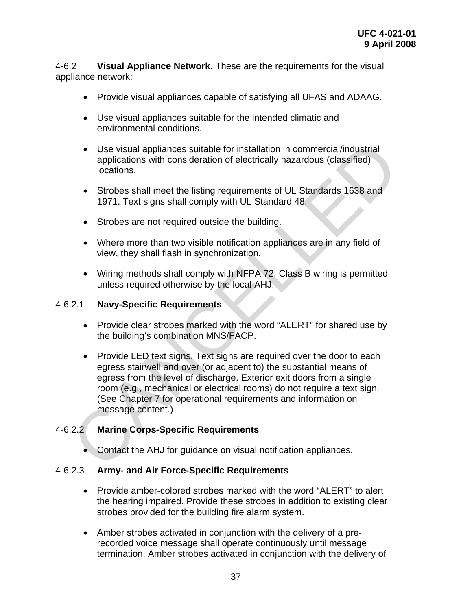4-6.2 **Visual Appliance Network.** These are the requirements for the visual appliance network:

- Provide visual appliances capable of satisfying all UFAS and ADAAG.
- Use visual appliances suitable for the intended climatic and environmental conditions.
- Use visual appliances suitable for installation in commercial/industrial applications with consideration of electrically hazardous (classified) locations.
- Strobes shall meet the listing requirements of UL Standards 1638 and 1971. Text signs shall comply with UL Standard 48.
- Strobes are not required outside the building.
- Where more than two visible notification appliances are in any field of view, they shall flash in synchronization.
- Wiring methods shall comply with NFPA 72. Class B wiring is permitted unless required otherwise by the local AHJ.

## 4-6.2.1 **Navy-Specific Requirements**

- Provide clear strobes marked with the word "ALERT" for shared use by the building's combination MNS/FACP.
- Provide LED text signs. Text signs are required over the door to each egress stairwell and over (or adjacent to) the substantial means of egress from the level of discharge. Exterior exit doors from a single room (e.g., mechanical or electrical rooms) do not require a text sign. (See Chapter 7 for operational requirements and information on message content.) <ul>\n<li>Use visual applications suitable for installation in commercial/individual applications with consideration of electrically hazardous (classified) locations.</li>\n<li>Strobes shall meet the listing requirements of UL Standards 1638 and 1971. Text signs shall comply with UL Standard 48.</li>\n<li>Strobes are not required outside the building.</li>\n<li>Where more than two visible notification applications.</li>\n<li>Where more than two visible notification applications.</li>\n<li>Writing methods shall comply with NFPA 72. Class B wiring is permitted unless required otherwise by the local AHJ.</li>\n<li>2.1 Navy-Specific Requirements</li>\n<li>Provide clear strokes marked with the word "ALERT" for shared use by the building's combination MNS/FACP.</li>\n<li>Provide LED text signs. Text signs are required over the door to each egress trained between the level of discharge. Exterior exit doors from a single room (

## 4-6.2.2 **Marine Corps-Specific Requirements**

• Contact the AHJ for guidance on visual notification appliances.

#### 4-6.2.3 **Army- and Air Force-Specific Requirements**

- Provide amber-colored strobes marked with the word "ALERT" to alert the hearing impaired. Provide these strobes in addition to existing clear strobes provided for the building fire alarm system.
- Amber strobes activated in conjunction with the delivery of a prerecorded voice message shall operate continuously until message termination. Amber strobes activated in conjunction with the delivery of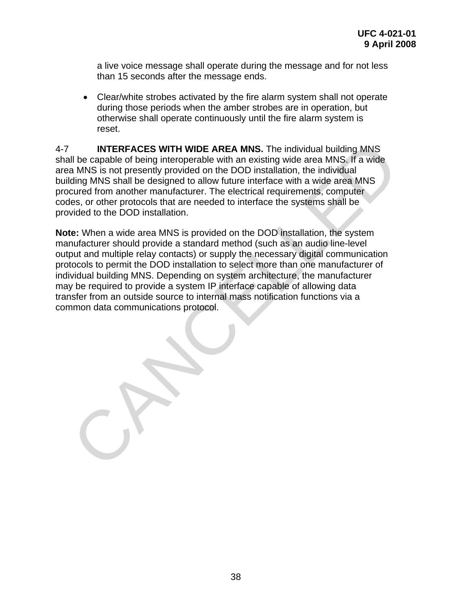a live voice message shall operate during the message and for not less than 15 seconds after the message ends.

• Clear/white strobes activated by the fire alarm system shall not operate during those periods when the amber strobes are in operation, but otherwise shall operate continuously until the fire alarm system is reset.

4-7 **INTERFACES WITH WIDE AREA MNS.** The individual building MNS shall be capable of being interoperable with an existing wide area MNS. If a wide area MNS is not presently provided on the DOD installation, the individual building MNS shall be designed to allow future interface with a wide area MNS procured from another manufacturer. The electrical requirements, computer codes, or other protocols that are needed to interface the systems shall be provided to the DOD installation.

**Note:** When a wide area MNS is provided on the DOD installation, the system manufacturer should provide a standard method (such as an audio line-level output and multiple relay contacts) or supply the necessary digital communication protocols to permit the DOD installation to select more than one manufacturer of individual building MNS. Depending on system architecture, the manufacturer may be required to provide a system IP interface capable of allowing data transfer from an outside source to internal mass notification functions via a common data communications protocol. INTERFACES WITH WIDE AREA MNS. The individual building MNS<br>all be capable of being interoperable with an existing wide area MNS. If a wide<br>a MNS is not presently provided on the DOD installation, the individual<br>ding MNS sh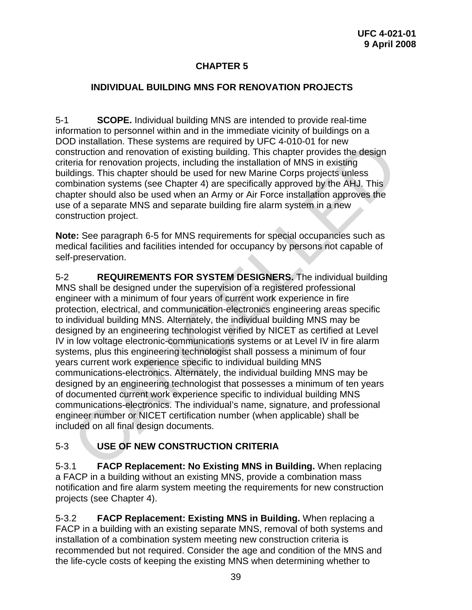# **CHAPTER 5**

## **INDIVIDUAL BUILDING MNS FOR RENOVATION PROJECTS**

5-1 **SCOPE.** Individual building MNS are intended to provide real-time information to personnel within and in the immediate vicinity of buildings on a DOD installation. These systems are required by UFC 4-010-01 for new construction and renovation of existing building. This chapter provides the design criteria for renovation projects, including the installation of MNS in existing buildings. This chapter should be used for new Marine Corps projects unless combination systems (see Chapter 4) are specifically approved by the AHJ. This chapter should also be used when an Army or Air Force installation approves the use of a separate MNS and separate building fire alarm system in a new construction project.

**Note:** See paragraph 6-5 for MNS requirements for special occupancies such as medical facilities and facilities intended for occupancy by persons not capable of self-preservation.

5-2 **REQUIREMENTS FOR SYSTEM DESIGNERS.** The individual building MNS shall be designed under the supervision of a registered professional engineer with a minimum of four years of current work experience in fire protection, electrical, and communication-electronics engineering areas specific to individual building MNS. Alternately, the individual building MNS may be designed by an engineering technologist verified by NICET as certified at Level IV in low voltage electronic-communications systems or at Level IV in fire alarm systems, plus this engineering technologist shall possess a minimum of four years current work experience specific to individual building MNS communications-electronics. Alternately, the individual building MNS may be designed by an engineering technologist that possesses a minimum of ten years of documented current work experience specific to individual building MNS communications-electronics. The individual's name, signature, and professional engineer number or NICET certification number (when applicable) shall be included on all final design documents. D installation. These systems are required by UFC 4-UTU-11 for new<br>sistruction and renovation of existing building. This chapter provides the design<br>eria for renovation projects, including the installation of MNS in existi

# 5-3 **USE OF NEW CONSTRUCTION CRITERIA**

5-3.1 **FACP Replacement: No Existing MNS in Building.** When replacing a FACP in a building without an existing MNS, provide a combination mass notification and fire alarm system meeting the requirements for new construction projects (see Chapter 4).

5-3.2 **FACP Replacement: Existing MNS in Building.** When replacing a FACP in a building with an existing separate MNS, removal of both systems and installation of a combination system meeting new construction criteria is recommended but not required. Consider the age and condition of the MNS and the life-cycle costs of keeping the existing MNS when determining whether to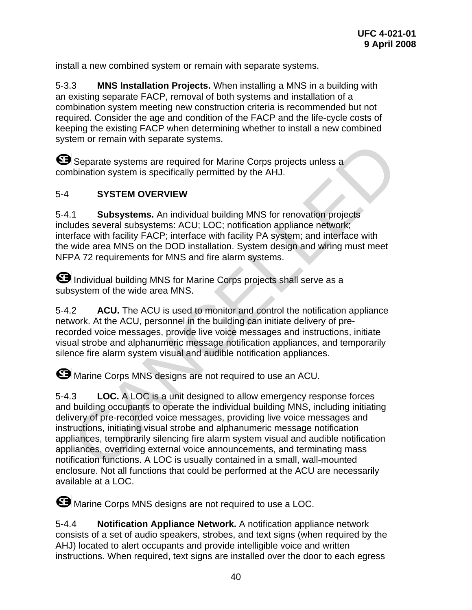install a new combined system or remain with separate systems.

5-3.3 **MNS Installation Projects.** When installing a MNS in a building with an existing separate FACP, removal of both systems and installation of a combination system meeting new construction criteria is recommended but not required. Consider the age and condition of the FACP and the life-cycle costs of keeping the existing FACP when determining whether to install a new combined system or remain with separate systems.

Separate systems are required for Marine Corps projects unless a combination system is specifically permitted by the AHJ.

## 5-4 **SYSTEM OVERVIEW**

5-4.1 **Subsystems.** An individual building MNS for renovation projects includes several subsystems: ACU; LOC; notification appliance network; interface with facility FACP; interface with facility PA system; and interface with the wide area MNS on the DOD installation. System design and wiring must meet NFPA 72 requirements for MNS and fire alarm systems.

 Individual building MNS for Marine Corps projects shall serve as a subsystem of the wide area MNS.

5-4.2 **ACU.** The ACU is used to monitor and control the notification appliance network. At the ACU, personnel in the building can initiate delivery of prerecorded voice messages, provide live voice messages and instructions, initiate visual strobe and alphanumeric message notification appliances, and temporarily silence fire alarm system visual and audible notification appliances.

 $\bullet$  Marine Corps MNS designs are not required to use an ACU.

5-4.3 **LOC.** A LOC is a unit designed to allow emergency response forces and building occupants to operate the individual building MNS, including initiating delivery of pre-recorded voice messages, providing live voice messages and instructions, initiating visual strobe and alphanumeric message notification appliances, temporarily silencing fire alarm system visual and audible notification appliances, overriding external voice announcements, and terminating mass notification functions. A LOC is usually contained in a small, wall-mounted enclosure. Not all functions that could be performed at the ACU are necessarily available at a LOC. Considerate systems are required for Marine Corps projects unless a<br>
Separate systems are required for Marine Corps projects unless a<br>
SYSTEM OVERVIEW<br>
1. SUbsystems. An individual building MNS for renovation projects<br>
ude

**S** Marine Corps MNS designs are not required to use a LOC.

5-4.4 **Notification Appliance Network.** A notification appliance network consists of a set of audio speakers, strobes, and text signs (when required by the AHJ) located to alert occupants and provide intelligible voice and written instructions. When required, text signs are installed over the door to each egress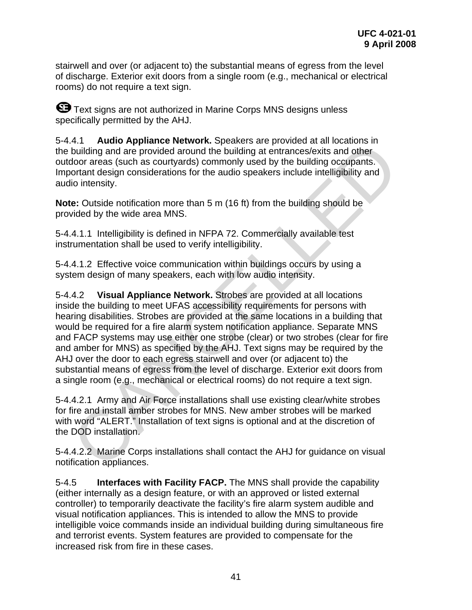stairwell and over (or adjacent to) the substantial means of egress from the level of discharge. Exterior exit doors from a single room (e.g., mechanical or electrical rooms) do not require a text sign.

**G** Text signs are not authorized in Marine Corps MNS designs unless specifically permitted by the AHJ.

5-4.4.1 **Audio Appliance Network.** Speakers are provided at all locations in the building and are provided around the building at entrances/exits and other outdoor areas (such as courtyards) commonly used by the building occupants. Important design considerations for the audio speakers include intelligibility and audio intensity.

**Note:** Outside notification more than 5 m (16 ft) from the building should be provided by the wide area MNS.

5-4.4.1.1 Intelligibility is defined in NFPA 72. Commercially available test instrumentation shall be used to verify intelligibility.

5-4.4.1.2 Effective voice communication within buildings occurs by using a system design of many speakers, each with low audio intensity.

5-4.4.2 **Visual Appliance Network.** Strobes are provided at all locations inside the building to meet UFAS accessibility requirements for persons with hearing disabilities. Strobes are provided at the same locations in a building that would be required for a fire alarm system notification appliance. Separate MNS and FACP systems may use either one strobe (clear) or two strobes (clear for fire and amber for MNS) as specified by the AHJ. Text signs may be required by the AHJ over the door to each egress stairwell and over (or adjacent to) the substantial means of egress from the level of discharge. Exterior exit doors from a single room (e.g., mechanical or electrical rooms) do not require a text sign. 4.1 Audio Appliance Nework. Speakers are provided in building and are provided around the building at entraces/sexits and other building and are provided around the building at entraces/sexits and other door areas (such as

5-4.4.2.1 Army and Air Force installations shall use existing clear/white strobes for fire and install amber strobes for MNS. New amber strobes will be marked with word "ALERT." Installation of text signs is optional and at the discretion of the DOD installation.

5-4.4.2.2 Marine Corps installations shall contact the AHJ for guidance on visual notification appliances.

5-4.5 **Interfaces with Facility FACP.** The MNS shall provide the capability (either internally as a design feature, or with an approved or listed external controller) to temporarily deactivate the facility's fire alarm system audible and visual notification appliances. This is intended to allow the MNS to provide intelligible voice commands inside an individual building during simultaneous fire and terrorist events. System features are provided to compensate for the increased risk from fire in these cases.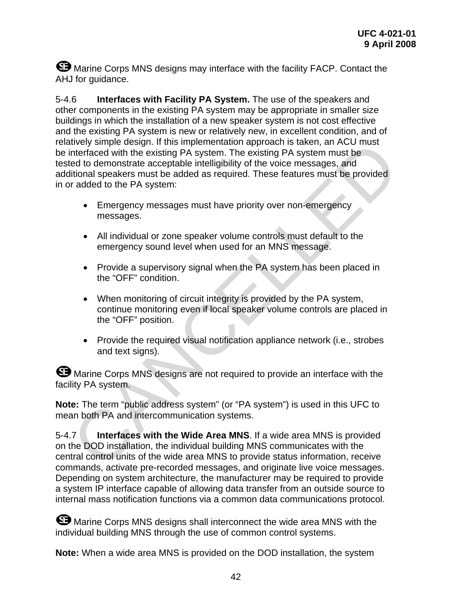**S** Marine Corps MNS designs may interface with the facility FACP. Contact the AHJ for guidance.

5-4.6 **Interfaces with Facility PA System.** The use of the speakers and other components in the existing PA system may be appropriate in smaller size buildings in which the installation of a new speaker system is not cost effective and the existing PA system is new or relatively new, in excellent condition, and of relatively simple design. If this implementation approach is taken, an ACU must be interfaced with the existing PA system. The existing PA system must be tested to demonstrate acceptable intelligibility of the voice messages, and additional speakers must be added as required. These features must be provided in or added to the PA system: tively simple design. It this implementation approach is taken, an ACU must<br>tinterfaced with the existing PA system. The existing PA system must be<br>eld to demonstrate acceptable intelligibility of the voice messages, and<br>t

- Emergency messages must have priority over non-emergency messages.
- All individual or zone speaker volume controls must default to the emergency sound level when used for an MNS message.
- Provide a supervisory signal when the PA system has been placed in the "OFF" condition.
- When monitoring of circuit integrity is provided by the PA system, continue monitoring even if local speaker volume controls are placed in the "OFF" position.
- Provide the required visual notification appliance network (i.e., strobes and text signs).

**S** Marine Corps MNS designs are not required to provide an interface with the facility PA system.

**Note:** The term "public address system" (or "PA system") is used in this UFC to mean both PA and intercommunication systems.

5-4.7 **Interfaces with the Wide Area MNS**. If a wide area MNS is provided on the DOD installation, the individual building MNS communicates with the central control units of the wide area MNS to provide status information, receive commands, activate pre-recorded messages, and originate live voice messages. Depending on system architecture, the manufacturer may be required to provide a system IP interface capable of allowing data transfer from an outside source to internal mass notification functions via a common data communications protocol.

**S** Marine Corps MNS designs shall interconnect the wide area MNS with the individual building MNS through the use of common control systems.

**Note:** When a wide area MNS is provided on the DOD installation, the system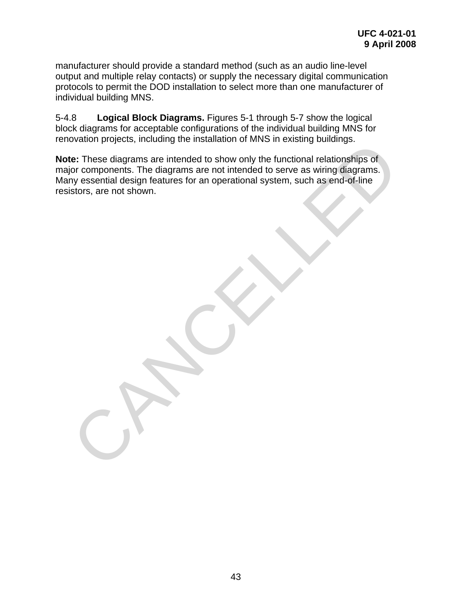manufacturer should provide a standard method (such as an audio line-level output and multiple relay contacts) or supply the necessary digital communication protocols to permit the DOD installation to select more than one manufacturer of individual building MNS.

5-4.8 **Logical Block Diagrams.** Figures 5-1 through 5-7 show the logical block diagrams for acceptable configurations of the individual building MNS for renovation projects, including the installation of MNS in existing buildings.

**Note:** These diagrams are intended to show only the functional relationships of major components. The diagrams are not intended to serve as wiring diagrams. Many essential design features for an operational system, such as end-of-line resistors, are not shown. ovalidor projects, including the instantation of wind in existing buildings.<br> **EE:** These diagrams are interded to show only the functional relationships of<br>the components. The diagrams are not intended to serve as wring d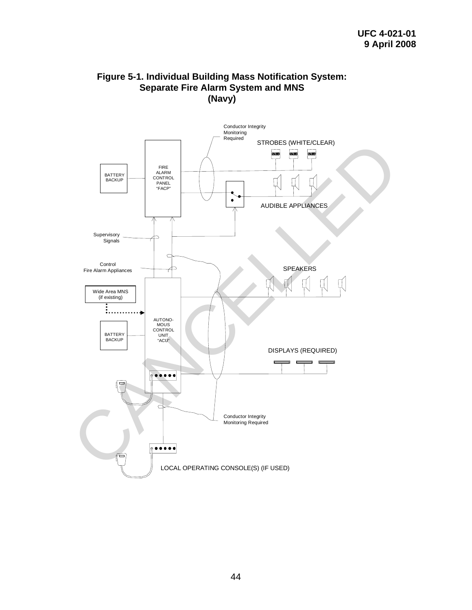

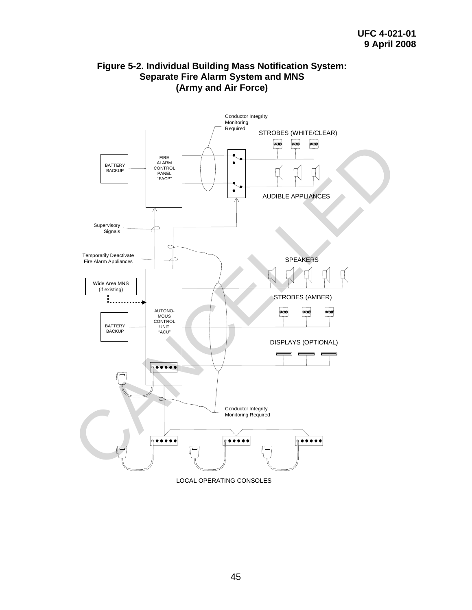

## **Figure 5-2. Individual Building Mass Notification System: Separate Fire Alarm System and MNS (Army and Air Force)**

45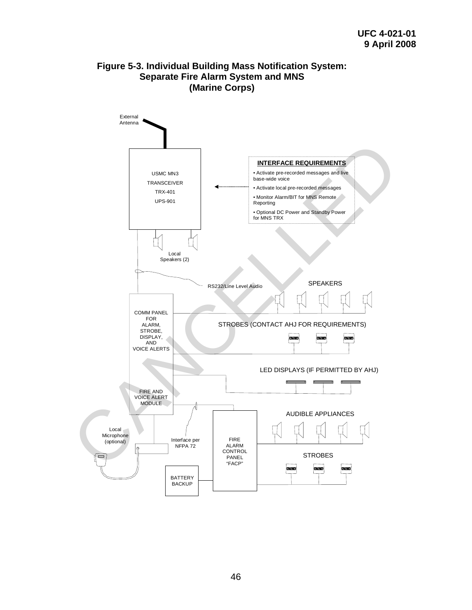## **Figure 5-3. Individual Building Mass Notification System: Separate Fire Alarm System and MNS (Marine Corps)**

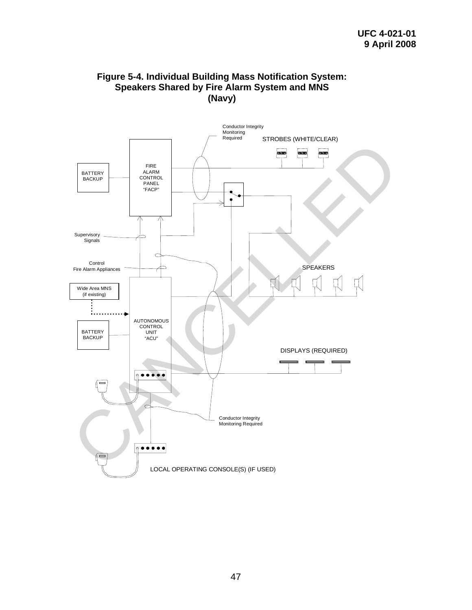#### **Figure 5-4. Individual Building Mass Notification System: Speakers Shared by Fire Alarm System and MNS (Navy)**

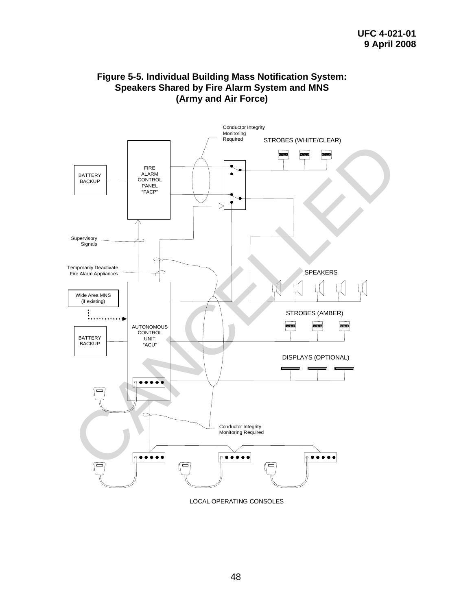#### **Figure 5-5. Individual Building Mass Notification System: Speakers Shared by Fire Alarm System and MNS (Army and Air Force)**



LOCAL OPERATING CONSOLES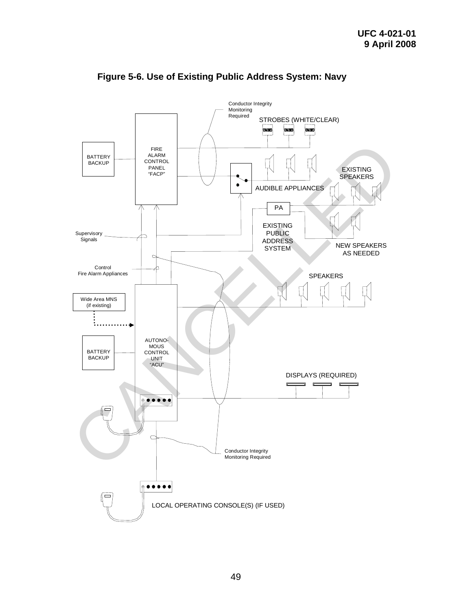

**Figure 5-6. Use of Existing Public Address System: Navy**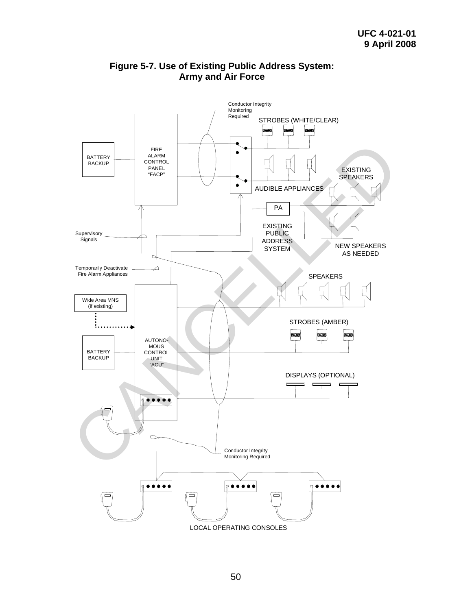

## **Figure 5-7. Use of Existing Public Address System: Army and Air Force**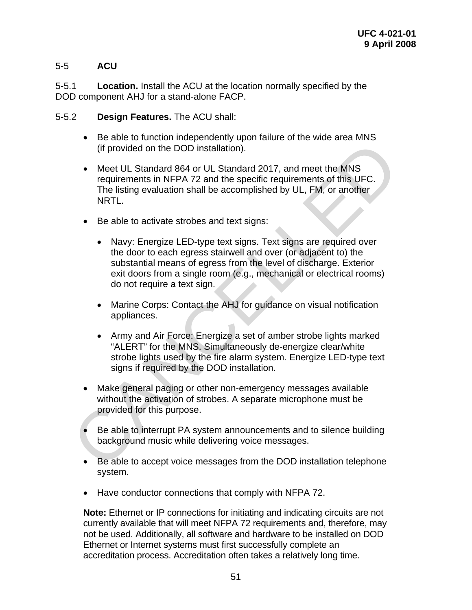## 5-5 **ACU**

5-5.1 **Location.** Install the ACU at the location normally specified by the DOD component AHJ for a stand-alone FACP.

- 5-5.2 **Design Features.** The ACU shall:
	- Be able to function independently upon failure of the wide area MNS (if provided on the DOD installation).
	- Meet UL Standard 864 or UL Standard 2017, and meet the MNS requirements in NFPA 72 and the specific requirements of this UFC. The listing evaluation shall be accomplished by UL, FM, or another NRTL.
	- Be able to activate strobes and text signs:
	- Navy: Energize LED-type text signs. Text signs are required over the door to each egress stairwell and over (or adjacent to) the substantial means of egress from the level of discharge. Exterior exit doors from a single room (e.g., mechanical or electrical rooms) do not require a text sign. (If provided on the DOD installation).<br>
	(If provided on the DOD installation).<br>
	• Meet UL Standard 864 or UL Standard 2017, and meet the MNS<br>
	requirements in NFPA 72 and the specific requirements of this UFC.<br>
	The listing
		- Marine Corps: Contact the AHJ for guidance on visual notification appliances.
		- Army and Air Force: Energize a set of amber strobe lights marked "ALERT" for the MNS. Simultaneously de-energize clear/white strobe lights used by the fire alarm system. Energize LED-type text signs if required by the DOD installation.
		- Make general paging or other non-emergency messages available without the activation of strobes. A separate microphone must be provided for this purpose.
		- Be able to interrupt PA system announcements and to silence building background music while delivering voice messages.
		- Be able to accept voice messages from the DOD installation telephone system.
		- Have conductor connections that comply with NFPA 72.

**Note:** Ethernet or IP connections for initiating and indicating circuits are not currently available that will meet NFPA 72 requirements and, therefore, may not be used. Additionally, all software and hardware to be installed on DOD Ethernet or Internet systems must first successfully complete an accreditation process. Accreditation often takes a relatively long time.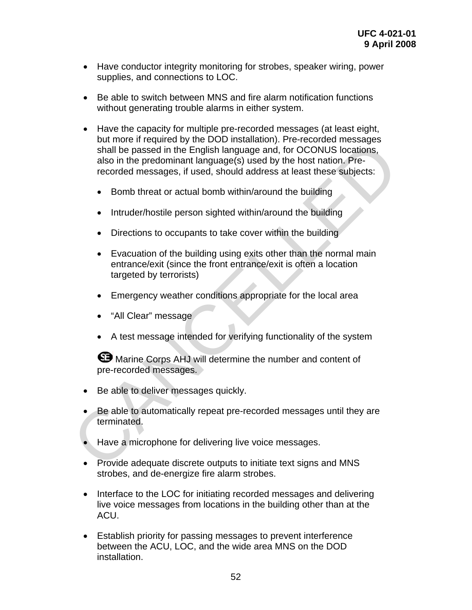- Have conductor integrity monitoring for strobes, speaker wiring, power supplies, and connections to LOC.
- Be able to switch between MNS and fire alarm notification functions without generating trouble alarms in either system.
- Have the capacity for multiple pre-recorded messages (at least eight, but more if required by the DOD installation). Pre-recorded messages shall be passed in the English language and, for OCONUS locations, also in the predominant language(s) used by the host nation. Prerecorded messages, if used, should address at least these subjects: of the prediction of the DoD instantation; Pre-recorded messages<br>shall be passed in the English language and, for OCONUS locations,<br>also in the predominant language(s) used by the host nation. Pre-<br>recorded messages, if us
	- Bomb threat or actual bomb within/around the building
	- Intruder/hostile person sighted within/around the building
	- Directions to occupants to take cover within the building
	- Evacuation of the building using exits other than the normal main entrance/exit (since the front entrance/exit is often a location targeted by terrorists)
	- Emergency weather conditions appropriate for the local area
	- "All Clear" message
	- A test message intended for verifying functionality of the system

**S** Marine Corps AHJ will determine the number and content of pre-recorded messages.

- Be able to deliver messages quickly.
- Be able to automatically repeat pre-recorded messages until they are terminated.
- Have a microphone for delivering live voice messages.
- Provide adequate discrete outputs to initiate text signs and MNS strobes, and de-energize fire alarm strobes.
- Interface to the LOC for initiating recorded messages and delivering live voice messages from locations in the building other than at the ACU.
- Establish priority for passing messages to prevent interference between the ACU, LOC, and the wide area MNS on the DOD installation.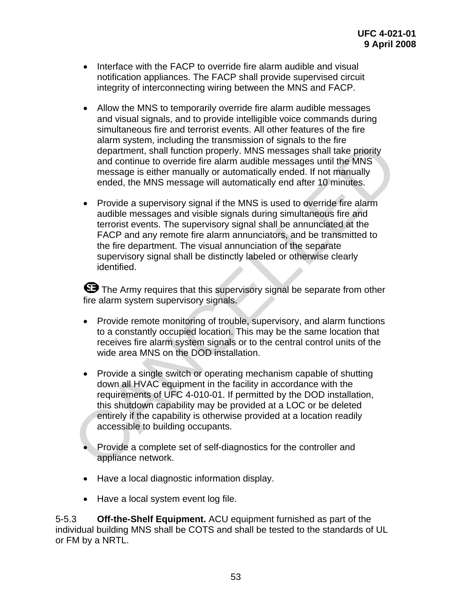- Interface with the FACP to override fire alarm audible and visual notification appliances. The FACP shall provide supervised circuit integrity of interconnecting wiring between the MNS and FACP.
- Allow the MNS to temporarily override fire alarm audible messages and visual signals, and to provide intelligible voice commands during simultaneous fire and terrorist events. All other features of the fire alarm system, including the transmission of signals to the fire department, shall function properly. MNS messages shall take priority and continue to override fire alarm audible messages until the MNS message is either manually or automatically ended. If not manually ended, the MNS message will automatically end after 10 minutes.
- Provide a supervisory signal if the MNS is used to override fire alarm audible messages and visible signals during simultaneous fire and terrorist events. The supervisory signal shall be annunciated at the FACP and any remote fire alarm annunciators, and be transmitted to the fire department. The visual annunciation of the separate supervisory signal shall be distinctly labeled or otherwise clearly identified. diam system, motulouity are transmission of sayinas to the me<br>department, shall function properly. MNS messages shall take priority<br>and continue to override fire alarm audible messages shall take priority<br>message is either

**E** The Army requires that this supervisory signal be separate from other fire alarm system supervisory signals.

- Provide remote monitoring of trouble, supervisory, and alarm functions to a constantly occupied location. This may be the same location that receives fire alarm system signals or to the central control units of the wide area MNS on the DOD installation.
- Provide a single switch or operating mechanism capable of shutting down all HVAC equipment in the facility in accordance with the requirements of UFC 4-010-01. If permitted by the DOD installation, this shutdown capability may be provided at a LOC or be deleted entirely if the capability is otherwise provided at a location readily accessible to building occupants.
- Provide a complete set of self-diagnostics for the controller and appliance network.
- Have a local diagnostic information display.
- Have a local system event log file.

5-5.3 **Off-the-Shelf Equipment.** ACU equipment furnished as part of the individual building MNS shall be COTS and shall be tested to the standards of UL or FM by a NRTL.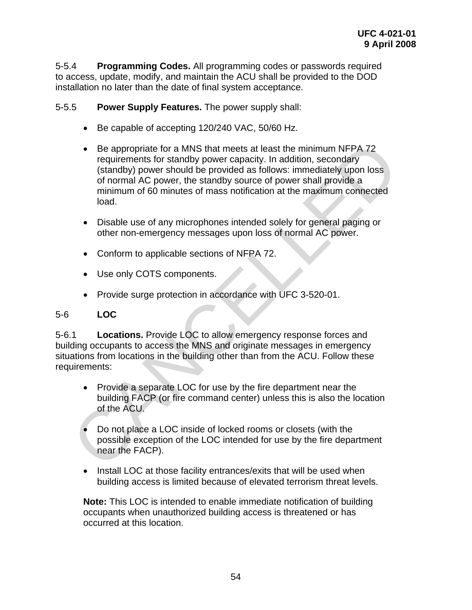5-5.4 **Programming Codes.** All programming codes or passwords required to access, update, modify, and maintain the ACU shall be provided to the DOD installation no later than the date of final system acceptance.

#### 5-5.5 **Power Supply Features.** The power supply shall:

- Be capable of accepting 120/240 VAC, 50/60 Hz.
- Be appropriate for a MNS that meets at least the minimum NFPA 72 requirements for standby power capacity. In addition, secondary (standby) power should be provided as follows: immediately upon loss of normal AC power, the standby source of power shall provide a minimum of 60 minutes of mass notification at the maximum connected load. • Be appropriate for a MNS that meets at least the minimum NFPA 72<br>
requirements for standby power capacity. In addition, secondary<br>
(standby) power should be provided as follows: immediately upon loss<br>
of normal AC power
	- Disable use of any microphones intended solely for general paging or other non-emergency messages upon loss of normal AC power.
	- Conform to applicable sections of NFPA 72.
	- Use only COTS components.
	- Provide surge protection in accordance with UFC 3-520-01.

#### 5-6 **LOC**

5-6.1 **Locations.** Provide LOC to allow emergency response forces and building occupants to access the MNS and originate messages in emergency situations from locations in the building other than from the ACU. Follow these requirements:

- Provide a separate LOC for use by the fire department near the building FACP (or fire command center) unless this is also the location of the ACU.
- Do not place a LOC inside of locked rooms or closets (with the possible exception of the LOC intended for use by the fire department near the FACP).
- Install LOC at those facility entrances/exits that will be used when building access is limited because of elevated terrorism threat levels.

**Note:** This LOC is intended to enable immediate notification of building occupants when unauthorized building access is threatened or has occurred at this location.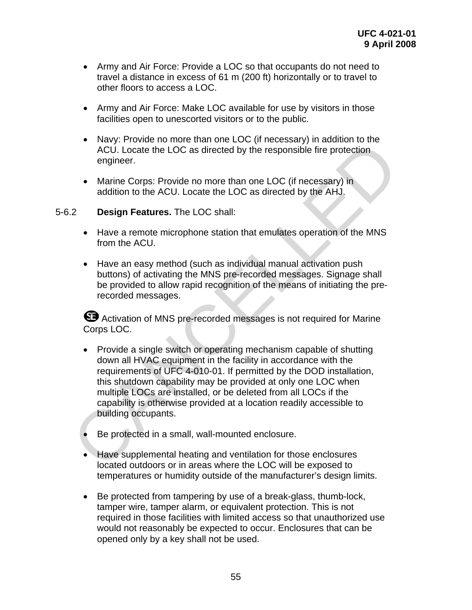- Army and Air Force: Provide a LOC so that occupants do not need to travel a distance in excess of 61 m (200 ft) horizontally or to travel to other floors to access a LOC.
- Army and Air Force: Make LOC available for use by visitors in those facilities open to unescorted visitors or to the public.
- Navy: Provide no more than one LOC (if necessary) in addition to the ACU. Locate the LOC as directed by the responsible fire protection engineer.
- Marine Corps: Provide no more than one LOC (if necessary) in addition to the ACU. Locate the LOC as directed by the AHJ.

#### 5-6.2 **Design Features.** The LOC shall:

- Have a remote microphone station that emulates operation of the MNS from the ACU.
- Have an easy method (such as individual manual activation push buttons) of activating the MNS pre-recorded messages. Signage shall be provided to allow rapid recognition of the means of initiating the prerecorded messages.

 Activation of MNS pre-recorded messages is not required for Marine Corps LOC.

- Provide a single switch or operating mechanism capable of shutting down all HVAC equipment in the facility in accordance with the requirements of UFC 4-010-01. If permitted by the DOD installation, this shutdown capability may be provided at only one LOC when multiple LOCs are installed, or be deleted from all LOCs if the capability is otherwise provided at a location readily accessible to building occupants. • Narine Corps: Provide no more than one LOC (in the esspassiv) in doution to the ACU. Locate the LOC as directed by the responsible fire protection<br>
• Marine Corps: Provide no more than one LOC (if necessary) in<br>
• Marine
	- Be protected in a small, wall-mounted enclosure.
	- Have supplemental heating and ventilation for those enclosures located outdoors or in areas where the LOC will be exposed to temperatures or humidity outside of the manufacturer's design limits.
	- Be protected from tampering by use of a break-glass, thumb-lock, tamper wire, tamper alarm, or equivalent protection. This is not required in those facilities with limited access so that unauthorized use would not reasonably be expected to occur. Enclosures that can be opened only by a key shall not be used.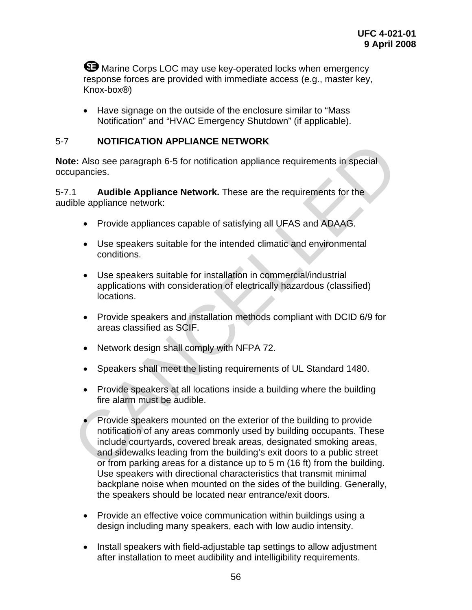**W** Marine Corps LOC may use key-operated locks when emergency response forces are provided with immediate access (e.g., master key, Knox-box®)

• Have signage on the outside of the enclosure similar to "Mass Notification" and "HVAC Emergency Shutdown" (if applicable).

## 5-7 **NOTIFICATION APPLIANCE NETWORK**

**Note:** Also see paragraph 6-5 for notification appliance requirements in special occupancies.

5-7.1 **Audible Appliance Network.** These are the requirements for the audible appliance network:

- Provide appliances capable of satisfying all UFAS and ADAAG.
- Use speakers suitable for the intended climatic and environmental conditions.
- Use speakers suitable for installation in commercial/industrial applications with consideration of electrically hazardous (classified) locations.
- Provide speakers and installation methods compliant with DCID 6/9 for areas classified as SCIF.
- Network design shall comply with NFPA 72.
- Speakers shall meet the listing requirements of UL Standard 1480.
- Provide speakers at all locations inside a building where the building fire alarm must be audible.
- Provide speakers mounted on the exterior of the building to provide notification of any areas commonly used by building occupants. These include courtyards, covered break areas, designated smoking areas, and sidewalks leading from the building's exit doors to a public street or from parking areas for a distance up to 5 m (16 ft) from the building. Use speakers with directional characteristics that transmit minimal backplane noise when mounted on the sides of the building. Generally, the speakers should be located near entrance/exit doors. NOTIFICATION APPLIANCE NETWORK<br>
The: Also see paragraph 6-5 for notification appliance requirements in special<br>
1.1 Audible Appliance Network. These are the requirements for the<br>
1.1 Audible Appliance scapable of satisfyin
	- Provide an effective voice communication within buildings using a design including many speakers, each with low audio intensity.
	- Install speakers with field-adjustable tap settings to allow adjustment after installation to meet audibility and intelligibility requirements.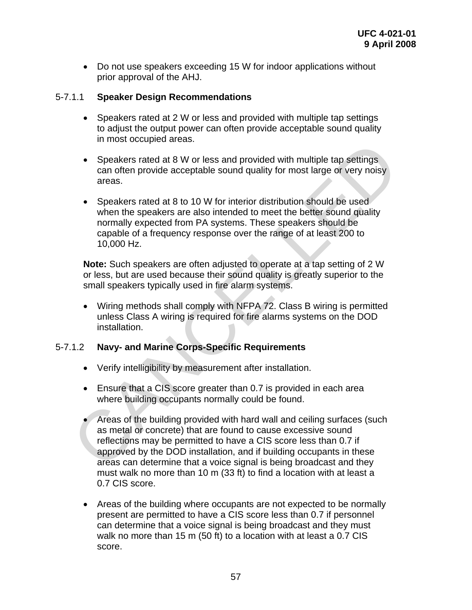• Do not use speakers exceeding 15 W for indoor applications without prior approval of the AHJ.

#### 5-7.1.1 **Speaker Design Recommendations**

- Speakers rated at 2 W or less and provided with multiple tap settings to adjust the output power can often provide acceptable sound quality in most occupied areas.
- Speakers rated at 8 W or less and provided with multiple tap settings can often provide acceptable sound quality for most large or very noisy areas.
- Speakers rated at 8 to 10 W for interior distribution should be used when the speakers are also intended to meet the better sound quality normally expected from PA systems. These speakers should be capable of a frequency response over the range of at least 200 to 10,000 Hz.

**Note:** Such speakers are often adjusted to operate at a tap setting of 2 W or less, but are used because their sound quality is greatly superior to the small speakers typically used in fire alarm systems.

• Wiring methods shall comply with NFPA 72. Class B wiring is permitted unless Class A wiring is required for fire alarms systems on the DOD installation.

## 5-7.1.2 **Navy- and Marine Corps-Specific Requirements**

- Verify intelligibility by measurement after installation.
- Ensure that a CIS score greater than 0.7 is provided in each area where building occupants normally could be found.
- Areas of the building provided with hard wall and ceiling surfaces (such as metal or concrete) that are found to cause excessive sound reflections may be permitted to have a CIS score less than 0.7 if approved by the DOD installation, and if building occupants in these areas can determine that a voice signal is being broadcast and they must walk no more than 10 m (33 ft) to find a location with at least a 0.7 CIS score. • Speakers rated at 8 W or less and provided with multiple tap settings<br>
can often provide acceptable sound quality for most large or very noisy<br>
can often provide acceptable sound quality for most large or very noisy<br>
are
	- Areas of the building where occupants are not expected to be normally present are permitted to have a CIS score less than 0.7 if personnel can determine that a voice signal is being broadcast and they must walk no more than 15 m (50 ft) to a location with at least a 0.7 CIS score.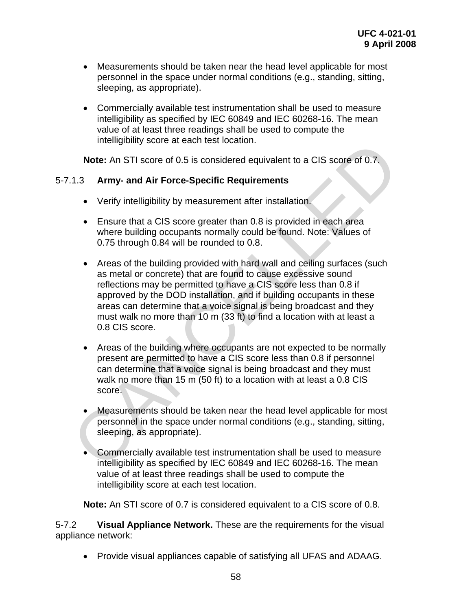- Measurements should be taken near the head level applicable for most personnel in the space under normal conditions (e.g., standing, sitting, sleeping, as appropriate).
- Commercially available test instrumentation shall be used to measure intelligibility as specified by IEC 60849 and IEC 60268-16. The mean value of at least three readings shall be used to compute the intelligibility score at each test location.

**Note:** An STI score of 0.5 is considered equivalent to a CIS score of 0.7.

## 5-7.1.3 **Army- and Air Force-Specific Requirements**

- Verify intelligibility by measurement after installation.
- Ensure that a CIS score greater than 0.8 is provided in each area where building occupants normally could be found. Note: Values of 0.75 through 0.84 will be rounded to 0.8.
- Areas of the building provided with hard wall and ceiling surfaces (such as metal or concrete) that are found to cause excessive sound reflections may be permitted to have a CIS score less than 0.8 if approved by the DOD installation, and if building occupants in these areas can determine that a voice signal is being broadcast and they must walk no more than 10 m (33 ft) to find a location with at least a 0.8 CIS score. Intentigionity score at each rest location.<br> **Note:** An STI score of 0.5 is considered equivalent to a CIS score of 0.7,<br>
1.3 **Army- and Air Force-Specific Requirements**<br>
Verify intelligibility by measurement after install
	- Areas of the building where occupants are not expected to be normally present are permitted to have a CIS score less than 0.8 if personnel can determine that a voice signal is being broadcast and they must walk no more than 15 m (50 ft) to a location with at least a 0.8 CIS score.
	- Measurements should be taken near the head level applicable for most personnel in the space under normal conditions (e.g., standing, sitting, sleeping, as appropriate).
	- Commercially available test instrumentation shall be used to measure intelligibility as specified by IEC 60849 and IEC 60268-16. The mean value of at least three readings shall be used to compute the intelligibility score at each test location.

**Note:** An STI score of 0.7 is considered equivalent to a CIS score of 0.8.

5-7.2 **Visual Appliance Network.** These are the requirements for the visual appliance network:

• Provide visual appliances capable of satisfying all UFAS and ADAAG.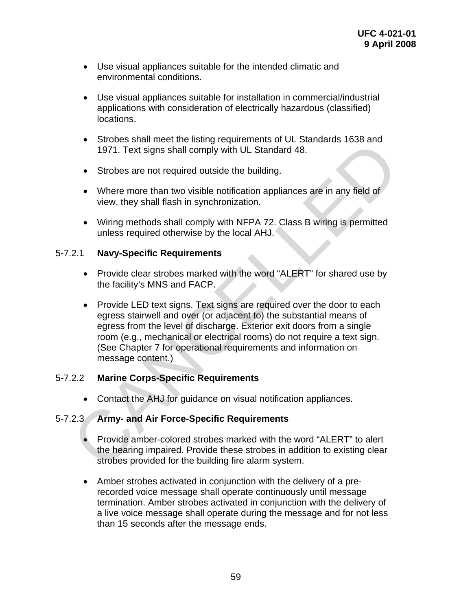- Use visual appliances suitable for the intended climatic and environmental conditions.
- Use visual appliances suitable for installation in commercial/industrial applications with consideration of electrically hazardous (classified) locations.
- Strobes shall meet the listing requirements of UL Standards 1638 and 1971. Text signs shall comply with UL Standard 48.
- Strobes are not required outside the building.
- Where more than two visible notification appliances are in any field of view, they shall flash in synchronization.
- Wiring methods shall comply with NFPA 72. Class B wiring is permitted unless required otherwise by the local AHJ.

#### 5-7.2.1 **Navy-Specific Requirements**

- Provide clear strobes marked with the word "ALERT" for shared use by the facility's MNS and FACP.
- Provide LED text signs. Text signs are required over the door to each egress stairwell and over (or adjacent to) the substantial means of egress from the level of discharge. Exterior exit doors from a single room (e.g., mechanical or electrical rooms) do not require a text sign. (See Chapter 7 for operational requirements and information on message content.) ■<br>
Shows stail meet the islange equirements<br>
1971. Text signs shall comply with UL Standard 48.<br>
• Strobes are not required outside the building.<br>
• Where more than two visible notification appliances are in any field of<br>

## 5-7.2.2 **Marine Corps-Specific Requirements**

• Contact the AHJ for guidance on visual notification appliances.

## 5-7.2.3 **Army- and Air Force-Specific Requirements**

- Provide amber-colored strobes marked with the word "ALERT" to alert the hearing impaired. Provide these strobes in addition to existing clear strobes provided for the building fire alarm system.
- Amber strobes activated in conjunction with the delivery of a prerecorded voice message shall operate continuously until message termination. Amber strobes activated in conjunction with the delivery of a live voice message shall operate during the message and for not less than 15 seconds after the message ends.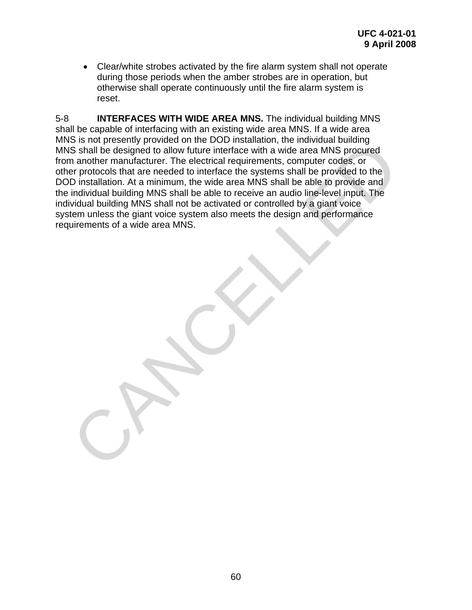• Clear/white strobes activated by the fire alarm system shall not operate during those periods when the amber strobes are in operation, but otherwise shall operate continuously until the fire alarm system is reset.

5-8 **INTERFACES WITH WIDE AREA MNS.** The individual building MNS shall be capable of interfacing with an existing wide area MNS. If a wide area MNS is not presently provided on the DOD installation, the individual building MNS shall be designed to allow future interface with a wide area MNS procured from another manufacturer. The electrical requirements, computer codes, or other protocols that are needed to interface the systems shall be provided to the DOD installation. At a minimum, the wide area MNS shall be able to provide and the individual building MNS shall be able to receive an audio line-level input. The individual building MNS shall not be activated or controlled by a giant voice system unless the giant voice system also meets the design and performance requirements of a wide area MNS. S i not presentiny provided on the DOD Inistantiality, the intuitivation uniformation and the single be signed to allow future interface with a wide area MNS procured an another mandacturer. The electrical requirements, co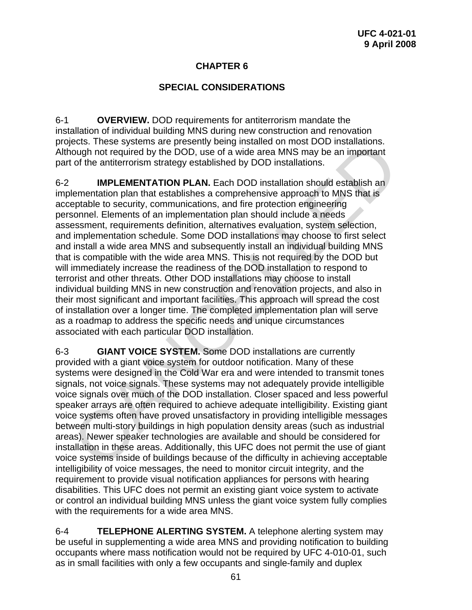# **CHAPTER 6**

## **SPECIAL CONSIDERATIONS**

6-1 **OVERVIEW.** DOD requirements for antiterrorism mandate the installation of individual building MNS during new construction and renovation projects. These systems are presently being installed on most DOD installations. Although not required by the DOD, use of a wide area MNS may be an important part of the antiterrorism strategy established by DOD installations.

6-2 **IMPLEMENTATION PLAN.** Each DOD installation should establish an implementation plan that establishes a comprehensive approach to MNS that is acceptable to security, communications, and fire protection engineering personnel. Elements of an implementation plan should include a needs assessment, requirements definition, alternatives evaluation, system selection, and implementation schedule. Some DOD installations may choose to first select and install a wide area MNS and subsequently install an individual building MNS that is compatible with the wide area MNS. This is not required by the DOD but will immediately increase the readiness of the DOD installation to respond to terrorist and other threats. Other DOD installations may choose to install individual building MNS in new construction and renovation projects, and also in their most significant and important facilities. This approach will spread the cost of installation over a longer time. The completed implementation plan will serve as a roadmap to address the specific needs and unique circumstances associated with each particular DOD installation. ieces. Inese systems are presentity being installed on most DOD installations.<br>Tough not required by the DOD, use of a wide area MNS may be an important<br>or to the antierrorism strategy established by DOD installation shoul

6-3 **GIANT VOICE SYSTEM.** Some DOD installations are currently provided with a giant voice system for outdoor notification. Many of these systems were designed in the Cold War era and were intended to transmit tones signals, not voice signals. These systems may not adequately provide intelligible voice signals over much of the DOD installation. Closer spaced and less powerful speaker arrays are often required to achieve adequate intelligibility. Existing giant voice systems often have proved unsatisfactory in providing intelligible messages between multi-story buildings in high population density areas (such as industrial areas). Newer speaker technologies are available and should be considered for installation in these areas. Additionally, this UFC does not permit the use of giant voice systems inside of buildings because of the difficulty in achieving acceptable intelligibility of voice messages, the need to monitor circuit integrity, and the requirement to provide visual notification appliances for persons with hearing disabilities. This UFC does not permit an existing giant voice system to activate or control an individual building MNS unless the giant voice system fully complies with the requirements for a wide area MNS.

6-4 **TELEPHONE ALERTING SYSTEM.** A telephone alerting system may be useful in supplementing a wide area MNS and providing notification to building occupants where mass notification would not be required by UFC 4-010-01, such as in small facilities with only a few occupants and single-family and duplex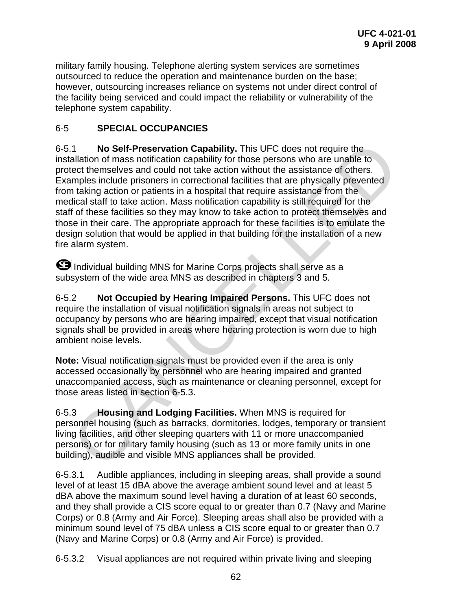military family housing. Telephone alerting system services are sometimes outsourced to reduce the operation and maintenance burden on the base; however, outsourcing increases reliance on systems not under direct control of the facility being serviced and could impact the reliability or vulnerability of the telephone system capability.

# 6-5 **SPECIAL OCCUPANCIES**

6-5.1 **No Self-Preservation Capability.** This UFC does not require the installation of mass notification capability for those persons who are unable to protect themselves and could not take action without the assistance of others. Examples include prisoners in correctional facilities that are physically prevented from taking action or patients in a hospital that require assistance from the medical staff to take action. Mass notification capability is still required for the staff of these facilities so they may know to take action to protect themselves and those in their care. The appropriate approach for these facilities is to emulate the design solution that would be applied in that building for the installation of a new fire alarm system. .1 **No Self-Preservation Capability.** This UFC does not require the allalation of mass notification capability for those persons who are unable to letect themselves and could not take action without the assistance of other

 Individual building MNS for Marine Corps projects shall serve as a subsystem of the wide area MNS as described in chapters 3 and 5.

6-5.2 **Not Occupied by Hearing Impaired Persons.** This UFC does not require the installation of visual notification signals in areas not subject to occupancy by persons who are hearing impaired, except that visual notification signals shall be provided in areas where hearing protection is worn due to high ambient noise levels.

**Note:** Visual notification signals must be provided even if the area is only accessed occasionally by personnel who are hearing impaired and granted unaccompanied access, such as maintenance or cleaning personnel, except for those areas listed in section 6-5.3.

6-5.3 **Housing and Lodging Facilities.** When MNS is required for personnel housing (such as barracks, dormitories, lodges, temporary or transient living facilities, and other sleeping quarters with 11 or more unaccompanied persons) or for military family housing (such as 13 or more family units in one building), audible and visible MNS appliances shall be provided.

6-5.3.1 Audible appliances, including in sleeping areas, shall provide a sound level of at least 15 dBA above the average ambient sound level and at least 5 dBA above the maximum sound level having a duration of at least 60 seconds, and they shall provide a CIS score equal to or greater than 0.7 (Navy and Marine Corps) or 0.8 (Army and Air Force). Sleeping areas shall also be provided with a minimum sound level of 75 dBA unless a CIS score equal to or greater than 0.7 (Navy and Marine Corps) or 0.8 (Army and Air Force) is provided.

6-5.3.2 Visual appliances are not required within private living and sleeping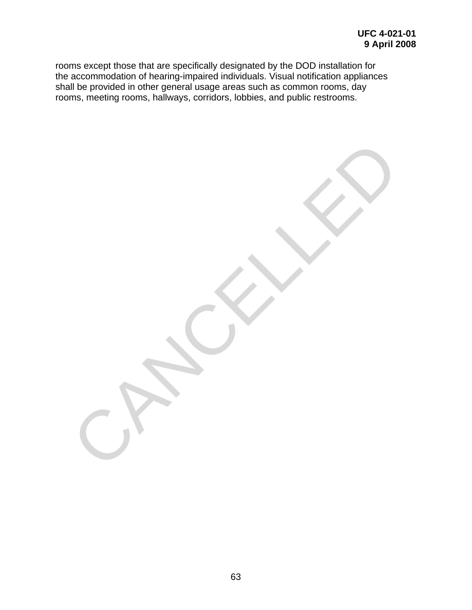rooms except those that are specifically designated by the DOD installation for the accommodation of hearing-impaired individuals. Visual notification appliances shall be provided in other general usage areas such as common rooms, day rooms, meeting rooms, hallways, corridors, lobbies, and public restrooms.

CANCELLED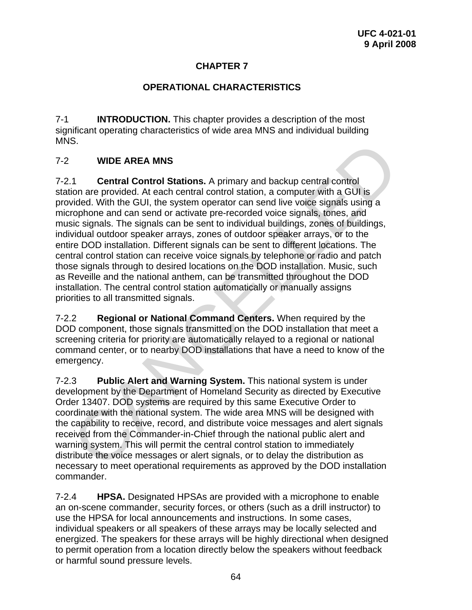# **CHAPTER 7**

## **OPERATIONAL CHARACTERISTICS**

7-1 **INTRODUCTION.** This chapter provides a description of the most significant operating characteristics of wide area MNS and individual building MNS.

# 7-2 **WIDE AREA MNS**

7-2.1 **Central Control Stations.** A primary and backup central control station are provided. At each central control station, a computer with a GUI is provided. With the GUI, the system operator can send live voice signals using a microphone and can send or activate pre-recorded voice signals, tones, and music signals. The signals can be sent to individual buildings, zones of buildings, individual outdoor speaker arrays, zones of outdoor speaker arrays, or to the entire DOD installation. Different signals can be sent to different locations. The central control station can receive voice signals by telephone or radio and patch those signals through to desired locations on the DOD installation. Music, such as Reveille and the national anthem, can be transmitted throughout the DOD installation. The central control station automatically or manually assigns priorities to all transmitted signals. S.<br>
WIDE AREA MNS<br>
1. Central Control Stations. A primary and backup central control<br>
ion are provided. At each central control station, a computer with a GUI is<br>
vided. With the GUI, the system operator can send live voic

7-2.2 **Regional or National Command Centers.** When required by the DOD component, those signals transmitted on the DOD installation that meet a screening criteria for priority are automatically relayed to a regional or national command center, or to nearby DOD installations that have a need to know of the emergency.

7-2.3 **Public Alert and Warning System.** This national system is under development by the Department of Homeland Security as directed by Executive Order 13407. DOD systems are required by this same Executive Order to coordinate with the national system. The wide area MNS will be designed with the capability to receive, record, and distribute voice messages and alert signals received from the Commander-in-Chief through the national public alert and warning system. This will permit the central control station to immediately distribute the voice messages or alert signals, or to delay the distribution as necessary to meet operational requirements as approved by the DOD installation commander.

7-2.4 **HPSA.** Designated HPSAs are provided with a microphone to enable an on-scene commander, security forces, or others (such as a drill instructor) to use the HPSA for local announcements and instructions. In some cases, individual speakers or all speakers of these arrays may be locally selected and energized. The speakers for these arrays will be highly directional when designed to permit operation from a location directly below the speakers without feedback or harmful sound pressure levels.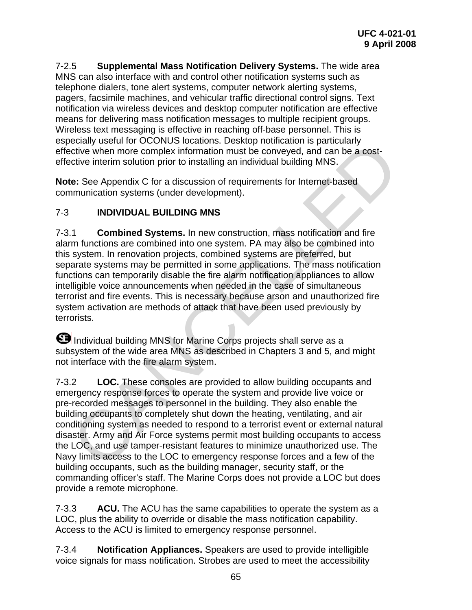7-2.5 **Supplemental Mass Notification Delivery Systems.** The wide area MNS can also interface with and control other notification systems such as telephone dialers, tone alert systems, computer network alerting systems, pagers, facsimile machines, and vehicular traffic directional control signs. Text notification via wireless devices and desktop computer notification are effective means for delivering mass notification messages to multiple recipient groups. Wireless text messaging is effective in reaching off-base personnel. This is especially useful for OCONUS locations. Desktop notification is particularly effective when more complex information must be conveyed, and can be a costeffective interim solution prior to installing an individual building MNS.

**Note:** See Appendix C for a discussion of requirements for Internet-based communication systems (under development).

# 7-3 **INDIVIDUAL BUILDING MNS**

7-3.1 **Combined Systems.** In new construction, mass notification and fire alarm functions are combined into one system. PA may also be combined into this system. In renovation projects, combined systems are preferred, but separate systems may be permitted in some applications. The mass notification functions can temporarily disable the fire alarm notification appliances to allow intelligible voice announcements when needed in the case of simultaneous terrorist and fire events. This is necessary because arson and unauthorized fire system activation are methods of attack that have been used previously by terrorists. elevality userul for OCUNUS locations. Desixtop holitocation is particularly user<br>the tective when more complex information must be conveyed, and can be a cost-<br>citive interim solution prior to installing an individual bui

**B** Individual building MNS for Marine Corps projects shall serve as a subsystem of the wide area MNS as described in Chapters 3 and 5, and might not interface with the fire alarm system.

7-3.2 **LOC.** These consoles are provided to allow building occupants and emergency response forces to operate the system and provide live voice or pre-recorded messages to personnel in the building. They also enable the building occupants to completely shut down the heating, ventilating, and air conditioning system as needed to respond to a terrorist event or external natural disaster. Army and Air Force systems permit most building occupants to access the LOC, and use tamper-resistant features to minimize unauthorized use. The Navy limits access to the LOC to emergency response forces and a few of the building occupants, such as the building manager, security staff, or the commanding officer's staff. The Marine Corps does not provide a LOC but does provide a remote microphone.

7-3.3 **ACU.** The ACU has the same capabilities to operate the system as a LOC, plus the ability to override or disable the mass notification capability. Access to the ACU is limited to emergency response personnel.

7-3.4 **Notification Appliances.** Speakers are used to provide intelligible voice signals for mass notification. Strobes are used to meet the accessibility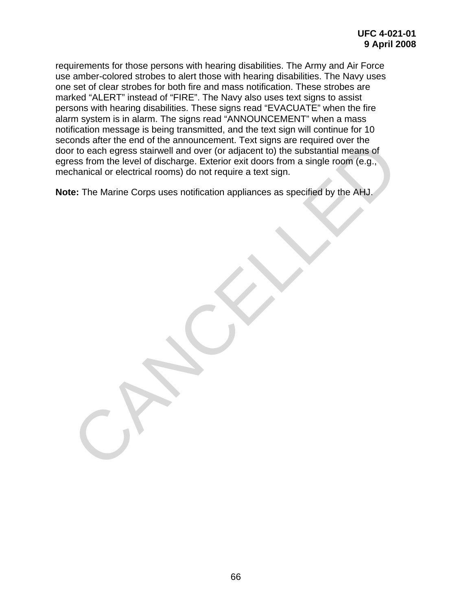requirements for those persons with hearing disabilities. The Army and Air Force use amber-colored strobes to alert those with hearing disabilities. The Navy uses one set of clear strobes for both fire and mass notification. These strobes are marked "ALERT" instead of "FIRE". The Navy also uses text signs to assist persons with hearing disabilities. These signs read "EVACUATE" when the fire alarm system is in alarm. The signs read "ANNOUNCEMENT" when a mass notification message is being transmitted, and the text sign will continue for 10 seconds after the end of the announcement. Text signs are required over the door to each egress stairwell and over (or adjacent to) the substantial means of egress from the level of discharge. Exterior exit doors from a single room (e.g., mechanical or electrical rooms) do not require a text sign. orius alter une entire une amunducementi. Text sugges are required over the dealth engines stativell and over (or adjacent to) the substantial means of ens form the level of discharge. Exterior exit doors from a single roo

**Note:** The Marine Corps uses notification appliances as specified by the AHJ.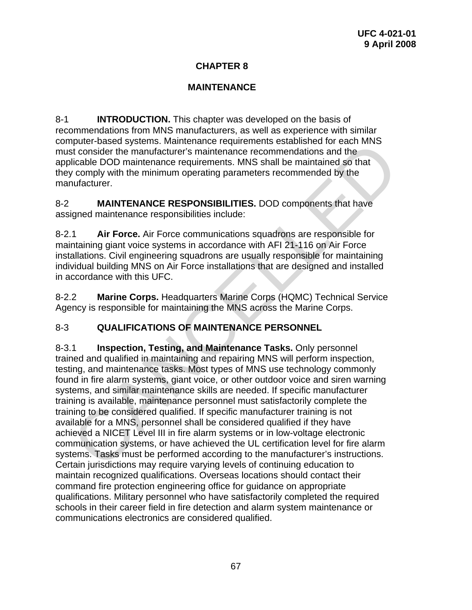# **CHAPTER 8**

# **MAINTENANCE**

8-1 **INTRODUCTION.** This chapter was developed on the basis of recommendations from MNS manufacturers, as well as experience with similar computer-based systems. Maintenance requirements established for each MNS must consider the manufacturer's maintenance recommendations and the applicable DOD maintenance requirements. MNS shall be maintained so that they comply with the minimum operating parameters recommended by the manufacturer.

8-2 **MAINTENANCE RESPONSIBILITIES.** DOD components that have assigned maintenance responsibilities include:

8-2.1 **Air Force.** Air Force communications squadrons are responsible for maintaining giant voice systems in accordance with AFI 21-116 on Air Force installations. Civil engineering squadrons are usually responsible for maintaining individual building MNS on Air Force installations that are designed and installed in accordance with this UFC.

8-2.2 **Marine Corps.** Headquarters Marine Corps (HQMC) Technical Service Agency is responsible for maintaining the MNS across the Marine Corps.

# 8-3 **QUALIFICATIONS OF MAINTENANCE PERSONNEL**

8-3.1 **Inspection, Testing, and Maintenance Tasks.** Only personnel trained and qualified in maintaining and repairing MNS will perform inspection, testing, and maintenance tasks. Most types of MNS use technology commonly found in fire alarm systems, giant voice, or other outdoor voice and siren warning systems, and similar maintenance skills are needed. If specific manufacturer training is available, maintenance personnel must satisfactorily complete the training to be considered qualified. If specific manufacturer training is not available for a MNS, personnel shall be considered qualified if they have achieved a NICET Level III in fire alarm systems or in low-voltage electronic communication systems, or have achieved the UL certification level for fire alarm systems. Tasks must be performed according to the manufacturer's instructions. Certain jurisdictions may require varying levels of continuing education to maintain recognized qualifications. Overseas locations should contact their command fire protection engineering office for guidance on appropriate qualifications. Military personnel who have satisfactorily completed the required schools in their career field in fire detection and alarm system maintenance or communications electronics are considered qualified. mputer-based systems. Maintenance requirements established for each winst<br>to consider the manufacturer's maintenance recommendations and the<br>licable DOD maintenance requirements. MNS shall be maintained so that<br>licable DOD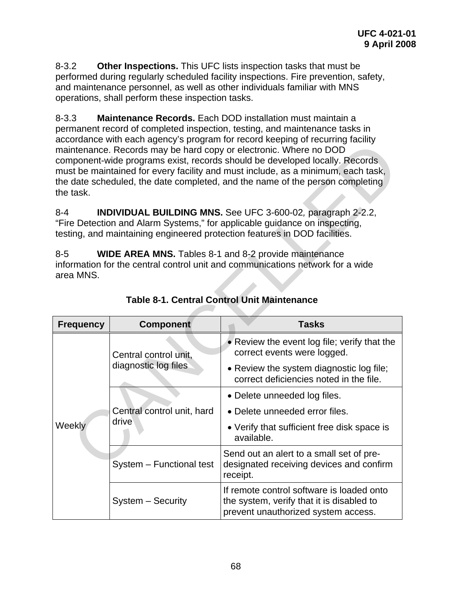8-3.2 **Other Inspections.** This UFC lists inspection tasks that must be performed during regularly scheduled facility inspections. Fire prevention, safety, and maintenance personnel, as well as other individuals familiar with MNS operations, shall perform these inspection tasks.

8-3.3 **Maintenance Records.** Each DOD installation must maintain a permanent record of completed inspection, testing, and maintenance tasks in accordance with each agency's program for record keeping of recurring facility maintenance. Records may be hard copy or electronic. Where no DOD component-wide programs exist, records should be developed locally. Records must be maintained for every facility and must include, as a minimum, each task, the date scheduled, the date completed, and the name of the person completing the task.

|                                                                                                                                                                                                                                    | accordance with each agency s program for record Keeping or recurring racinty.<br>maintenance. Records may be hard copy or electronic. Where no DOD<br>component-wide programs exist, records should be developed locally. Records<br>must be maintained for every facility and must include, as a minimum, each task,<br>the date scheduled, the date completed, and the name of the person completing<br>the task. |                                                                                                  |  |  |  |
|------------------------------------------------------------------------------------------------------------------------------------------------------------------------------------------------------------------------------------|----------------------------------------------------------------------------------------------------------------------------------------------------------------------------------------------------------------------------------------------------------------------------------------------------------------------------------------------------------------------------------------------------------------------|--------------------------------------------------------------------------------------------------|--|--|--|
| INDIVIDUAL BUILDING MNS. See UFC 3-600-02, paragraph 2-2.2,<br>$8 - 4$<br>"Fire Detection and Alarm Systems," for applicable guidance on inspecting,<br>testing, and maintaining engineered protection features in DOD facilities. |                                                                                                                                                                                                                                                                                                                                                                                                                      |                                                                                                  |  |  |  |
| $8 - 5$<br><b>WIDE AREA MNS.</b> Tables 8-1 and 8-2 provide maintenance<br>information for the central control unit and communications network for a wide<br>area MNS.<br><b>Table 8-1. Central Control Unit Maintenance</b>       |                                                                                                                                                                                                                                                                                                                                                                                                                      |                                                                                                  |  |  |  |
| <b>Frequency</b>                                                                                                                                                                                                                   | <b>Component</b>                                                                                                                                                                                                                                                                                                                                                                                                     | <b>Tasks</b>                                                                                     |  |  |  |
|                                                                                                                                                                                                                                    | Central control unit,                                                                                                                                                                                                                                                                                                                                                                                                | • Review the event log file; verify that the                                                     |  |  |  |
|                                                                                                                                                                                                                                    |                                                                                                                                                                                                                                                                                                                                                                                                                      | correct events were logged.                                                                      |  |  |  |
|                                                                                                                                                                                                                                    | diagnostic log files                                                                                                                                                                                                                                                                                                                                                                                                 | • Review the system diagnostic log file;<br>correct deficiencies noted in the file.              |  |  |  |
|                                                                                                                                                                                                                                    |                                                                                                                                                                                                                                                                                                                                                                                                                      | • Delete unneeded log files.                                                                     |  |  |  |
|                                                                                                                                                                                                                                    | Central control unit, hard                                                                                                                                                                                                                                                                                                                                                                                           | • Delete unneeded error files.                                                                   |  |  |  |
| Weekly                                                                                                                                                                                                                             | drive                                                                                                                                                                                                                                                                                                                                                                                                                | • Verify that sufficient free disk space is<br>available.                                        |  |  |  |
|                                                                                                                                                                                                                                    | System - Functional test                                                                                                                                                                                                                                                                                                                                                                                             | Send out an alert to a small set of pre-<br>designated receiving devices and confirm<br>receipt. |  |  |  |

**Table 8-1. Central Control Unit Maintenance**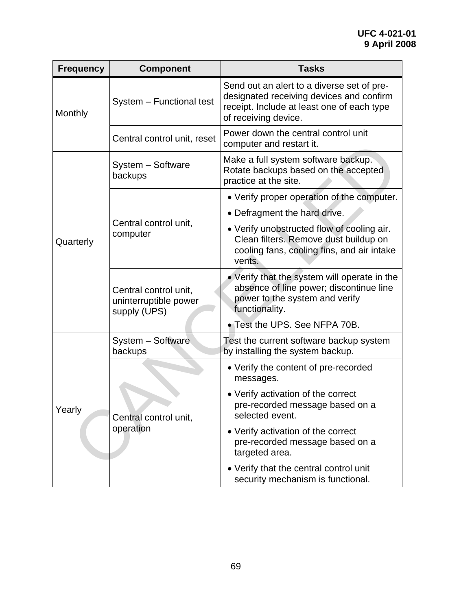| <b>Frequency</b> | <b>Component</b>                                               | <b>Tasks</b>                                                                                                                                                 |
|------------------|----------------------------------------------------------------|--------------------------------------------------------------------------------------------------------------------------------------------------------------|
| Monthly          | System - Functional test                                       | Send out an alert to a diverse set of pre-<br>designated receiving devices and confirm<br>receipt. Include at least one of each type<br>of receiving device. |
|                  | Central control unit, reset                                    | Power down the central control unit<br>computer and restart it.                                                                                              |
| Quarterly        | System - Software<br>backups                                   | Make a full system software backup.<br>Rotate backups based on the accepted<br>practice at the site.                                                         |
|                  | Central control unit,<br>computer                              | • Verify proper operation of the computer.                                                                                                                   |
|                  |                                                                | • Defragment the hard drive.                                                                                                                                 |
|                  |                                                                | • Verify unobstructed flow of cooling air.<br>Clean filters. Remove dust buildup on<br>cooling fans, cooling fins, and air intake<br>vents.                  |
|                  | Central control unit,<br>uninterruptible power<br>supply (UPS) | • Verify that the system will operate in the<br>absence of line power; discontinue line<br>power to the system and verify<br>functionality.                  |
|                  |                                                                | • Test the UPS. See NFPA 70B.                                                                                                                                |
| Yearly           | System - Software<br>backups                                   | Test the current software backup system<br>by installing the system backup.                                                                                  |
|                  | Central control unit,<br>operation                             | • Verify the content of pre-recorded<br>messages.                                                                                                            |
|                  |                                                                | • Verify activation of the correct<br>pre-recorded message based on a<br>selected event.                                                                     |
|                  |                                                                | • Verify activation of the correct<br>pre-recorded message based on a<br>targeted area.                                                                      |
|                  |                                                                | • Verify that the central control unit<br>security mechanism is functional.                                                                                  |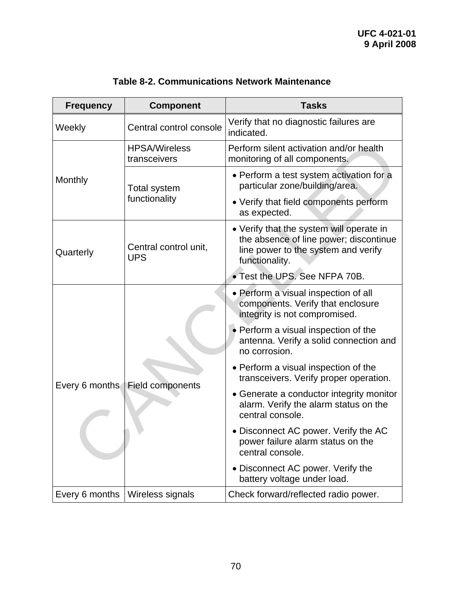| <b>Frequency</b> | <b>Component</b>                     | <b>Tasks</b>                                                                                                                                |
|------------------|--------------------------------------|---------------------------------------------------------------------------------------------------------------------------------------------|
| Weekly           | Central control console              | Verify that no diagnostic failures are<br>indicated.                                                                                        |
|                  | <b>HPSA/Wireless</b><br>transceivers | Perform silent activation and/or health<br>monitoring of all components.                                                                    |
| Monthly          | <b>Total system</b><br>functionality | • Perform a test system activation for a<br>particular zone/building/area.                                                                  |
|                  |                                      | • Verify that field components perform<br>as expected.                                                                                      |
| Quarterly        | Central control unit,<br><b>UPS</b>  | • Verify that the system will operate in<br>the absence of line power; discontinue<br>line power to the system and verify<br>functionality. |
|                  |                                      | • Test the UPS. See NFPA 70B.                                                                                                               |
|                  | Field components                     | • Perform a visual inspection of all<br>components. Verify that enclosure<br>integrity is not compromised.                                  |
|                  |                                      | • Perform a visual inspection of the<br>antenna. Verify a solid connection and<br>no corrosion.                                             |
| Every 6 months   |                                      | • Perform a visual inspection of the<br>transceivers. Verify proper operation.                                                              |
|                  |                                      | • Generate a conductor integrity monitor<br>alarm. Verify the alarm status on the<br>central console.                                       |
|                  |                                      | • Disconnect AC power. Verify the AC<br>power failure alarm status on the<br>central console.                                               |
|                  |                                      | • Disconnect AC power. Verify the<br>battery voltage under load.                                                                            |
| Every 6 months   | Wireless signals                     | Check forward/reflected radio power.                                                                                                        |

# **Table 8-2. Communications Network Maintenance**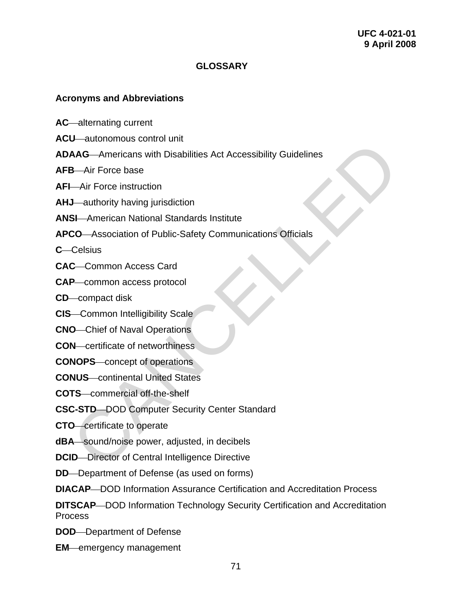#### **GLOSSARY**

#### **Acronyms and Abbreviations**

- AC—alternating current
- **ACU**—autonomous control unit
- **ADAAG**⎯Americans with Disabilities Act Accessibility Guidelines Canationicus control anticolaristic Act Accessibility Guidelines<br>
AAG—Americans with Disabilities Act Accessibility Guidelines<br>
C-lair Force instruction<br>
J—authority having jurisdiction<br>
SI—American National Standards Inst
- AFB Air Force base
- **AFI**—Air Force instruction
- **AHJ**—authority having jurisdiction
- **ANSI** American National Standards Institute
- **APCO**⎯Association of Public-Safety Communications Officials

**C**—Celsius

- **CAC**⎯Common Access Card
- **CAP**—common access protocol
- **CD**⎯compact disk
- **CIS**-Common Intelligibility Scale
- **CNO**—Chief of Naval Operations
- **CON**—certificate of networthiness
- **CONOPS**—concept of operations
- **CONUS** continental United States
- **COTS**⎯commercial off-the-shelf
- **CSC-STD-DOD Computer Security Center Standard**
- **CTO**⎯certificate to operate
- **dBA** sound/noise power, adjusted, in decibels
- **DCID**—Director of Central Intelligence Directive
- **DD**—Department of Defense (as used on forms)
- **DIACAP**—DOD Information Assurance Certification and Accreditation Process
- **DITSCAP**—DOD Information Technology Security Certification and Accreditation Process
- **DOD**—Department of Defense
- **EM**—emergency management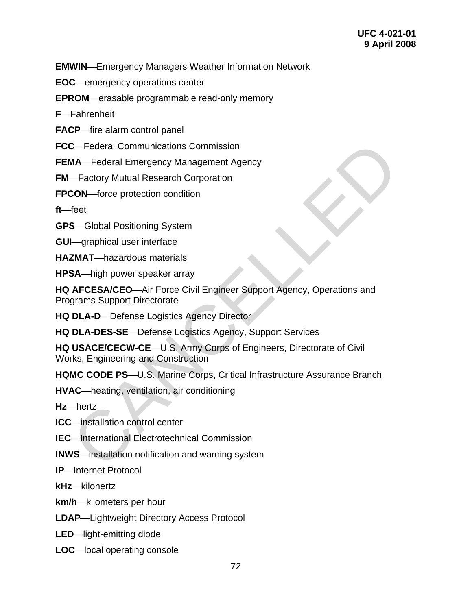**EMWIN**—Emergency Managers Weather Information Network

**EOC**—emergency operations center

**EPROM**—erasable programmable read-only memory

**F**—Fahrenheit

**FACP**—fire alarm control panel

**FCC**—Federal Communications Commission

**FEMA**—Federal Emergency Management Agency

**FM**—Factory Mutual Research Corporation

**FPCON** force protection condition

ft—feet

**GPS**—Global Positioning System

**GUI**—graphical user interface

**HAZMAT**—hazardous materials

**HPSA**—high power speaker array

**HQ AFCESA/CEO**—Air Force Civil Engineer Support Agency, Operations and Programs Support Directorate C—Federal Communications Commission<br>
MA—Federal Emergency Management Agency<br>
—Factory Mutual Research Corporation<br>
CON—force protection condition<br>
feet<br>
CCCLCD<br>
CON—force protection condition<br>
Certain prover speaker array<br>

**HQ DLA-D**—Defense Logistics Agency Director

**HQ DLA-DES-SE**—Defense Logistics Agency, Support Services

**HQ USACE/CECW-CE**—U.S. Army Corps of Engineers, Directorate of Civil Works, Engineering and Construction

**HQMC CODE PS**—U.S. Marine Corps, Critical Infrastructure Assurance Branch

**HVAC**⎯heating, ventilation, air conditioning

Hz-hertz

**ICC**—installation control center

**IEC** International Electrotechnical Commission

**INWS** installation notification and warning system

**IP**—Internet Protocol

**kHz**⎯kilohertz

**km/h**—kilometers per hour

**LDAP**—Lightweight Directory Access Protocol

**LED**—light-emitting diode

**LOC**—local operating console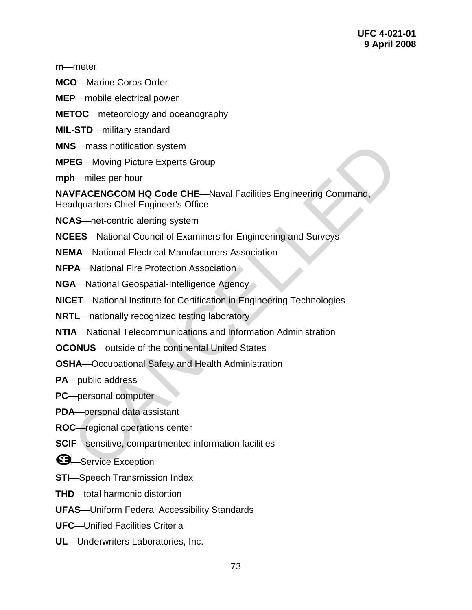**m**—meter

**MCO**—Marine Corps Order

**MEP**—mobile electrical power

**METOC**—meteorology and oceanography

**MIL-STD**—military standard

- **MNS**—mass notification system
- **MPEG**—Moving Picture Experts Group

**mph**—miles per hour

**NAVFACENGCOM HQ Code CHE—Naval Facilities Engineering Command,** Headquarters Chief Engineer's Office S—mass notification system<br>
EG—Moving Picture Experts Group<br>
h—miles per hour<br>
vFACENGCOM HQ Code CHE—Naval Facilities Engineering Command,<br>
vFACENGCOM HQ Code CHE—Naval Facilities Engineering Command,<br>
Adquarters Chief En

**NCAS** net-centric alerting system

**NCEES** National Council of Examiners for Engineering and Surveys

**NEMA**—National Electrical Manufacturers Association

**NFPA**—National Fire Protection Association

**NGA**—National Geospatial-Intelligence Agency

**NICET**—National Institute for Certification in Engineering Technologies

**NRTL**—nationally recognized testing laboratory

**NTIA**—National Telecommunications and Information Administration

**OCONUS**—outside of the continental United States

**OSHA**—Occupational Safety and Health Administration

**PA**—public address

**PC**—personal computer

**PDA** personal data assistant

**ROC**-regional operations center

**SCIF**—sensitive, compartmented information facilities

Service Exception

**STI**-Speech Transmission Index

**THD** total harmonic distortion

**UFAS**—Uniform Federal Accessibility Standards

**UFC**—Unified Facilities Criteria

**UL**—Underwriters Laboratories, Inc.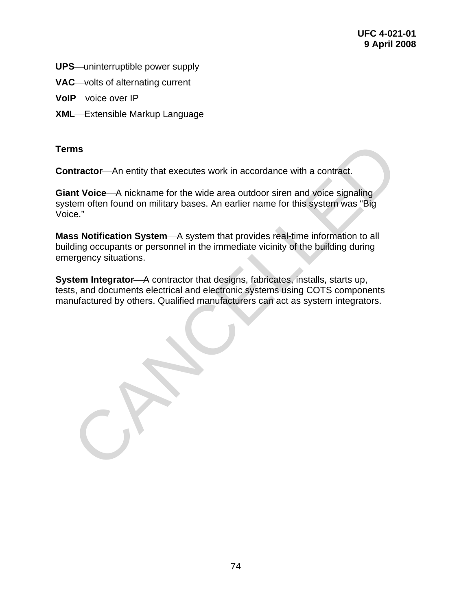- **UPS**—uninterruptible power supply
- **VAC**—volts of alternating current

**VoIP**—voice over IP

**XML**—Extensible Markup Language

### **Terms**

**Contractor**—An entity that executes work in accordance with a contract.

**Giant Voice** A nickname for the wide area outdoor siren and voice signaling system often found on military bases. An earlier name for this system was "Big Voice."

**Mass Notification System**—A system that provides real-time information to all building occupants or personnel in the immediate vicinity of the building during emergency situations.

**System Integrator**—A contractor that designs, fabricates, installs, starts up, tests, and documents electrical and electronic systems using COTS components manufactured by others. Qualified manufacturers can act as system integrators. ms<br>
Intractor—An entity that executes work in accordance with a contract.<br>
Int Voice—A nickname for the wide area outdoor siren and voice signaling<br>
term often found on military bases. An earlier name for this system was "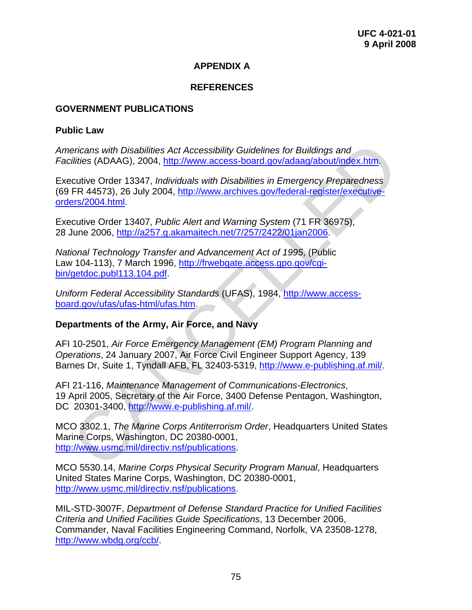# **APPENDIX A**

## **REFERENCES**

#### **GOVERNMENT PUBLICATIONS**

#### **Public Law**

*Americans with Disabilities Act Accessibility Guidelines for Buildings and Facilities* (ADAAG), 2004, http://www.access-board.gov/adaag/about/index.htm.

Executive Order 13347, *Individuals with Disabilities in Emergency Preparedness* (69 FR 44573), 26 July 2004, http://www.archives.gov/federal-register/executiveorders/2004.html. ericans with Disabilities [A](http://www.e-publishing.af.mil/)ct Accessibility Guidelines for Buildings and<br>zilities (ADAAG), 2004, http://www.access-board.gov/adaag/about/index.htm,<br>ccutive Order 13347, *Individuals with Disabilities in Emergency Preparedn* 

Executive Order 13407, *Public Alert and Warning System* (71 FR 36975), 28 June 2006, http://a257.g.akamaitech.net/7/257/2422/01jan2006.

*National Technology Transfer and Advancement Act of 1995*, (Public Law 104-113), 7 March 1996, http://frwebgate.access.gpo.gov/cgibin/getdoc.publ113.104.pdf.

*Uniform Federal Accessibility Standards* (UFAS), 1984, http://www.accessboard.gov/ufas/ufas-html/ufas.htm.

#### **Departments of the Army, Air Force, and Navy**

AFI 10-2501, *Air Force Emergency Management (EM) Program Planning and Operations*, 24 January 2007, Air Force Civil Engineer Support Agency, 139 Barnes Dr, Suite 1, Tyndall AFB, FL 32403-5319, http://www.e-publishing.af.mil/.

AFI 21-116, *Maintenance Management of Communications-Electronics*, 19 April 2005, Secretary of the Air Force, 3400 Defense Pentagon, Washington, DC 20301-3400, http://www.e-publishing.af.mil/.

MCO 3302.1, *The Marine Corps Antiterrorism Order*, Headquarters United States Marine Corps, Washington, DC 20380-0001, http://www.usmc.mil/directiv.nsf/publications.

MCO 5530.14, *Marine Corps Physical Security Program Manual*, Headquarters United States Marine Corps, Washington, DC 20380-0001, [http://www.usmc.mil/directiv.nsf/publications](http://www.usmc.mil/directiv.nsf/bysubject?openview&count=5000&start=1).

MIL-STD-3007F, *Department of Defense Standard Practice for Unified Facilities Criteria and Unified Facilities Guide Specifications*, 13 December 2006, Commander, Naval Facilities Engineering Command, Norfolk, VA 23508-1278, [http://www.wbdg.org/ccb/](http://www.wbdg.org/ccb/browse_cat.php?o=29&c=4).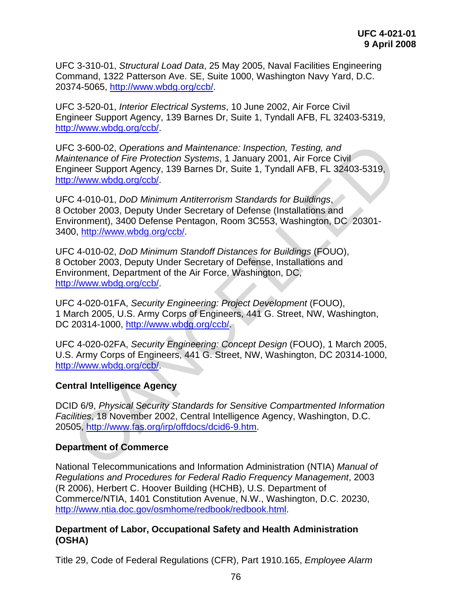UFC 3-310-01, *Structural Load Data*, 25 May 2005, Naval Facilities Engineering Command, 1322 Patterson Ave. SE, Suite 1000, Washington Navy Yard, D.C. 20374-5065, [http://www.wbdg.org/ccb/.](http://www.wbdg.org/ccb/browse_cat.php?o=29&c=4)

UFC 3-520-01, *Interior Electrical Systems*, 10 June 2002, Air Force Civil Engineer Support Agency, 139 Barnes Dr, Suite 1, Tyndall AFB, FL 32403-5319, [http://www.wbdg.org/ccb/](http://www.wbdg.org/ccb/browse_cat.php?o=29&c=4).

UFC 3-600-02, *Operations and Maintenance: Inspection, Testing, and Maintenance of Fire Protection Systems*, 1 January 2001, Air Force Civil Engineer Support Agency, 139 Barnes Dr, Suite 1, Tyndall AFB, FL 32403-5319, http://www.wbdg.org/ccb/. C 3-600-02, Operations and Maintenance: Inspection, Testing, and<br>intenance of Fire Protection Systems, 1 January 2001, Air Force Civil<br>injener Support Agency, 139 Barnes Dr. Suite 1, Tyndall AFB, FL 32403-5319,<br>injener Sup

UFC 4-010-01, *DoD Minimum Antiterrorism Standards for Buildings*, 8 October 2003, Deputy Under Secretary of Defense (Installations and Environment), 3400 Defense Pentagon, Room 3C553, Washington, DC 20301- 3400, http://www.wbdg.org/ccb/.

UFC 4-010-02, *DoD Minimum Standoff Distances for Buildings* (FOUO), 8 October 2003, Deputy Under Secretary of Defense, Installations and Environment, Department of the Air Force, Washington, DC, http://www.wbdg.org/ccb/.

UFC 4-020-01FA, *Security Engineering: Project Development* (FOUO), 1 March 2005, U.S. Army Corps of Engineers, 441 G. Street, NW, Washington, DC 20314-1000, http://www.wbdg.org/ccb/.

UFC 4-020-02FA, *Security Engineering: Concept Design* (FOUO), 1 March 2005, U.S. Army Corps of Engineers, 441 G. Street, NW, Washington, DC 20314-1000, http://www.wbdg.org/ccb/.

#### **Central Intelligence Agency**

DCID 6/9, *Physical Security Standards for Sensitive Compartmented Information Facilities*, 18 November 2002, Central Intelligence Agency, Washington, D.C. 20505, http://www.fas.org/irp/offdocs/dcid6-9.htm.

#### **Department of Commerce**

National Telecommunications and Information Administration (NTIA) *Manual of Regulations and Procedures for Federal Radio Frequency Management*, 2003 (R 2006), Herbert C. Hoover Building (HCHB), U.S. Department of Commerce/NTIA, 1401 Constitution Avenue, N.W., Washington, D.C. 20230, [http://www.ntia.doc.gov/osmhome/redbook/redbook.html.](http://www.ntia.doc.gov/osmhome/redbook/redbook.html)

#### **Department of Labor, Occupational Safety and Health Administration (OSHA)**

Title 29, Code of Federal Regulations (CFR), Part 1910.165, *Employee Alarm*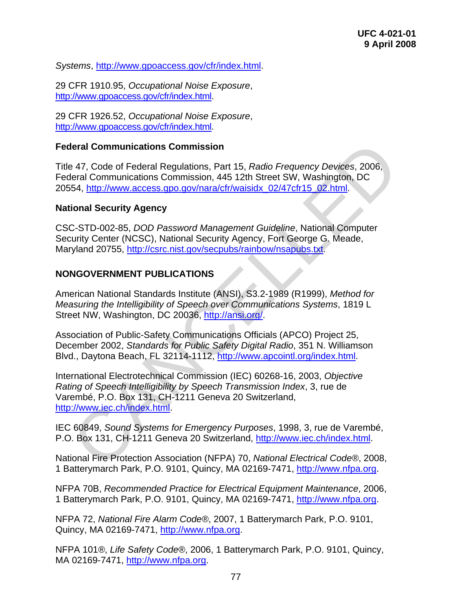*Systems*, [http://www.gpoaccess.gov/cfr/index.html.](http://www.gpoaccess.gov/cfr/index.html)

29 CFR 1910.95, *Occupational Noise Exposure*, <http://www.gpoaccess.gov/cfr/index.html>.

29 CFR 1926.52, *Occupational Noise Exposure*, <http://www.gpoaccess.gov/cfr/index.html>.

#### **Federal Communications Commission**

Title 47, Code of Federal Regulations, Part 15, *Radio Frequency Devices*, 2006, Federal Communications Commission, 445 12th Street SW, Washington, DC 20554, http://www.access.gpo.gov/nara/cfr/waisidx\_02/47cfr15\_02.html.

#### **National Security Agency**

CSC-STD-002-85, *DOD Password Management Guideline*, National Computer Security Center (NCSC), National Security Agency, Fort George G. Meade, Maryland 20755, http://csrc.nist.gov/secpubs/rainbow/nsapubs.txt.

#### **NONGOVERNMENT PUBLICATIONS**

American National Standards Institute (ANSI), S3.2-1989 (R1999), *Method for Measuring the Intelligibility of Speech over Communications Systems*, 1819 L Street NW, Washington, DC 20036, http://ansi.org/.

Association of Public-Safety Communications Officials (APCO) Project 25, December 2002, *Standards for Public Safety Digital Radio*, 351 N. Williamson Blvd., Daytona Beach, FL 32114-1112, http://www.apcointl.org/index.html.

International Electrotechnical Commission (IEC) 60268-16, 2003, *Objective Rating of Speech Intelligibility by Speech Transmission Index*, 3, rue de Varembé, P.O. Box 131, CH-1211 Geneva 20 Switzerland, http://www.iec.ch/index.html. deral Communications Commission<br>
47, Code of Federal Regulations, Part 15, *Radio Frequency Devices, 2006*,<br>
1611 Communications Commission, 445 12th Street SW, Washington, DC<br>
1645 - STD-002-85, DOD Password Management Gu

IEC 60849, *Sound Systems for Emergency Purposes*, 1998, 3, rue de Varembé, P.O. Box 131, CH-1211 Geneva 20 Switzerland, http://www.iec.ch/index.html.

National Fire Protection Association (NFPA) 70, *National Electrical Code®*, 2008, 1 Batterymarch Park, P.O. 9101, Quincy, MA 02169-7471, [http://www.nfpa.org](http://www.nfpa.org/).

NFPA 70B, *Recommended Practice for Electrical Equipment Maintenance*, 2006, 1 Batterymarch Park, P.O. 9101, Quincy, MA 02169-7471, [http://www.nfpa.org](http://www.nfpa.org/).

NFPA 72, *National Fire Alarm Code®*, 2007, 1 Batterymarch Park, P.O. 9101, Quincy, MA 02169-7471, [http://www.nfpa.org.](http://www.nfpa.org/)

NFPA 101*®*, *Life Safety Code®*, 2006, 1 Batterymarch Park, P.O. 9101, Quincy, MA 02169-7471, [http://www.nfpa.org](http://www.nfpa.org/).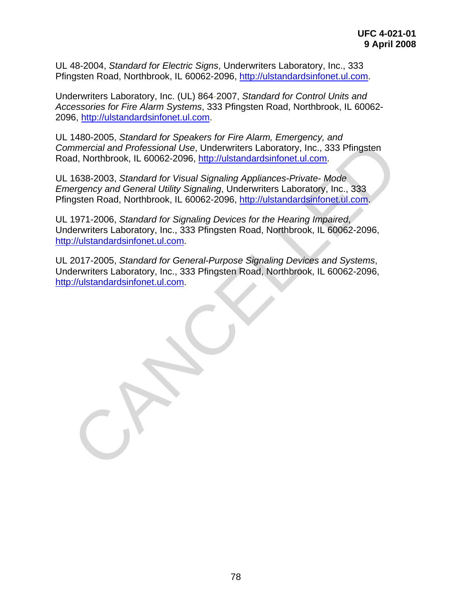UL 48-2004, *Standard for Electric Signs*, Underwriters Laboratory, Inc., 333 Pfingsten Road, Northbrook, IL 60062-2096, [http://ulstandardsinfonet.ul.com.](http://ulstandardsinfonet.ul.com/)

Underwriters Laboratory, Inc. (UL) 864-2007, *Standard for Control Units and Accessories for Fire Alarm Systems*, 333 Pfingsten Road, Northbrook, IL 60062- 2096, [http://ulstandardsinfonet.ul.com](http://ulstandardsinfonet.ul.com/).

UL 1480-2005, *Standard for Speakers for Fire Alarm, Emergency, and Commercial and Professional Use*, Underwriters Laboratory, Inc., 333 Pfingsten Road, Northbrook, IL 60062-2096, http://ulstandardsinfonet.ul.com.

UL 1638-2003, *Standard for Visual Signaling Appliances-Private- Mode Emergency and General Utility Signaling*, Underwriters Laboratory, Inc., 333 Pfingsten Road, Northbrook, IL 60062-2096, http://ulstandardsinfonet.ul.com.

UL 1971-2006, *Standard for Signaling Devices for the Hearing Impaired*, Underwriters Laboratory, Inc., 333 Pfingsten Road, Northbrook, IL 60062-2096, http://ulstandardsinfonet.ul.com. mmercial and Professional Use, Underwriters Laboratory, Inc., 333 Pfingsten<br>
Immercial and Professional Use, Underwriters Laboratory, Inc., 333 Pfingsten<br>
1638-2006, Standard for Visual Signaling Appliances-Private-Mode<br>
1

UL 2017-2005, *Standard for General-Purpose Signaling Devices and Systems*, Underwriters Laboratory, Inc., 333 Pfingsten Road, Northbrook, IL 60062-2096, http://ulstandardsinfonet.ul.com.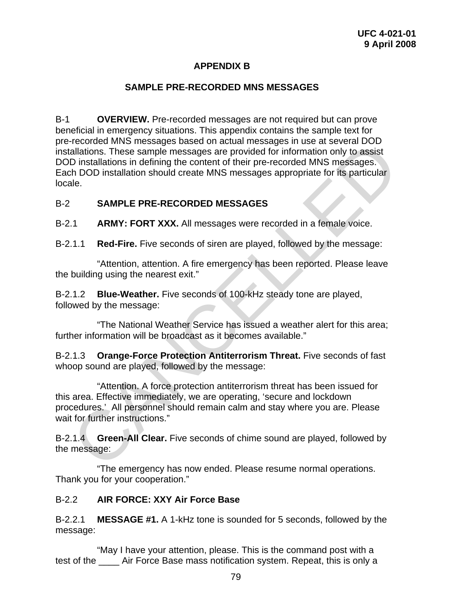# **APPENDIX B**

### **SAMPLE PRE-RECORDED MNS MESSAGES**

B-1 **OVERVIEW.** Pre-recorded messages are not required but can prove beneficial in emergency situations. This appendix contains the sample text for pre-recorded MNS messages based on actual messages in use at several DOD installations. These sample messages are provided for information only to assist DOD installations in defining the content of their pre-recorded MNS messages. Each DOD installation should create MNS messages appropriate for its particular locale. Frecorder MNS messages based on actual messages and packing and the at several DOD<br>allations. These sample messages are provided for information only to assist<br>D installations in defining the content of their pre-recorded

#### B-2 **SAMPLE PRE-RECORDED MESSAGES**

B-2.1 **ARMY: FORT XXX.** All messages were recorded in a female voice.

B-2.1.1 **Red-Fire.** Five seconds of siren are played, followed by the message:

 "Attention, attention. A fire emergency has been reported. Please leave the building using the nearest exit."

B-2.1.2 **Blue-Weather.** Five seconds of 100-kHz steady tone are played, followed by the message:

 "The National Weather Service has issued a weather alert for this area; further information will be broadcast as it becomes available."

B-2.1.3 **Orange-Force Protection Antiterrorism Threat.** Five seconds of fast whoop sound are played, followed by the message:

 "Attention. A force protection antiterrorism threat has been issued for this area. Effective immediately, we are operating, 'secure and lockdown procedures.' All personnel should remain calm and stay where you are. Please wait for further instructions."

B-2.1.4 **Green-All Clear.** Five seconds of chime sound are played, followed by the message:

 "The emergency has now ended. Please resume normal operations. Thank you for your cooperation."

#### B-2.2 **AIR FORCE: XXY Air Force Base**

B-2.2.1 **MESSAGE #1.** A 1-kHz tone is sounded for 5 seconds, followed by the message:

 "May I have your attention, please. This is the command post with a test of the **Air Force Base mass notification system.** Repeat, this is only a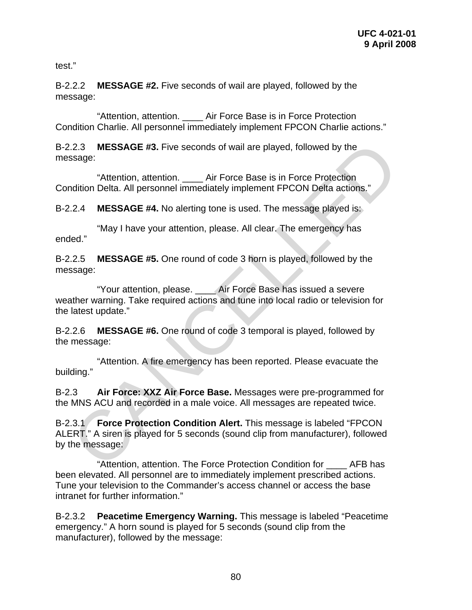test."

B-2.2.2 **MESSAGE #2.** Five seconds of wail are played, followed by the message:

 "Attention, attention. \_\_\_\_ Air Force Base is in Force Protection Condition Charlie. All personnel immediately implement FPCON Charlie actions."

B-2.2.3 **MESSAGE #3.** Five seconds of wail are played, followed by the message:

 "Attention, attention. \_\_\_\_ Air Force Base is in Force Protection Condition Delta. All personnel immediately implement FPCON Delta actions."

B-2.2.4 **MESSAGE #4.** No alerting tone is used. The message played is:

 "May I have your attention, please. All clear. The emergency has ended."

B-2.2.5 **MESSAGE #5.** One round of code 3 horn is played, followed by the message:

 "Your attention, please. \_\_\_\_ Air Force Base has issued a severe weather warning. Take required actions and tune into local radio or television for the latest update."

B-2.2.6 **MESSAGE #6.** One round of code 3 temporal is played, followed by the message:

 "Attention. A fire emergency has been reported. Please evacuate the building."

B-2.3 **Air Force: XXZ Air Force Base.** Messages were pre-programmed for the MNS ACU and recorded in a male voice. All messages are repeated twice.

B-2.3.1 **Force Protection Condition Alert.** This message is labeled "FPCON ALERT." A siren is played for 5 seconds (sound clip from manufacturer), followed by the message: 2.2.3 MESSAGE #3. Five seconds of wail are played, followed by the<br>
"Attention, attention. Air Force Base is in Force Protection<br>
midion Delta. All personnel immediately implement FPCON Delta actions."<br>
2.2.4 MESSAGE #4. N

 "Attention, attention. The Force Protection Condition for \_\_\_\_ AFB has been elevated. All personnel are to immediately implement prescribed actions. Tune your television to the Commander's access channel or access the base intranet for further information."

B-2.3.2 **Peacetime Emergency Warning.** This message is labeled "Peacetime emergency." A horn sound is played for 5 seconds (sound clip from the manufacturer), followed by the message: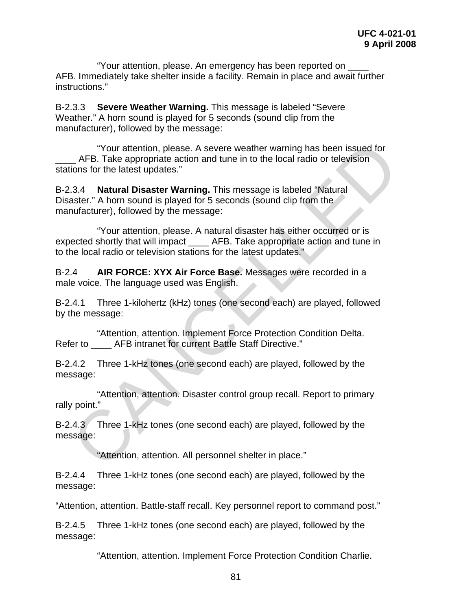"Your attention, please. An emergency has been reported on \_\_\_\_ AFB. Immediately take shelter inside a facility. Remain in place and await further instructions."

B-2.3.3 **Severe Weather Warning.** This message is labeled "Severe Weather." A horn sound is played for 5 seconds (sound clip from the manufacturer), followed by the message:

 "Your attention, please. A severe weather warning has been issued for AFB. Take appropriate action and tune in to the local radio or television stations for the latest updates." "Your attention, please. A severe weather warning has been issued for<br>
AFB. Take appropriate action and tune in to the local radio or television<br>
clions for the latest updates."<br>
3.3.4 **Natural Disaster Warning**. This mess

B-2.3.4 **Natural Disaster Warning.** This message is labeled "Natural Disaster." A horn sound is played for 5 seconds (sound clip from the manufacturer), followed by the message:

 "Your attention, please. A natural disaster has either occurred or is expected shortly that will impact \_\_\_\_ AFB. Take appropriate action and tune in to the local radio or television stations for the latest updates."

B-2.4 **AIR FORCE: XYX Air Force Base.** Messages were recorded in a male voice. The language used was English.

B-2.4.1 Three 1-kilohertz (kHz) tones (one second each) are played, followed by the message:

 "Attention, attention. Implement Force Protection Condition Delta. Refer to **AFB** intranet for current Battle Staff Directive."

B-2.4.2 Three 1-kHz tones (one second each) are played, followed by the message:

 "Attention, attention. Disaster control group recall. Report to primary rally point."

B-2.4.3 Three 1-kHz tones (one second each) are played, followed by the message:

"Attention, attention. All personnel shelter in place."

B-2.4.4 Three 1-kHz tones (one second each) are played, followed by the message:

"Attention, attention. Battle-staff recall. Key personnel report to command post."

B-2.4.5 Three 1-kHz tones (one second each) are played, followed by the message:

"Attention, attention. Implement Force Protection Condition Charlie.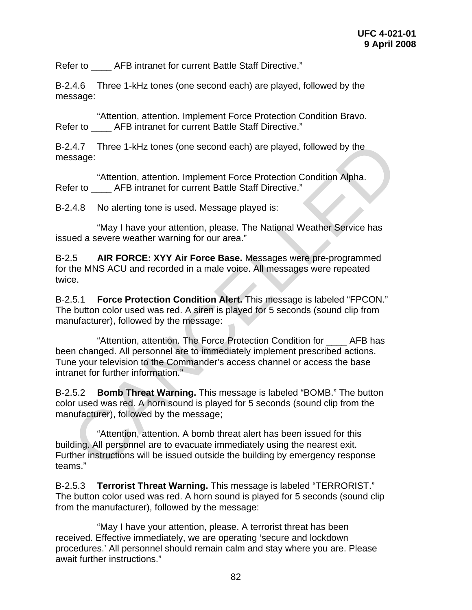Refer to **AFB** intranet for current Battle Staff Directive."

B-2.4.6 Three 1-kHz tones (one second each) are played, followed by the message:

 "Attention, attention. Implement Force Protection Condition Bravo. Refer to **AFB** intranet for current Battle Staff Directive."

B-2.4.7 Three 1-kHz tones (one second each) are played, followed by the message:

 "Attention, attention. Implement Force Protection Condition Alpha. Refer to **AFB intranet for current Battle Staff Directive.**"

B-2.4.8 No alerting tone is used. Message played is:

 "May I have your attention, please. The National Weather Service has issued a severe weather warning for our area."

B-2.5 **AIR FORCE: XYY Air Force Base.** Messages were pre-programmed for the MNS ACU and recorded in a male voice. All messages were repeated twice.

B-2.5.1 **Force Protection Condition Alert.** This message is labeled "FPCON." The button color used was red. A siren is played for 5 seconds (sound clip from manufacturer), followed by the message:

 "Attention, attention. The Force Protection Condition for \_\_\_\_ AFB has been changed. All personnel are to immediately implement prescribed actions. Tune your television to the Commander's access channel or access the base intranet for further information." :4.7 Three 1-kHz tones (one second each) are played, followed by the<br>ssage:<br>"Attention, attention. Implement Force Protection Condition Alpha.<br>Fer to \_\_\_\_AFB intranet for current Battle Staff Directive."<br>"Attention, attent

B-2.5.2 **Bomb Threat Warning.** This message is labeled "BOMB." The button color used was red. A horn sound is played for 5 seconds (sound clip from the manufacturer), followed by the message;

 "Attention, attention. A bomb threat alert has been issued for this building. All personnel are to evacuate immediately using the nearest exit. Further instructions will be issued outside the building by emergency response teams."

B-2.5.3 **Terrorist Threat Warning.** This message is labeled "TERRORIST." The button color used was red. A horn sound is played for 5 seconds (sound clip from the manufacturer), followed by the message:

 "May I have your attention, please. A terrorist threat has been received. Effective immediately, we are operating 'secure and lockdown procedures.' All personnel should remain calm and stay where you are. Please await further instructions."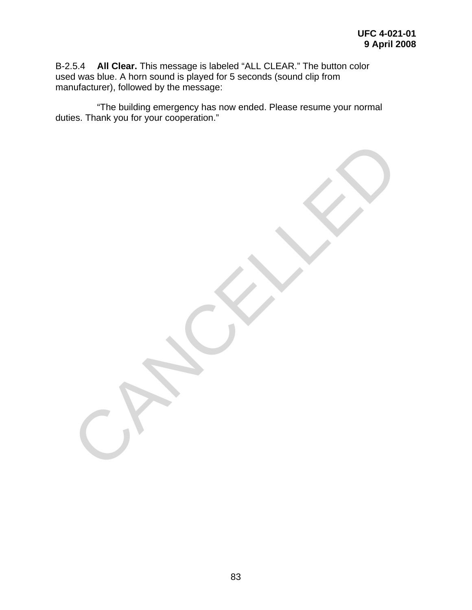B-2.5.4 **All Clear.** This message is labeled "ALL CLEAR." The button color used was blue. A horn sound is played for 5 seconds (sound clip from manufacturer), followed by the message:

 "The building emergency has now ended. Please resume your normal duties. Thank you for your cooperation."

CANCELLED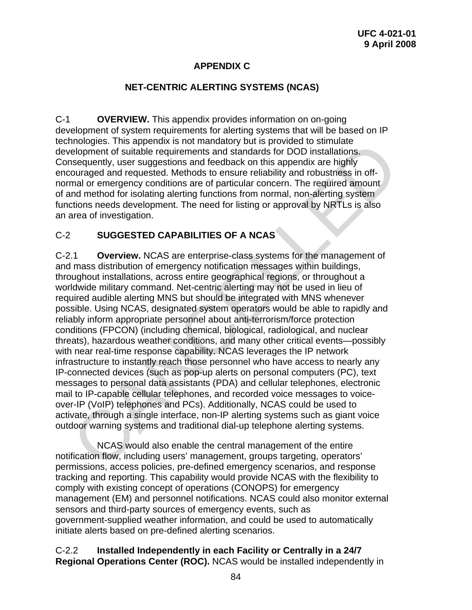# **APPENDIX C**

### **NET-CENTRIC ALERTING SYSTEMS (NCAS)**

C-1 **OVERVIEW.** This appendix provides information on on-going development of system requirements for alerting systems that will be based on IP technologies. This appendix is not mandatory but is provided to stimulate development of suitable requirements and standards for DOD installations. Consequently, user suggestions and feedback on this appendix are highly encouraged and requested. Methods to ensure reliability and robustness in offnormal or emergency conditions are of particular concern. The required amount of and method for isolating alerting functions from normal, non-alerting system functions needs development. The need for listing or approval by NRTLs is also an area of investigation.

## C-2 **SUGGESTED CAPABILITIES OF A NCAS**

C-2.1 **Overview.** NCAS are enterprise-class systems for the management of and mass distribution of emergency notification messages within buildings, throughout installations, across entire geographical regions, or throughout a worldwide military command. Net-centric alerting may not be used in lieu of required audible alerting MNS but should be integrated with MNS whenever possible. Using NCAS, designated system operators would be able to rapidly and reliably inform appropriate personnel about anti-terrorism/force protection conditions (FPCON) (including chemical, biological, radiological, and nuclear threats), hazardous weather conditions, and many other critical events—possibly with near real-time response capability. NCAS leverages the IP network infrastructure to instantly reach those personnel who have access to nearly any IP-connected devices (such as pop-up alerts on personal computers (PC), text messages to personal data assistants (PDA) and cellular telephones, electronic mail to IP-capable cellular telephones, and recorded voice messages to voiceover-IP (VoIP) telephones and PCs). Additionally, NCAS could be used to activate, through a single interface, non-IP alerting systems such as giant voice outdoor warning systems and traditional dial-up telephone alerting systems. mologies. Ins appendix is not manadory but is provided to sumulate<br>melopment of suitable requirements and standards for DOD installations.<br>
Sequently, user suggestions and feedback on this appendix are highly<br>
and or emerg

 NCAS would also enable the central management of the entire notification flow, including users' management, groups targeting, operators' permissions, access policies, pre-defined emergency scenarios, and response tracking and reporting. This capability would provide NCAS with the flexibility to comply with existing concept of operations (CONOPS) for emergency management (EM) and personnel notifications. NCAS could also monitor external sensors and third-party sources of emergency events, such as government-supplied weather information, and could be used to automatically initiate alerts based on pre-defined alerting scenarios.

## C-2.2 **Installed Independently in each Facility or Centrally in a 24/7 Regional Operations Center (ROC).** NCAS would be installed independently in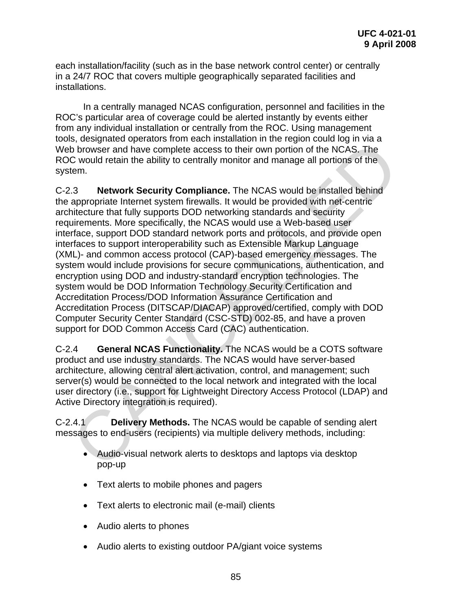each installation/facility (such as in the base network control center) or centrally in a 24/7 ROC that covers multiple geographically separated facilities and installations.

 In a centrally managed NCAS configuration, personnel and facilities in the ROC's particular area of coverage could be alerted instantly by events either from any individual installation or centrally from the ROC. Using management tools, designated operators from each installation in the region could log in via a Web browser and have complete access to their own portion of the NCAS. The ROC would retain the ability to centrally monitor and manage all portions of the system.

C-2.3 **Network Security Compliance.** The NCAS would be installed behind the appropriate Internet system firewalls. It would be provided with net-centric architecture that fully supports DOD networking standards and security requirements. More specifically, the NCAS would use a Web-based user interface, support DOD standard network ports and protocols, and provide open interfaces to support interoperability such as Extensible Markup Language (XML)- and common access protocol (CAP)-based emergency messages. The system would include provisions for secure communications, authentication, and encryption using DOD and industry-standard encryption technologies. The system would be DOD Information Technology Security Certification and Accreditation Process/DOD Information Assurance Certification and Accreditation Process (DITSCAP/DIACAP) approved/certified, comply with DOD Computer Security Center Standard (CSC-STD) 002-85, and have a proven support for DOD Common Access Card (CAC) authentication. is, uses<br>pinace operators more carrieration in the region to the Disconsite operator<br>of b browser and have complete access to their own portion of the NGAS. The<br>C would retain the ability to centrally monitor and manage al

C-2.4 **General NCAS Functionality.** The NCAS would be a COTS software product and use industry standards. The NCAS would have server-based architecture, allowing central alert activation, control, and management; such server(s) would be connected to the local network and integrated with the local user directory (i.e., support for Lightweight Directory Access Protocol (LDAP) and Active Directory integration is required).

C-2.4.1 **Delivery Methods.** The NCAS would be capable of sending alert messages to end-users (recipients) via multiple delivery methods, including:

- Audio-visual network alerts to desktops and laptops via desktop pop-up
- Text alerts to mobile phones and pagers
- Text alerts to electronic mail (e-mail) clients
- Audio alerts to phones
- Audio alerts to existing outdoor PA/giant voice systems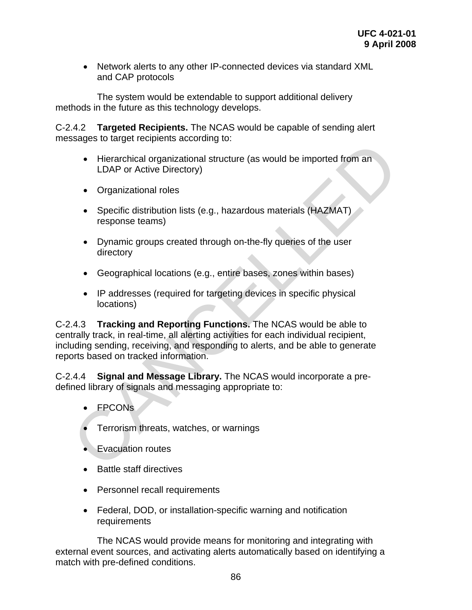• Network alerts to any other IP-connected devices via standard XML and CAP protocols

 The system would be extendable to support additional delivery methods in the future as this technology develops.

C-2.4.2 **Targeted Recipients.** The NCAS would be capable of sending alert messages to target recipients according to:

- Hierarchical organizational structure (as would be imported from an LDAP or Active Directory)
- Organizational roles
- Specific distribution lists (e.g., hazardous materials (HAZMAT) response teams)
- Dynamic groups created through on-the-fly queries of the user directory
- Geographical locations (e.g., entire bases, zones within bases)
- IP addresses (required for targeting devices in specific physical locations)

C-2.4.3 **Tracking and Reporting Functions.** The NCAS would be able to centrally track, in real-time, all alerting activities for each individual recipient, including sending, receiving, and responding to alerts, and be able to generate reports based on tracked information. • Herarchical organizational structure (as would be imported from an<br>
LDAP or Active Directory)<br>
• Organizational roles<br>
• Specific distribution lists (e.g., hazardous materials (HAZMAT)<br>
• response teams)<br>
• Dynamic group

C-2.4.4 **Signal and Message Library.** The NCAS would incorporate a predefined library of signals and messaging appropriate to:

- FPCONs
- Terrorism threats, watches, or warnings
- Evacuation routes
- Battle staff directives
- Personnel recall requirements
- Federal, DOD, or installation-specific warning and notification requirements

 The NCAS would provide means for monitoring and integrating with external event sources, and activating alerts automatically based on identifying a match with pre-defined conditions.